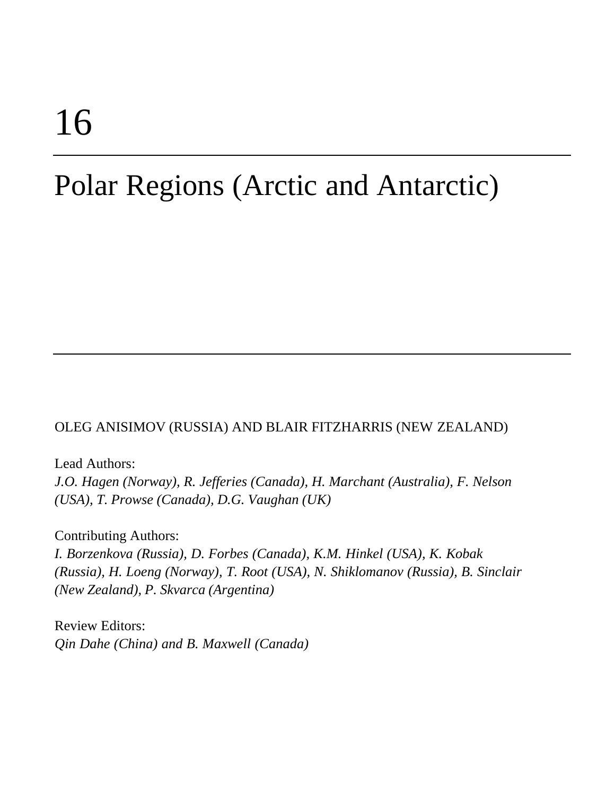# 16

## Polar Regions (Arctic and Antarctic)

### OLEG ANISIMOV (RUSSIA) AND BLAIR FITZHARRIS (NEW ZEALAND)

Lead Authors: *J.O. Hagen (Norway), R. Jefferies (Canada), H. Marchant (Australia), F. Nelson (USA), T. Prowse (Canada), D.G. Vaughan (UK)*

Contributing Authors: *I. Borzenkova (Russia), D. Forbes (Canada), K.M. Hinkel (USA), K. Kobak (Russia), H. Loeng (Norway), T. Root (USA), N. Shiklomanov (Russia), B. Sinclair (New Zealand), P. Skvarca (Argentina)*

Review Editors: *Qin Dahe (China) and B. Maxwell (Canada)*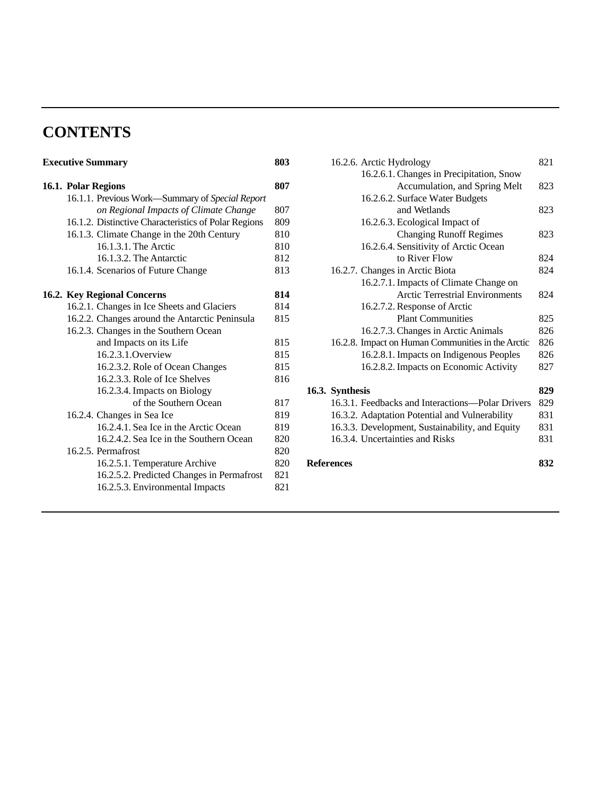## **CONTENTS**

| <b>Executive Summary</b> |                                                      |     |
|--------------------------|------------------------------------------------------|-----|
|                          | 16.1. Polar Regions                                  | 807 |
|                          | 16.1.1. Previous Work-Summary of Special Report      |     |
|                          | on Regional Impacts of Climate Change                | 807 |
|                          | 16.1.2. Distinctive Characteristics of Polar Regions | 809 |
|                          | 16.1.3. Climate Change in the 20th Century           | 810 |
|                          | 16.1.3.1. The Arctic                                 | 810 |
|                          | 16.1.3.2. The Antarctic                              | 812 |
|                          | 16.1.4. Scenarios of Future Change                   | 813 |
|                          | 16.2. Key Regional Concerns                          | 814 |
|                          | 16.2.1. Changes in Ice Sheets and Glaciers           | 814 |
|                          | 16.2.2. Changes around the Antarctic Peninsula       | 815 |
|                          | 16.2.3. Changes in the Southern Ocean                |     |
|                          | and Impacts on its Life                              | 815 |
|                          | 16.2.3.1. Overview                                   | 815 |
|                          | 16.2.3.2. Role of Ocean Changes                      | 815 |
|                          | 16.2.3.3. Role of Ice Shelves                        | 816 |
|                          | 16.2.3.4. Impacts on Biology                         |     |
|                          | of the Southern Ocean                                | 817 |
|                          | 16.2.4. Changes in Sea Ice                           | 819 |
|                          | 16.2.4.1. Sea Ice in the Arctic Ocean                | 819 |
|                          | 16.2.4.2. Sea Ice in the Southern Ocean              | 820 |
|                          | 16.2.5. Permafrost                                   | 820 |
|                          | 16.2.5.1. Temperature Archive                        | 820 |
|                          | 16.2.5.2. Predicted Changes in Permafrost            | 821 |
|                          | 16.2.5.3. Environmental Impacts                      | 821 |

|                   |                 | 16.2.6. Arctic Hydrology                          | 821 |  |
|-------------------|-----------------|---------------------------------------------------|-----|--|
|                   |                 | 16.2.6.1. Changes in Precipitation, Snow          |     |  |
|                   |                 | Accumulation, and Spring Melt                     | 823 |  |
|                   |                 | 16.2.6.2. Surface Water Budgets                   |     |  |
|                   |                 | and Wetlands                                      | 823 |  |
|                   |                 | 16.2.6.3. Ecological Impact of                    |     |  |
|                   |                 | <b>Changing Runoff Regimes</b>                    | 823 |  |
|                   |                 | 16.2.6.4. Sensitivity of Arctic Ocean             |     |  |
|                   |                 | to River Flow                                     | 824 |  |
|                   |                 | 16.2.7. Changes in Arctic Biota                   | 824 |  |
|                   |                 | 16.2.7.1. Impacts of Climate Change on            |     |  |
|                   |                 | <b>Arctic Terrestrial Environments</b>            | 824 |  |
|                   |                 | 16.2.7.2. Response of Arctic                      |     |  |
|                   |                 | <b>Plant Communities</b>                          | 825 |  |
|                   |                 | 16.2.7.3. Changes in Arctic Animals               | 826 |  |
|                   |                 | 16.2.8. Impact on Human Communities in the Arctic | 826 |  |
|                   |                 | 16.2.8.1. Impacts on Indigenous Peoples           | 826 |  |
|                   |                 | 16.2.8.2. Impacts on Economic Activity            | 827 |  |
|                   | 16.3. Synthesis |                                                   | 829 |  |
|                   |                 | 16.3.1. Feedbacks and Interactions—Polar Drivers  | 829 |  |
|                   |                 | 16.3.2. Adaptation Potential and Vulnerability    | 831 |  |
|                   |                 | 16.3.3. Development, Sustainability, and Equity   | 831 |  |
|                   |                 | 16.3.4. Uncertainties and Risks                   | 831 |  |
| <b>References</b> |                 |                                                   |     |  |
|                   |                 |                                                   |     |  |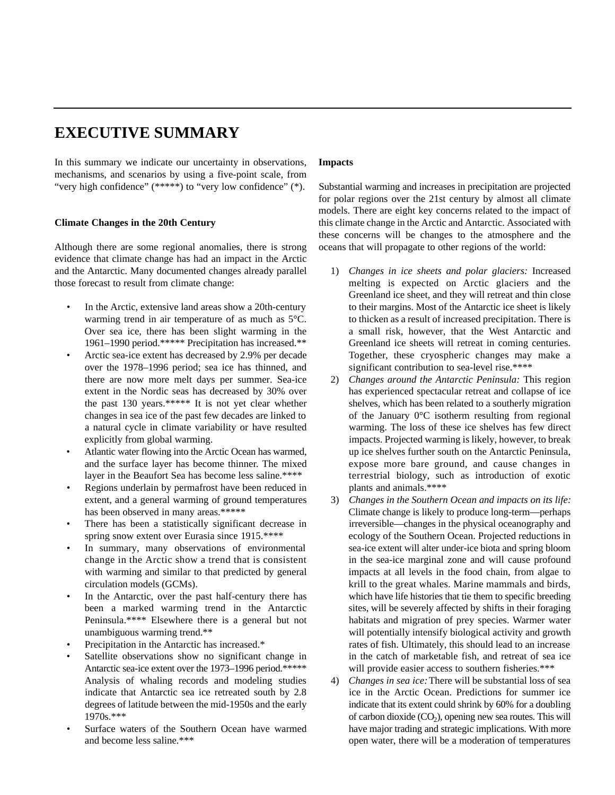## **EXECUTIVE SUMMARY**

In this summary we indicate our uncertainty in observations, mechanisms, and scenarios by using a five-point scale, from "very high confidence" (\*\*\*\*\*) to "very low confidence" (\*).

#### **Climate Changes in the 20th Century**

Although there are some regional anomalies, there is strong evidence that climate change has had an impact in the Arctic and the Antarctic. Many documented changes already parallel those forecast to result from climate change:

- In the Arctic, extensive land areas show a 20th-century warming trend in air temperature of as much as 5°C. Over sea ice, there has been slight warming in the 1961–1990 period.\*\*\*\*\* Precipitation has increased.\*\*
- Arctic sea-ice extent has decreased by 2.9% per decade over the 1978–1996 period; sea ice has thinned, and there are now more melt days per summer. Sea-ice extent in the Nordic seas has decreased by 30% over the past 130 years.\*\*\*\*\* It is not yet clear whether changes in sea ice of the past few decades are linked to a natural cycle in climate variability or have resulted explicitly from global warming.
- Atlantic water flowing into the Arctic Ocean has warmed, and the surface layer has become thinner. The mixed layer in the Beaufort Sea has become less saline.\*\*\*\*
- Regions underlain by permafrost have been reduced in extent, and a general warming of ground temperatures has been observed in many areas.\*\*\*\*\*
- There has been a statistically significant decrease in spring snow extent over Eurasia since 1915.\*\*\*\*
- In summary, many observations of environmental change in the Arctic show a trend that is consistent with warming and similar to that predicted by general circulation models (GCMs).
- In the Antarctic, over the past half-century there has been a marked warming trend in the Antarctic Peninsula.\*\*\*\* Elsewhere there is a general but not unambiguous warming trend.\*\*
- Precipitation in the Antarctic has increased.\*
- Satellite observations show no significant change in Antarctic sea-ice extent over the 1973–1996 period.\*\*\*\*\* Analysis of whaling records and modeling studies indicate that Antarctic sea ice retreated south by 2.8 degrees of latitude between the mid-1950s and the early 1970s.\*\*\*
- Surface waters of the Southern Ocean have warmed and become less saline.\*\*\*

#### **Impacts**

Substantial warming and increases in precipitation are projected for polar regions over the 21st century by almost all climate models. There are eight key concerns related to the impact of this climate change in the Arctic and Antarctic. Associated with these concerns will be changes to the atmosphere and the oceans that will propagate to other regions of the world:

- 1) *Changes in ice sheets and polar glaciers:* Increased melting is expected on Arctic glaciers and the Greenland ice sheet, and they will retreat and thin close to their margins. Most of the Antarctic ice sheet is likely to thicken as a result of increased precipitation. There is a small risk, however, that the West Antarctic and Greenland ice sheets will retreat in coming centuries. Together, these cryospheric changes may make a significant contribution to sea-level rise.\*\*\*\*
- 2) *Changes around the Antarctic Peninsula:* This region has experienced spectacular retreat and collapse of ice shelves, which has been related to a southerly migration of the January  $0^{\circ}$ C isotherm resulting from regional warming. The loss of these ice shelves has few direct impacts. Projected warming is likely, however, to break up ice shelves further south on the Antarctic Peninsula, expose more bare ground, and cause changes in terrestrial biology, such as introduction of exotic plants and animals.\*\*\*\*
- 3) *Changes in the Southern Ocean and impacts on its life:* Climate change is likely to produce long-term—perhaps irreversible—changes in the physical oceanography and ecology of the Southern Ocean. Projected reductions in sea-ice extent will alter under-ice biota and spring bloom in the sea-ice marginal zone and will cause profound impacts at all levels in the food chain, from algae to krill to the great whales. Marine mammals and birds, which have life histories that tie them to specific breeding sites, will be severely affected by shifts in their foraging habitats and migration of prey species. Warmer water will potentially intensify biological activity and growth rates of fish. Ultimately, this should lead to an increase in the catch of marketable fish, and retreat of sea ice will provide easier access to southern fisheries.\*\*\*
- 4) *Changes in sea ice:*There will be substantial loss of sea ice in the Arctic Ocean. Predictions for summer ice indicate that its extent could shrink by 60% for a doubling of carbon dioxide  $(CO<sub>2</sub>)$ , opening new sea routes. This will have major trading and strategic implications. With more open water, there will be a moderation of temperatures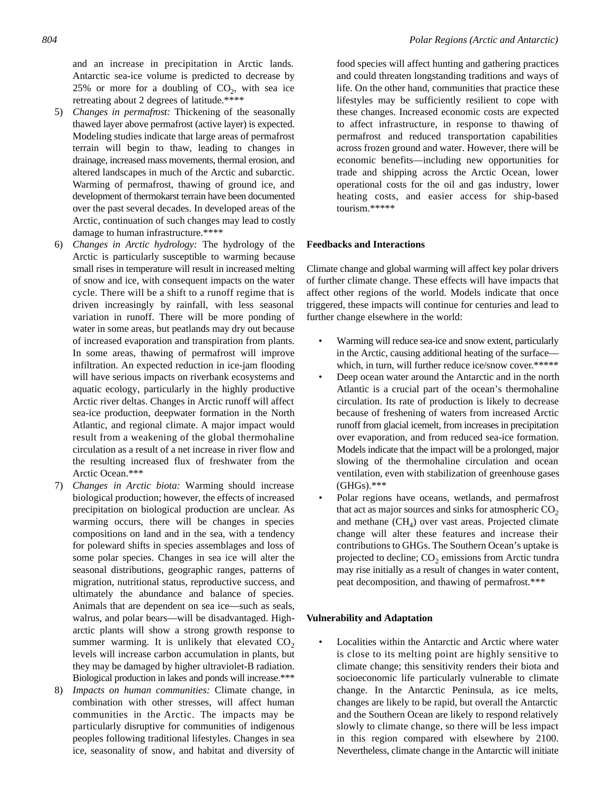and an increase in precipitation in Arctic lands. Antarctic sea-ice volume is predicted to decrease by  $25\%$  or more for a doubling of  $CO<sub>2</sub>$ , with sea ice retreating about 2 degrees of latitude.\*\*\*\*

- 5) *Changes in permafrost:* Thickening of the seasonally thawed layer above permafrost (active layer) is expected. Modeling studies indicate that large areas of permafrost terrain will begin to thaw, leading to changes in drainage, increased mass movements, thermal erosion, and altered landscapes in much of the Arctic and subarctic. Warming of permafrost, thawing of ground ice, and development of thermokarst terrain have been documented over the past several decades. In developed areas of the Arctic, continuation of such changes may lead to costly damage to human infrastructure.\*\*\*\*
- 6) *Changes in Arctic hydrology:* The hydrology of the Arctic is particularly susceptible to warming because small rises in temperature will result in increased melting of snow and ice, with consequent impacts on the water cycle. There will be a shift to a runoff regime that is driven increasingly by rainfall, with less seasonal variation in runoff. There will be more ponding of water in some areas, but peatlands may dry out because of increased evaporation and transpiration from plants. In some areas, thawing of permafrost will improve infiltration. An expected reduction in ice-jam flooding will have serious impacts on riverbank ecosystems and aquatic ecology, particularly in the highly productive Arctic river deltas. Changes in Arctic runoff will affect sea-ice production, deepwater formation in the North Atlantic, and regional climate. A major impact would result from a weakening of the global thermohaline circulation as a result of a net increase in river flow and the resulting increased flux of freshwater from the Arctic Ocean.\*\*\*
- 7) *Changes in Arctic biota:* Warming should increase biological production; however, the effects of increased precipitation on biological production are unclear. As warming occurs, there will be changes in species compositions on land and in the sea, with a tendency for poleward shifts in species assemblages and loss of some polar species. Changes in sea ice will alter the seasonal distributions, geographic ranges, patterns of migration, nutritional status, reproductive success, and ultimately the abundance and balance of species. Animals that are dependent on sea ice—such as seals, walrus, and polar bears—will be disadvantaged. Higharctic plants will show a strong growth response to summer warming. It is unlikely that elevated  $CO<sub>2</sub>$ levels will increase carbon accumulation in plants, but they may be damaged by higher ultraviolet-B radiation. Biological production in lakes and ponds will increase.\*\*\*
- 8) *Impacts on human communities:* Climate change, in combination with other stresses, will affect human communities in the Arctic. The impacts may be particularly disruptive for communities of indigenous peoples following traditional lifestyles. Changes in sea ice, seasonality of snow, and habitat and diversity of

food species will affect hunting and gathering practices and could threaten longstanding traditions and ways of life. On the other hand, communities that practice these lifestyles may be sufficiently resilient to cope with these changes. Increased economic costs are expected to affect infrastructure, in response to thawing of permafrost and reduced transportation capabilities across frozen ground and water. However, there will be economic benefits—including new opportunities for trade and shipping across the Arctic Ocean, lower operational costs for the oil and gas industry, lower heating costs, and easier access for ship-based tourism.\*\*\*\*\*

#### **Feedbacks and Interactions**

Climate change and global warming will affect key polar drivers of further climate change. These effects will have impacts that affect other regions of the world. Models indicate that once triggered, these impacts will continue for centuries and lead to further change elsewhere in the world:

- Warming will reduce sea-ice and snow extent, particularly in the Arctic, causing additional heating of the surface which, in turn, will further reduce ice/snow cover.\*\*\*\*\*
- Deep ocean water around the Antarctic and in the north Atlantic is a crucial part of the ocean's thermohaline circulation. Its rate of production is likely to decrease because of freshening of waters from increased Arctic run off from glacial icemelt, from increases in precipitation over evaporation, and from reduced sea-ice formation. Models indicate that the impact will be a prolonged, major slowing of the thermohaline circulation and ocean ventilation, even with stabilization of greenhouse gases (GHGs).\*\*\*
- Polar regions have oceans, wetlands, and permafrost that act as major sources and sinks for atmospheric  $CO<sub>2</sub>$ and methane (CH<sub>4</sub>) over vast areas. Projected climate change will alter these features and increase their contributions to GHGs. The Southern Ocean's uptake is projected to decline;  $CO_2$  emissions from Arctic tundra may rise initially as a result of changes in water content, peat decomposition, and thawing of permafrost.\*\*\*

#### **Vulnerability and Adaptation**

Localities within the Antarctic and Arctic where water is close to its melting point are highly sensitive to climate change; this sensitivity renders their biota and socioeconomic life particularly vulnerable to climate change. In the Antarctic Peninsula, as ice melts, changes are likely to be rapid, but overall the Antarctic and the Southern Ocean are likely to respond relatively slowly to climate change, so there will be less impact in this region compared with elsewhere by 2100. Nevertheless, climate change in the Antarctic will initiate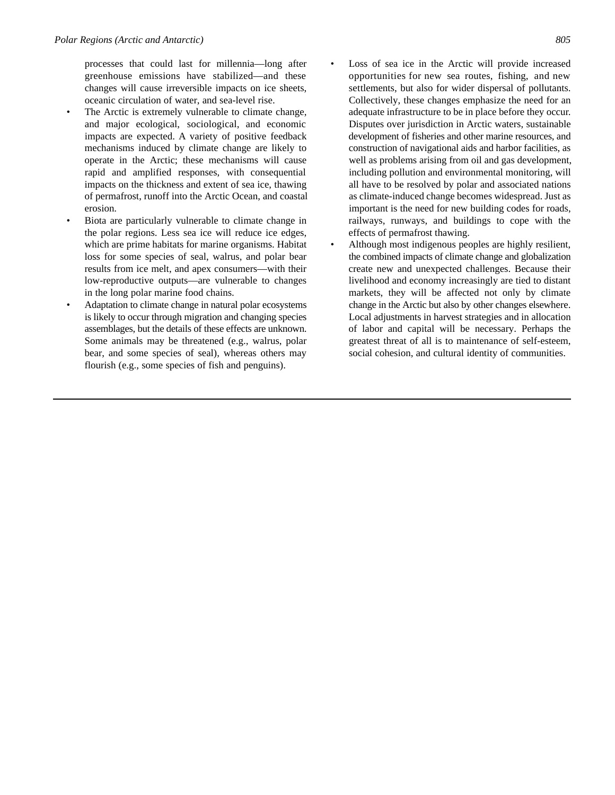processes that could last for millennia—long after greenhouse emissions have stabilized—and these changes will cause irreversible impacts on ice sheets, oceanic circulation of water, and sea-level rise.

- The Arctic is extremely vulnerable to climate change, and major ecological, sociological, and economic impacts are expected. A variety of positive feedback mechanisms induced by climate change are likely to operate in the Arctic; these mechanisms will cause rapid and amplified responses, with consequential impacts on the thickness and extent of sea ice, thawing of permafrost, runoff into the Arctic Ocean, and coastal erosion.
- Biota are particularly vulnerable to climate change in the polar regions. Less sea ice will reduce ice edges, which are prime habitats for marine organisms. Habitat loss for some species of seal, walrus, and polar bear results from ice melt, and apex consumers—with their low-reproductive outputs—are vulnerable to changes in the long polar marine food chains.
- Adaptation to climate change in natural polar ecosystems is likely to occur through migration and changing species assemblages, but the details of these effects are unknown. Some animals may be threatened (e.g., walrus, polar bear, and some species of seal), whereas others may flourish (e.g., some species of fish and penguins).
- Loss of sea ice in the Arctic will provide increased opportunities for new sea routes, fishing, and new settlements, but also for wider dispersal of pollutants. Collectively, these changes emphasize the need for an adequate infrastructure to be in place before they occur. Disputes over jurisdiction in Arctic waters, sustainable development of fisheries and other marine resources, and construction of navigational aids and harbor facilities, as well as problems arising from oil and gas development, including pollution and environmental monitoring, will all have to be resolved by polar and associated nations as climate-induced change becomes widespread. Just as important is the need for new building codes for roads, railways, runways, and buildings to cope with the effects of permafrost thawing.
- Although most indigenous peoples are highly resilient, the combined impacts of climate change and globalization create new and unexpected challenges. Because their livelihood and economy increasingly are tied to distant markets, they will be affected not only by climate change in the Arctic but also by other changes elsewhere. Local adjustments in harvest strategies and in allocation of labor and capital will be necessary. Perhaps the greatest threat of all is to maintenance of self-esteem, social cohesion, and cultural identity of communities.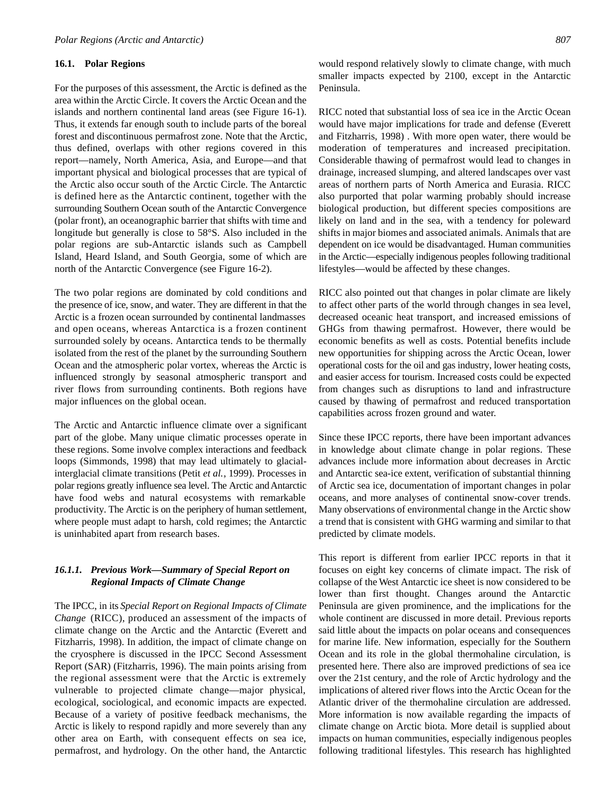#### **16.1. Polar Regions**

For the purposes of this assessment, the Arctic is defined as the area within the Arctic Circle. It covers the Arctic Ocean and the islands and northern continental land areas (see Figure 16-1). Thus, it extends far enough south to include parts of the boreal forest and discontinuous permafrost zone. Note that the Arctic, thus defined, overlaps with other regions covered in this report—namely, North America, Asia, and Europe—and that important physical and biological processes that are typical of the Arctic also occur south of the Arctic Circle. The Antarctic is defined here as the Antarctic continent, together with the surrounding Southern Ocean south of the Antarctic Convergence (polar front), an oceanographic barrier that shifts with time and longitude but generally is close to 58°S. Also included in the polar regions are sub-Antarctic islands such as Campbell Island, Heard Island, and South Georgia, some of which are north of the Antarctic Convergence (see Figure 16-2).

The two polar regions are dominated by cold conditions and the presence of ice, snow, and water. They are different in that the Arctic is a frozen ocean surrounded by continental landmasses and open oceans, whereas Antarctica is a frozen continent surrounded solely by oceans. Antarctica tends to be thermally isolated from the rest of the planet by the surrounding Southern Ocean and the atmospheric polar vortex, whereas the Arctic is influenced strongly by seasonal atmospheric transport and river flows from surrounding continents. Both regions have major influences on the global ocean.

The Arctic and Antarctic influence climate over a significant part of the globe. Many unique climatic processes operate in these regions. Some involve complex interactions and feedback loops (Simmonds, 1998) that may lead ultimately to glacialinterglacial climate transitions (Petit *et al.*, 1999). Processes in polar regions greatly influence sea level. The Arctic and Antarctic have food webs and natural ecosystems with remarkable productivity. The Arctic is on the periphery of human settlement, where people must adapt to harsh, cold regimes; the Antarctic is uninhabited apart from research bases.

#### *16.1.1. Previous Work—Summary of Special Report on Regional Impacts of Climate Change*

The IPCC, in its *Special Report on Regional Impacts of Climate Change* (RICC), produced an assessment of the impacts of climate change on the Arctic and the Antarctic (Everett and Fitzharris, 1998). In addition, the impact of climate change on the cryosphere is discussed in the IPCC Second Assessment Report (SAR) (Fitzharris, 1996). The main points arising from the regional assessment were that the Arctic is extremely vulnerable to projected climate change—major physical, ecological, sociological, and economic impacts are expected. Because of a variety of positive feedback mechanisms, the Arctic is likely to respond rapidly and more severely than any other area on Earth, with consequent effects on sea ice, permafrost, and hydrology. On the other hand, the Antarctic

would respond relatively slowly to climate change, with much smaller impacts expected by 2100, except in the Antarctic Peninsula.

RICC noted that substantial loss of sea ice in the Arctic Ocean would have major implications for trade and defense (Everett and Fitzharris, 1998) . With more open water, there would be moderation of temperatures and increased precipitation. Considerable thawing of permafrost would lead to changes in drainage, increased slumping, and altered landscapes over vast areas of northern parts of North America and Eurasia. RICC also purported that polar warming probably should increase biological production, but different species compositions are likely on land and in the sea, with a tendency for poleward shifts in major biomes and associated animals. Animals that are dependent on ice would be disadvantaged. Human communities in the Arctic—especially indigenous peoples following traditional lifestyles—would be affected by these changes.

RICC also pointed out that changes in polar climate are likely to affect other parts of the world through changes in sea level, decreased oceanic heat transport, and increased emissions of GHGs from thawing permafrost. However, there would be economic benefits as well as costs. Potential benefits include new opportunities for shipping across the Arctic Ocean, lower operational costs for the oil and gas industry, lower heating costs, and easier access for tourism. Increased costs could be expected from changes such as disruptions to land and infrastructure caused by thawing of permafrost and reduced transportation capabilities across frozen ground and water.

Since these IPCC reports, there have been important advances in knowledge about climate change in polar regions. These advances include more information about decreases in Arctic and Antarctic sea-ice extent, verification of substantial thinning of Arctic sea ice, documentation of important changes in polar oceans, and more analyses of continental snow-cover trends. Many observations of environmental change in the Arctic show a trend that is consistent with GHG warming and similar to that predicted by climate models.

This report is different from earlier IPCC reports in that it focuses on eight key concerns of climate impact. The risk of collapse of the West Antarctic ice sheet is now considered to be lower than first thought. Changes around the Antarctic Peninsula are given prominence, and the implications for the whole continent are discussed in more detail. Previous reports said little about the impacts on polar oceans and consequences for marine life. New information, especially for the Southern Ocean and its role in the global thermohaline circulation, is presented here. There also are improved predictions of sea ice over the 21st century, and the role of Arctic hydrology and the implications of altered river flows into the Arctic Ocean for the Atlantic driver of the thermohaline circulation are addressed. More information is now available regarding the impacts of climate change on Arctic biota. More detail is supplied about impacts on human communities, especially indigenous peoples following traditional lifestyles. This research has highlighted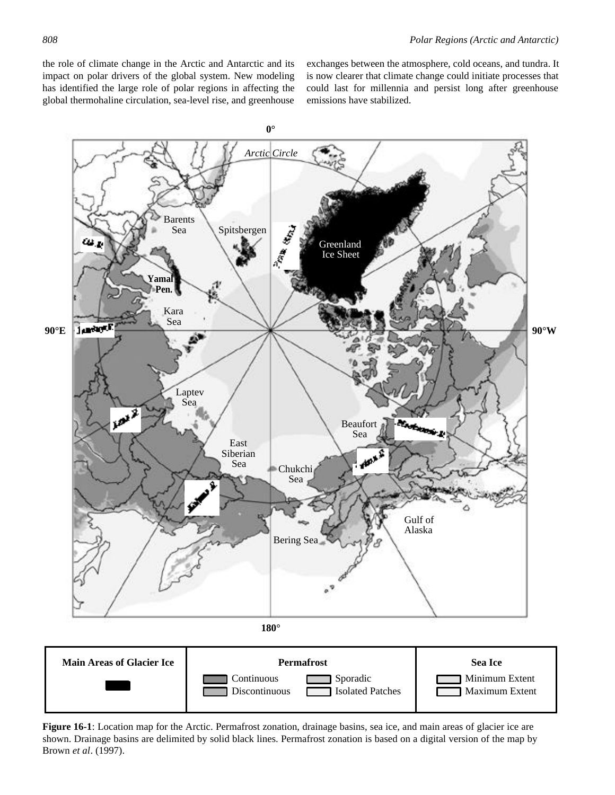the role of climate change in the Arctic and Antarctic and its impact on polar drivers of the global system. New modeling has identified the large role of polar regions in affecting the global thermohaline circulation, sea-level rise, and greenhouse exchanges between the atmosphere, cold oceans, and tundra. It is now clearer that climate change could initiate processes that could last for millennia and persist long after greenhouse emissions have stabilized.



**Figure 16-1**: Location map for the Arctic. Permafrost zonation, drainage basins, sea ice, and main areas of glacier ice are shown. Drainage basins are delimited by solid black lines. Permafrost zonation is based on a digital version of the map by Brown *et al*. (1997).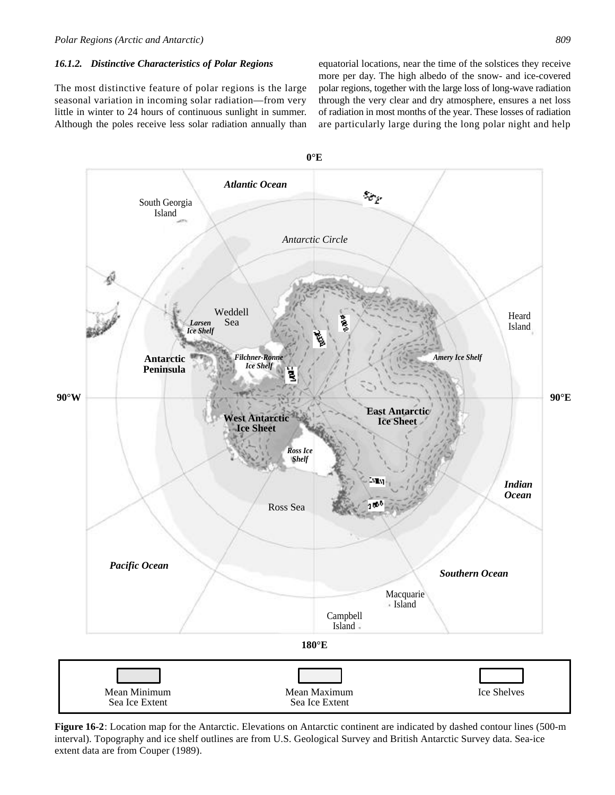#### *16.1.2. Distinctive Characteristics of Polar Regions*

The most distinctive feature of polar regions is the large seasonal variation in incoming solar radiation—from very little in winter to 24 hours of continuous sunlight in summer. Although the poles receive less solar radiation annually than equatorial locations, near the time of the solstices they receive more per day. The high albedo of the snow- and ice-covered polar regions, together with the large loss of long-wave radiation through the very clear and dry atmosphere, ensures a net loss of radiation in most months of the year. These losses of radiation are particularly large during the long polar night and help



**Figure 16-2**: Location map for the Antarctic. Elevations on Antarctic continent are indicated by dashed contour lines (500-m interval). Topography and ice shelf outlines are from U.S. Geological Survey and British Antarctic Survey data. Sea-ice extent data are from Couper (1989).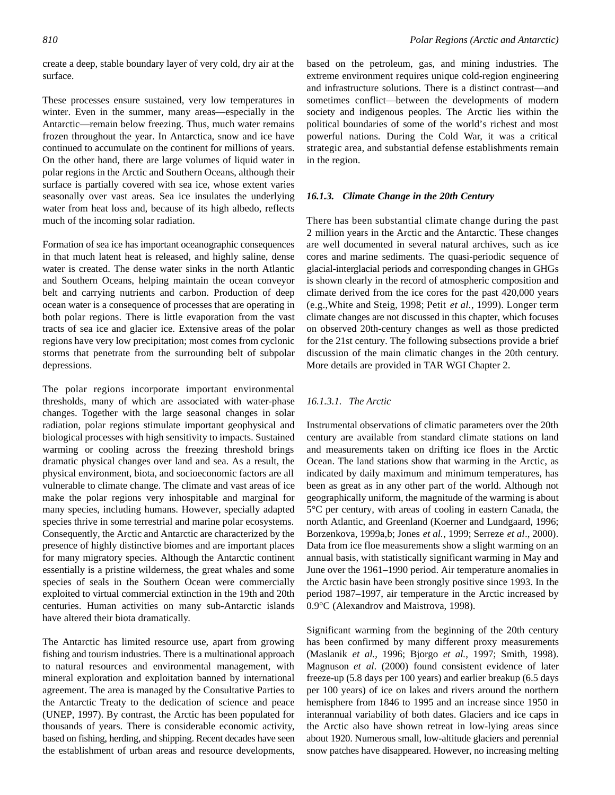create a deep, stable boundary layer of very cold, dry air at the surface.

These processes ensure sustained, very low temperatures in winter. Even in the summer, many areas—especially in the Antarctic—remain below freezing. Thus, much water remains frozen throughout the year. In Antarctica, snow and ice have continued to accumulate on the continent for millions of years. On the other hand, there are large volumes of liquid water in polar regions in the Arctic and Southern Oceans, although their surface is partially covered with sea ice, whose extent varies seasonally over vast areas. Sea ice insulates the underlying water from heat loss and, because of its high albedo, reflects much of the incoming solar radiation.

Formation of sea ice has important oceanographic consequences in that much latent heat is released, and highly saline, dense water is created. The dense water sinks in the north Atlantic and Southern Oceans, helping maintain the ocean conveyor belt and carrying nutrients and carbon. Production of deep ocean water is a consequence of processes that are operating in both polar regions. There is little evaporation from the vast tracts of sea ice and glacier ice. Extensive areas of the polar regions have very low precipitation; most comes from cyclonic storms that penetrate from the surrounding belt of subpolar depressions.

The polar regions incorporate important environmental thresholds, many of which are associated with water-phase changes. Together with the large seasonal changes in solar radiation, polar regions stimulate important geophysical and biological processes with high sensitivity to impacts. Sustained warming or cooling across the freezing threshold brings dramatic physical changes over land and sea. As a result, the physical environment, biota, and socioeconomic factors are all vulnerable to climate change. The climate and vast areas of ice make the polar regions very inhospitable and marginal for many species, including humans. However, specially adapted species thrive in some terrestrial and marine polar ecosystems. Consequently, the Arctic and Antarctic are characterized by the presence of highly distinctive biomes and are important places for many migratory species. Although the Antarctic continent essentially is a pristine wilderness, the great whales and some species of seals in the Southern Ocean were commercially exploited to virtual commercial extinction in the 19th and 20th centuries. Human activities on many sub-Antarctic islands have altered their biota dramatically.

The Antarctic has limited resource use, apart from growing fishing and tourism industries. There is a multinational approach to natural resources and environmental management, with mineral exploration and exploitation banned by international agreement. The area is managed by the Consultative Parties to the Antarctic Treaty to the dedication of science and peace (UNEP, 1997). By contrast, the Arctic has been populated for thousands of years. There is considerable economic activity, based on fishing, herding, and shipping. Recent decades have seen the establishment of urban areas and resource developments,

based on the petroleum, gas, and mining industries. The extreme environment requires unique cold-region engineering and infrastructure solutions. There is a distinct contrast—and sometimes conflict—between the developments of modern society and indigenous peoples. The Arctic lies within the political boundaries of some of the world's richest and most powerful nations. During the Cold War, it was a critical strategic area, and substantial defense establishments remain in the region.

#### *16.1.3. Climate Change in the 20th Century*

There has been substantial climate change during the past 2 million years in the Arctic and the Antarctic. These changes are well documented in several natural archives, such as ice cores and marine sediments. The quasi-periodic sequence of glacial-interglacial periods and corresponding changes in GHGs is shown clearly in the record of atmospheric composition and climate derived from the ice cores for the past 420,000 years (e.g.,White and Steig, 1998; Petit *et al.*, 1999). Longer term climate changes are not discussed in this chapter, which focuses on observed 20th-century changes as well as those predicted for the 21st century. The following subsections provide a brief discussion of the main climatic changes in the 20th century. More details are provided in TAR WGI Chapter 2.

#### *16.1.3.1. The Arctic*

Instrumental observations of climatic parameters over the 20th century are available from standard climate stations on land and measurements taken on drifting ice floes in the Arctic Ocean. The land stations show that warming in the Arctic, as indicated by daily maximum and minimum temperatures, has been as great as in any other part of the world. Although not geographically uniform, the magnitude of the warming is about 5°C per century, with areas of cooling in eastern Canada, the north Atlantic, and Greenland (Koerner and Lundgaard, 1996; Borzenkova, 1999a,b; Jones *et al.*, 1999; Serreze *et al*., 2000). Data from ice floe measurements show a slight warming on an annual basis, with statistically significant warming in May and June over the 1961–1990 period. Air temperature anomalies in the Arctic basin have been strongly positive since 1993. In the period 1987–1997, air temperature in the Arctic increased by 0.9°C (Alexandrov and Maistrova, 1998).

Significant warming from the beginning of the 20th century has been confirmed by many different proxy measurements (Maslanik *et al.*, 1996; Bjorgo *et al.*, 1997; Smith, 1998). Magnuson *et al*. (2000) found consistent evidence of later freeze-up (5.8 days per 100 years) and earlier breakup (6.5 days per 100 years) of ice on lakes and rivers around the northern hemisphere from 1846 to 1995 and an increase since 1950 in interannual variability of both dates. Glaciers and ice caps in the Arctic also have shown retreat in low-lying areas since about 1920. Numerous small, low-altitude glaciers and perennial snow patches have disappeared. However, no increasing melting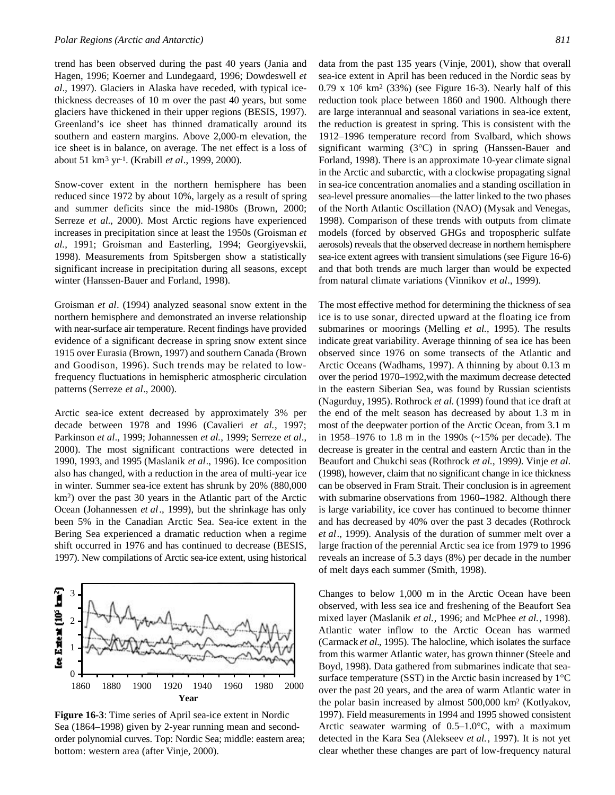trend has been observed during the past 40 years (Jania and Hagen, 1996; Koerner and Lundegaard, 1996; Dowdeswell *et al*., 1997). Glaciers in Alaska have receded, with typical icethickness decreases of 10 m over the past 40 years, but some glaciers have thickened in their upper regions (BESIS, 1997). Greenland's ice sheet has thinned dramatically around its southern and eastern margins. Above 2,000-m elevation, the ice sheet is in balance, on average. The net effect is a loss of about 51 km<sup>3</sup> yr-1. (Krabill *et al*., 1999, 2000).

Snow-cover extent in the northern hemisphere has been reduced since 1972 by about 10%, largely as a result of spring and summer deficits since the mid-1980s (Brown, 2000; Serreze *et al.*, 2000). Most Arctic regions have experienced increases in precipitation since at least the 1950s (Groisman *et al.*, 1991; Groisman and Easterling, 1994; Georgiyevskii, 1998). Measurements from Spitsbergen show a statistically significant increase in precipitation during all seasons, except winter (Hanssen-Bauer and Forland, 1998).

Groisman *et al*. (1994) analyzed seasonal snow extent in the northern hemisphere and demonstrated an inverse relationship with near-surface air temperature. Recent findings have provided evidence of a significant decrease in spring snow extent since 1915 over Eurasia (Brown, 1997) and southern Canada (Brown and Goodison, 1996). Such trends may be related to lowfrequency fluctuations in hemispheric atmospheric circulation patterns (Serreze *et al*., 2000).

Arctic sea-ice extent decreased by approximately 3% per decade between 1978 and 1996 (Cavalieri *et al.*, 1997; Parkinson *et al*., 1999; Johannessen *et al.*, 1999; Serreze *et al*., 2000). The most significant contractions were detected in 1990, 1993, and 1995 (Maslanik *et al*., 1996). Ice composition also has changed, with a reduction in the area of multi-year ice in winter*.* Summer sea-ice extent has shrunk by 20% (880,000 km2) over the past 30 years in the Atlantic part of the Arctic Ocean (Johannessen *et al*., 1999), but the shrinkage has only been 5% in the Canadian Arctic Sea. Sea-ice extent in the Bering Sea experienced a dramatic reduction when a regime shift occurred in 1976 and has continued to decrease (BESIS, 1997). New compilations of Arctic sea-ice extent, using historical



**Figure 16-3**: Time series of April sea-ice extent in Nordic Sea (1864–1998) given by 2-year running mean and secondorder polynomial curves. Top: Nordic Sea; middle: eastern area; bottom: western area (after Vinje, 2000).

data from the past 135 years (Vinje, 2001), show that overall sea-ice extent in April has been reduced in the Nordic seas by 0.79 x 10<sup>6</sup> km<sup>2</sup> (33%) (see Figure 16-3). Nearly half of this reduction took place between 1860 and 1900. Although there are large interannual and seasonal variations in sea-ice extent, the reduction is greatest in spring. This is consistent with the 1912–1996 temperature record from Svalbard, which shows significant warming (3°C) in spring (Hanssen-Bauer and Forland, 1998). There is an approximate 10-year climate signal in the Arctic and subarctic, with a clockwise propagating signal in sea-ice concentration anomalies and a standing oscillation in sea-level pressure anomalies—the latter linked to the two phases of the North Atlantic Oscillation (NAO) (Mysak and Venegas, 1998). Comparison of these trends with outputs from climate models (forced by observed GHGs and tropospheric sulfate aerosols) reveals that the observed decrease in northern hemisphere sea-ice extent agrees with transient simulations (see Figure 16-6) and that both trends are much larger than would be expected from natural climate variations (Vinnikov *et al*., 1999).

The most effective method for determining the thickness of sea ice is to use sonar, directed upward at the floating ice from submarines or moorings (Melling *et al.*, 1995). The results indicate great variability. Average thinning of sea ice has been observed since 1976 on some transects of the Atlantic and Arctic Oceans (Wadhams, 1997). A thinning by about 0.13 m over the period 1970–1992,with the maximum decrease detected in the eastern Siberian Sea, was found by Russian scientists (Nagurduy, 1995). Rothrock *et al*. (1999) found that ice draft at the end of the melt season has decreased by about 1.3 m in most of the deepwater portion of the Arctic Ocean, from 3.1 m in 1958–1976 to 1.8 m in the 1990s (~15% per decade). The decrease is greater in the central and eastern Arctic than in the Beaufort and Chukchi seas (Rothrock *et al.*, 1999*).* Vinje *et al*. (1998), however, claim that no significant change in ice thickness can be observed in Fram Strait. Their conclusion is in agreement with submarine observations from 1960–1982. Although there is large variability, ice cover has continued to become thinner and has decreased by 40% over the past 3 decades (Rothrock *et al*., 1999). Analysis of the duration of summer melt over a large fraction of the perennial Arctic sea ice from 1979 to 1996 reveals an increase of 5.3 days (8%) per decade in the number of melt days each summer (Smith, 1998).

Changes to below 1,000 m in the Arctic Ocean have been observed, with less sea ice and freshening of the Beaufort Sea mixed layer (Maslanik *et al.*, 1996; and McPhee *et al.*, 1998). Atlantic water inflow to the Arctic Ocean has warmed (Carmack *et al.*, 1995). The halocline, which isolates the surface from this warmer Atlantic water, has grown thinner (Steele and Boyd, 1998). Data gathered from submarines indicate that seasurface temperature (SST) in the Arctic basin increased by 1°C over the past 20 years, and the area of warm Atlantic water in the polar basin increased by almost 500,000 km<sup>2</sup> (Kotlyakov, 1997). Field measurements in 1994 and 1995 showed consistent Arctic seawater warming of  $0.5-1.0$ °C, with a maximum detected in the Kara Sea (Alekseev *et al.*, 1997). It is not yet clear whether these changes are part of low-frequency natural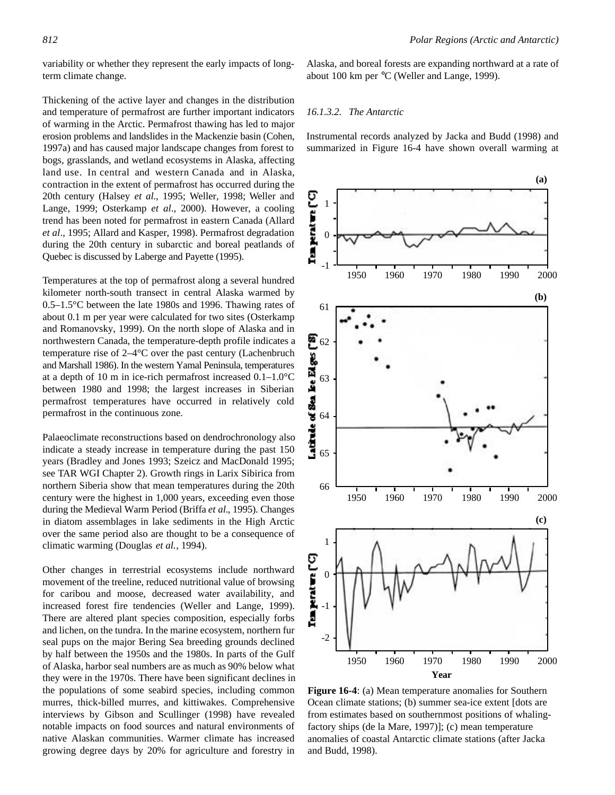variability or whether they represent the early impacts of longterm climate change.

Thickening of the active layer and changes in the distribution and temperature of permafrost are further important indicators of warming in the Arctic. Permafrost thawing has led to major erosion problems and landslides in the Mackenzie basin (Cohen, 1997a) and has caused major landscape changes from forest to bogs, grasslands, and wetland ecosystems in Alaska, affecting land use. In central and western Canada and in Alaska, contraction in the extent of permafrost has occurred during the 20th century (Halsey *et al*., 1995; Weller, 1998; Weller and Lange, 1999; Osterkamp *et al*., 2000). However, a cooling trend has been noted for permafrost in eastern Canada (Allard *et al*., 1995; Allard and Kasper, 1998). Permafrost degradation during the 20th century in subarctic and boreal peatlands of Quebec is discussed by Laberge and Payette (1995).

Temperatures at the top of permafrost along a several hundred kilometer north-south transect in central Alaska warmed by 0.5–1.5°C between the late 1980s and 1996. Thawing rates of about 0.1 m per year were calculated for two sites (Osterkamp and Romanovsky, 1999). On the north slope of Alaska and in northwestern Canada, the temperature-depth profile indicates a temperature rise of 2–4°C over the past century (Lachenbruch and Marshall 1986). In the western Yamal Peninsula, temperatures at a depth of 10 m in ice-rich permafrost increased 0.1–1.0°C between 1980 and 1998; the largest increases in Siberian permafrost temperatures have occurred in relatively cold permafrost in the continuous zone.

Palaeoclimate reconstructions based on dendrochronology also indicate a steady increase in temperature during the past 150 years (Bradley and Jones 1993; Szeicz and MacDonald 1995; see TAR WGI Chapter 2). Growth rings in Larix Sibirica from northern Siberia show that mean temperatures during the 20th century were the highest in 1,000 years, exceeding even those during the Medieval Warm Period (Briffa *et al.*, 1995). Changes in diatom assemblages in lake sediments in the High Arctic over the same period also are thought to be a consequence of climatic warming (Douglas *et al.*, 1994).

Other changes in terrestrial ecosystems include northward movement of the treeline, reduced nutritional value of browsing for caribou and moose, decreased water availability, and increased forest fire tendencies (Weller and Lange, 1999). There are altered plant species composition, especially forbs and lichen, on the tundra. In the marine ecosystem, northern fur seal pups on the major Bering Sea breeding grounds declined by half between the 1950s and the 1980s. In parts of the Gulf of Alaska, harbor seal numbers are as much as 90% below what they were in the 1970s. There have been significant declines in the populations of some seabird species, including common murres, thick-billed murres, and kittiwakes. Comprehensive interviews by Gibson and Scullinger (1998) have revealed notable impacts on food sources and natural environments of native Alaskan communities. Warmer climate has increased growing degree days by 20% for agriculture and forestry in

Alaska, and boreal forests are expanding northward at a rate of about 100 km per °C (Weller and Lange, 1999).

#### *16.1.3.2. The Antarctic*

Instrumental records analyzed by Jacka and Budd (1998) and summarized in Figure 16-4 have shown overall warming at



**Figure 16-4**: (a) Mean temperature anomalies for Southern Ocean climate stations; (b) summer sea-ice extent [dots are from estimates based on southernmost positions of whalingfactory ships (de la Mare, 1997)]; (c) mean temperature anomalies of coastal Antarctic climate stations (after Jacka and Budd, 1998).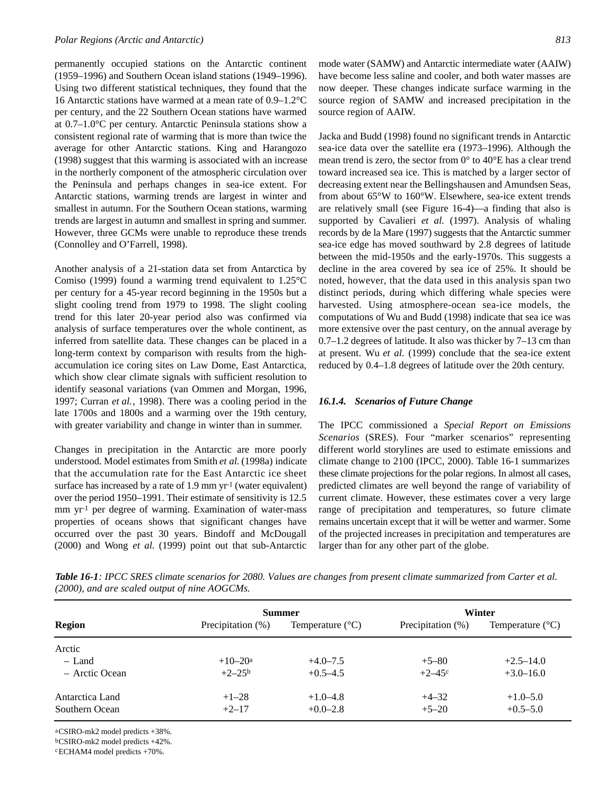permanently occupied stations on the Antarctic continent (1959–1996) and Southern Ocean island stations (1949–1996). Using two different statistical techniques, they found that the 16 Antarctic stations have warmed at a mean rate of 0.9–1.2°C per century, and the 22 Southern Ocean stations have warmed at 0.7–1.0°C per century. Antarctic Peninsula stations show a consistent regional rate of warming that is more than twice the average for other Antarctic stations. King and Harangozo (1998) suggest that this warming is associated with an increase in the northerly component of the atmospheric circulation over the Peninsula and perhaps changes in sea-ice extent. For Antarctic stations, warming trends are largest in winter and smallest in autumn. For the Southern Ocean stations, warming trends are largest in autumn and smallest in spring and summer. However, three GCMs were unable to reproduce these trends (Connolley and O'Farrell, 1998).

Another analysis of a 21-station data set from Antarctica by Comiso (1999) found a warming trend equivalent to 1.25°C per century for a 45-year record beginning in the 1950s but a slight cooling trend from 1979 to 1998. The slight cooling trend for this later 20-year period also was confirmed via analysis of surface temperatures over the whole continent, as inferred from satellite data. These changes can be placed in a long-term context by comparison with results from the highaccumulation ice coring sites on Law Dome, East Antarctica, which show clear climate signals with sufficient resolution to identify seasonal variations (van Ommen and Morgan, 1996, 1997; Curran *et al.*, 1998). There was a cooling period in the late 1700s and 1800s and a warming over the 19th century, with greater variability and change in winter than in summer.

Changes in precipitation in the Antarctic are more poorly understood. Model estimates from Smith *et al.* (1998a) indicate that the accumulation rate for the East Antarctic ice sheet surface has increased by a rate of 1.9 mm  $yr<sup>-1</sup>$  (water equivalent) over the period 1950–1991. Their estimate of sensitivity is 12.5 mm yr-1 per degree of warming. Examination of water-mass properties of oceans shows that significant changes have occurred over the past 30 years. Bindoff and McDougall (2000) and Wong *et al.* (1999) point out that sub-Antarctic

mode water (SAMW) and Antarctic intermediate water (AAIW) have become less saline and cooler, and both water masses are now deeper. These changes indicate surface warming in the source region of SAMW and increased precipitation in the source region of AAIW.

Jacka and Budd (1998) found no significant trends in Antarctic sea-ice data over the satellite era (1973–1996). Although the mean trend is zero, the sector from 0° to 40°E has a clear trend toward increased sea ice. This is matched by a larger sector of decreasing extent near the Bellingshausen and Amundsen Seas, from about 65°W to 160°W. Elsewhere, sea-ice extent trends are relatively small (see Figure 16-4)—a finding that also is supported by Cavalieri *et al.* (1997). Analysis of whaling records by de la Mare (1997) suggests that the Antarctic summer sea-ice edge has moved southward by 2.8 degrees of latitude between the mid-1950s and the early-1970s. This suggests a decline in the area covered by sea ice of 25%. It should be noted, however, that the data used in this analysis span two distinct periods, during which differing whale species were harvested. Using atmosphere-ocean sea-ice models, the computations of Wu and Budd (1998) indicate that sea ice was more extensive over the past century, on the annual average by 0.7–1.2 degrees of latitude. It also was thicker by 7–13 cm than at present. Wu *et al.* (1999) conclude that the sea-ice extent reduced by 0.4–1.8 degrees of latitude over the 20th century.

#### *16.1.4. Scenarios of Future Change*

The IPCC commissioned a *Special Report on Emissions Scenarios* (SRES). Four "marker scenarios" representing different world storylines are used to estimate emissions and climate change to 2100 (IPCC, 2000). Table 16-1 summarizes these climate projections for the polar regions. In almost all cases, predicted climates are well beyond the range of variability of current climate. However, these estimates cover a very large range of precipitation and temperatures, so future climate remains uncertain except that it will be wetter and warmer. Some of the projected increases in precipitation and temperatures are larger than for any other part of the globe.

*Table 16-1: IPCC SRES climate scenarios for 2080. Values are changes from present climate summarized from Carter et al. (2000), and are scaled output of nine AOGCMs.*

|                 | <b>Summer</b>     |                           | Winter            |                           |
|-----------------|-------------------|---------------------------|-------------------|---------------------------|
| <b>Region</b>   | Precipitation (%) | Temperature $(^{\circ}C)$ | Precipitation (%) | Temperature $(^{\circ}C)$ |
| Arctic          |                   |                           |                   |                           |
| $-$ Land        | $+10-20a$         | $+4.0 - 7.5$              | $+5-80$           | $+2.5-14.0$               |
| - Arctic Ocean  | $+2-25b$          | $+0.5-4.5$                | $+2 - 45c$        | $+3.0 - 16.0$             |
| Antarctica Land | $+1-28$           | $+1.0 - 4.8$              | $+4-32$           | $+1.0 - 5.0$              |
| Southern Ocean  | $+2-17$           | $+0.0 - 2.8$              | $+5-20$           | $+0.5-5.0$                |

aCSIRO-mk2 model predicts +38%.

bCSIRO-mk2 model predicts +42%.

cECHAM4 model predicts +70%.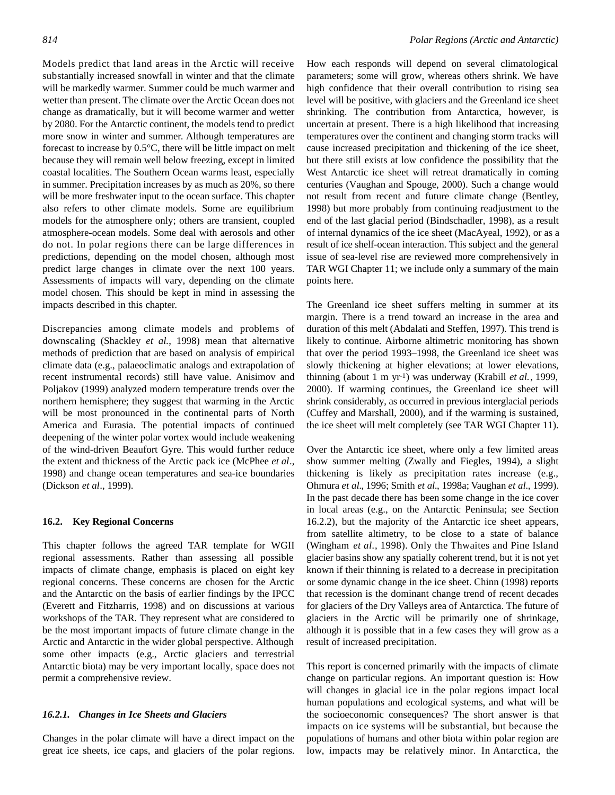Models predict that land areas in the Arctic will receive substantially increased snowfall in winter and that the climate will be markedly warmer. Summer could be much warmer and wetter than present. The climate over the Arctic Ocean does not change as dramatically, but it will become warmer and wetter by 2080. For the Antarctic continent, the models tend to predict more snow in winter and summer. Although temperatures are forecast to increase by 0.5°C, there will be little impact on melt because they will remain well below freezing, except in limited coastal localities. The Southern Ocean warms least, especially in summer. Precipitation increases by as much as 20%, so there will be more freshwater input to the ocean surface. This chapter also refers to other climate models. Some are equilibrium models for the atmosphere only; others are transient, coupled atmosphere-ocean models. Some deal with aerosols and other do not. In polar regions there can be large differences in predictions, depending on the model chosen, although most predict large changes in climate over the next 100 years. Assessments of impacts will vary, depending on the climate model chosen. This should be kept in mind in assessing the impacts described in this chapter.

Discrepancies among climate models and problems of downscaling (Shackley *et al.*, 1998) mean that alternative methods of prediction that are based on analysis of empirical climate data (e.g., palaeoclimatic analogs and extrapolation of recent instrumental records) still have value. Anisimov and Poljakov (1999) analyzed modern temperature trends over the northern hemisphere; they suggest that warming in the Arctic will be most pronounced in the continental parts of North America and Eurasia. The potential impacts of continued deepening of the winter polar vortex would include weakening of the wind-driven Beaufort Gyre. This would further reduce the extent and thickness of the Arctic pack ice (McPhee *et al*., 1998) and change ocean temperatures and sea-ice boundaries (Dickson *et al*., 1999).

#### **16.2. Key Regional Concerns**

This chapter follows the agreed TAR template for WGII regional assessments. Rather than assessing all possible impacts of climate change, emphasis is placed on eight key regional concerns. These concerns are chosen for the Arctic and the Antarctic on the basis of earlier findings by the IPCC (Everett and Fitzharris, 1998) and on discussions at various workshops of the TAR. They represent what are considered to be the most important impacts of future climate change in the Arctic and Antarctic in the wider global perspective. Although some other impacts (e.g., Arctic glaciers and terrestrial Antarctic biota) may be very important locally, space does not permit a comprehensive review.

#### *16.2.1. Changes in Ice Sheets and Glaciers*

Changes in the polar climate will have a direct impact on the great ice sheets, ice caps, and glaciers of the polar regions. How each responds will depend on several climatological parameters; some will grow, whereas others shrink. We have high confidence that their overall contribution to rising sea level will be positive, with glaciers and the Greenland ice sheet shrinking. The contribution from Antarctica, however, is uncertain at present. There is a high likelihood that increasing temperatures over the continent and changing storm tracks will cause increased precipitation and thickening of the ice sheet, but there still exists at low confidence the possibility that the West Antarctic ice sheet will retreat dramatically in coming centuries (Vaughan and Spouge, 2000). Such a change would not result from recent and future climate change (Bentley, 1998) but more probably from continuing readjustment to the end of the last glacial period (Bindschadler, 1998), as a result of internal dynamics of the ice sheet (MacAyeal, 1992), or as a result of ice shelf-ocean interaction. This subject and the general issue of sea-level rise are reviewed more comprehensively in TAR WGI Chapter 11; we include only a summary of the main points here.

The Greenland ice sheet suffers melting in summer at its margin. There is a trend toward an increase in the area and duration of this melt (Abdalati and Steffen, 1997). This trend is likely to continue. Airborne altimetric monitoring has shown that over the period 1993–1998, the Greenland ice sheet was slowly thickening at higher elevations; at lower elevations, thinning (about 1 m yr-1) was underway (Krabill *et al.*, 1999, 2000). If warming continues, the Greenland ice sheet will shrink considerably, as occurred in previous interglacial periods (Cuffey and Marshall, 2000), and if the warming is sustained, the ice sheet will melt completely (see TAR WGI Chapter 11).

Over the Antarctic ice sheet, where only a few limited areas show summer melting (Zwally and Fiegles, 1994), a slight thickening is likely as precipitation rates increase (e.g., Ohmura *et al.*, 1996; Smith *et al.*, 1998a; Vaughan *et al.*, 1999). In the past decade there has been some change in the ice cover in local areas (e.g., on the Antarctic Peninsula; see Section 16.2.2), but the majority of the Antarctic ice sheet appears, from satellite altimetry, to be close to a state of balance (Wingham *et al.*, 1998). Only the Thwaites and Pine Island glacier basins show any spatially coherent trend, but it is not yet known if their thinning is related to a decrease in precipitation or some dynamic change in the ice sheet. Chinn (1998) reports that recession is the dominant change trend of recent decades for glaciers of the Dry Valleys area of Antarctica. The future of glaciers in the Arctic will be primarily one of shrinkage, although it is possible that in a few cases they will grow as a result of increased precipitation.

This report is concerned primarily with the impacts of climate change on particular regions. An important question is: How will changes in glacial ice in the polar regions impact local human populations and ecological systems, and what will be the socioeconomic consequences? The short answer is that impacts on ice systems will be substantial, but because the populations of humans and other biota within polar region are low, impacts may be relatively minor. In Antarctica, the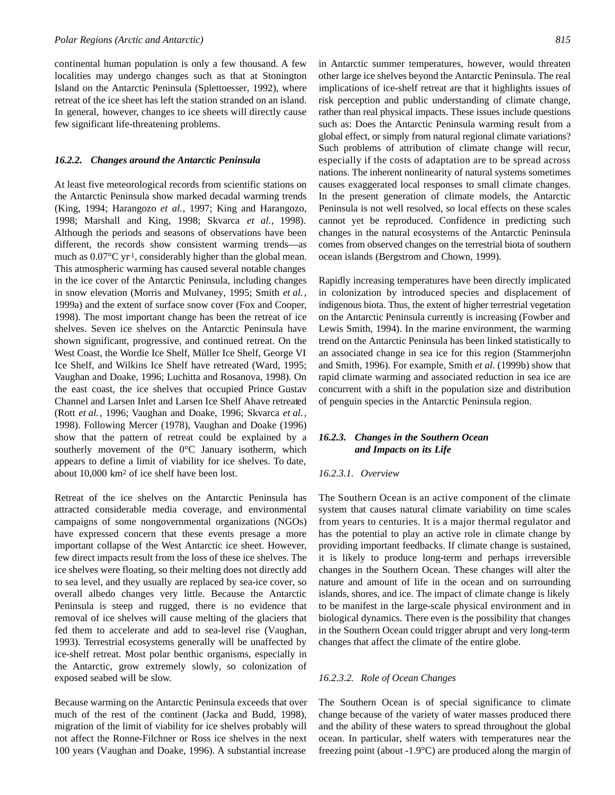continental human population is only a few thousand. A few localities may undergo changes such as that at Stonington Island on the Antarctic Peninsula (Splettoesser, 1992), where retreat of the ice sheet has left the station stranded on an island. In general, however, changes to ice sheets will directly cause few significant life-threatening problems.

#### *16.2.2. Changes around the Antarctic Peninsula*

At least five meteorological records from scientific stations on the Antarctic Peninsula show marked decadal warming trends (King, 1994; Harangozo *et al.*, 1997; King and Harangozo, 1998; Marshall and King, 1998; Skvarca *et al.*, 1998). Although the periods and seasons of observations have been different, the records show consistent warming trends—as much as  $0.07^{\circ}$ C yr<sup>1</sup>, considerably higher than the global mean. This atmospheric warming has caused several notable changes in the ice cover of the Antarctic Peninsula, including changes in snow elevation (Morris and Mulvaney, 1995; Smith *et al.*, 1999a) and the extent of surface snow cover (Fox and Cooper, 1998). The most important change has been the retreat of ice shelves. Seven ice shelves on the Antarctic Peninsula have shown significant, progressive, and continued retreat. On the West Coast, the Wordie Ice Shelf, Müller Ice Shelf, George VI Ice Shelf, and Wilkins Ice Shelf have retreated (Ward, 1995; Vaughan and Doake, 1996; Luchitta and Rosanova, 1998). On the east coast, the ice shelves that occupied Prince Gustav Channel and Larsen Inlet and Larsen Ice Shelf Ahave retreated (Rott *et al.*, 1996; Vaughan and Doake, 1996; Skvarca *et al.*, 1998). Following Mercer (1978), Vaughan and Doake (1996) show that the pattern of retreat could be explained by a southerly movement of the 0°C January isotherm, which appears to define a limit of viability for ice shelves. To date, about 10,000 km<sup>2</sup> of ice shelf have been lost.

Retreat of the ice shelves on the Antarctic Peninsula has attracted considerable media coverage, and environmental campaigns of some nongovernmental organizations (NGOs) have expressed concern that these events presage a more important collapse of the West Antarctic ice sheet. However, few direct impacts result from the loss of these ice shelves. The ice shelves were floating, so their melting does not directly add to sea level, and they usually are replaced by sea-ice cover, so overall albedo changes very little. Because the Antarctic Peninsula is steep and rugged, there is no evidence that removal of ice shelves will cause melting of the glaciers that fed them to accelerate and add to sea-level rise (Vaughan, 1993). Terrestrial ecosystems generally will be unaffected by ice-shelf retreat. Most polar benthic organisms, especially in the Antarctic, grow extremely slowly, so colonization of exposed seabed will be slow.

Because warming on the Antarctic Peninsula exceeds that over much of the rest of the continent (Jacka and Budd, 1998), migration of the limit of viability for ice shelves probably will not affect the Ronne-Filchner or Ross ice shelves in the next 100 years (Vaughan and Doake, 1996). A substantial increase

in Antarctic summer temperatures, however, would threaten other large ice shelves beyond the Antarctic Peninsula. The real implications of ice-shelf retreat are that it highlights issues of risk perception and public understanding of climate change, rather than real physical impacts. These issues include questions such as: Does the Antarctic Peninsula warming result from a global effect, or simply from natural regional climate variations? Such problems of attribution of climate change will recur, especially if the costs of adaptation are to be spread across nations. The inherent nonlinearity of natural systems sometimes causes exaggerated local responses to small climate changes. In the present generation of climate models, the Antarctic Peninsula is not well resolved, so local effects on these scales cannot yet be reproduced. Confidence in predicting such changes in the natural ecosystems of the Antarctic Peninsula comes from observed changes on the terrestrial biota of southern ocean islands (Bergstrom and Chown, 1999).

Rapidly increasing temperatures have been directly implicated in colonization by introduced species and displacement of indigenous biota. Thus, the extent of higher terrestrial vegetation on the Antarctic Peninsula currently is increasing (Fowber and Lewis Smith, 1994). In the marine environment, the warming trend on the Antarctic Peninsula has been linked statistically to an associated change in sea ice for this region (Stammerjohn and Smith, 1996). For example, Smith *et al*. (1999b) show that rapid climate warming and associated reduction in sea ice are concurrent with a shift in the population size and distribution of penguin species in the Antarctic Peninsula region.

#### *16.2.3. Changes in the Southern Ocean and Impacts on its Life*

#### *16.2.3.1. Overview*

The Southern Ocean is an active component of the climate system that causes natural climate variability on time scales from years to centuries. It is a major thermal regulator and has the potential to play an active role in climate change by providing important feedbacks. If climate change is sustained, it is likely to produce long-term and perhaps irreversible changes in the Southern Ocean. These changes will alter the nature and amount of life in the ocean and on surrounding islands, shores, and ice. The impact of climate change is likely to be manifest in the large-scale physical environment and in biological dynamics. There even is the possibility that changes in the Southern Ocean could trigger abrupt and very long-term changes that affect the climate of the entire globe.

#### *16.2.3.2. Role of Ocean Changes*

The Southern Ocean is of special significance to climate change because of the variety of water masses produced there and the ability of these waters to spread throughout the global ocean. In particular, shelf waters with temperatures near the freezing point (about -1.9°C) are produced along the margin of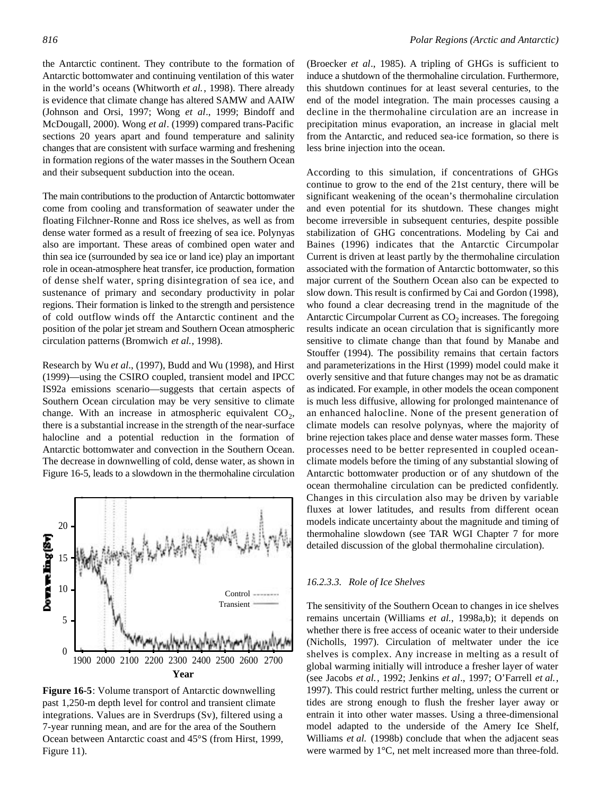the Antarctic continent. They contribute to the formation of Antarctic bottomwater and continuing ventilation of this water in the world's oceans (Whitworth *et al.*, 1998). There already is evidence that climate change has altered SAMW and AAIW (Johnson and Orsi, 1997; Wong *et al*., 1999; Bindoff and McDougall, 2000). Wong *et al*. (1999) compared trans-Pacific sections 20 years apart and found temperature and salinity changes that are consistent with surface warming and freshening in formation regions of the water masses in the Southern Ocean and their subsequent subduction into the ocean.

The main contributions to the production of Antarctic bottomwater come from cooling and transformation of seawater under the floating Filchner-Ronne and Ross ice shelves, as well as from dense water formed as a result of freezing of sea ice. Polynyas also are important. These areas of combined open water and thin sea ice (surrounded by sea ice or land ice) play an important role in ocean-atmosphere heat transfer, ice production, formation of dense shelf water, spring disintegration of sea ice, and sustenance of primary and secondary productivity in polar regions. Their formation is linked to the strength and persistence of cold outflow winds off the Antarctic continent and the position of the polar jet stream and Southern Ocean atmospheric circulation patterns (Bromwich *et al.*, 1998).

Research by Wu *et al*., (1997), Budd and Wu (1998), and Hirst (1999)—using the CSIRO coupled, transient model and IPCC IS92a emissions scenario—suggests that certain aspects of Southern Ocean circulation may be very sensitive to climate change. With an increase in atmospheric equivalent  $CO<sub>2</sub>$ , there is a substantial increase in the strength of the near-surface halocline and a potential reduction in the formation of Antarctic bottomwater and convection in the Southern Ocean. The decrease in downwelling of cold, dense water, as shown in Figure 16-5, leads to a slowdown in the thermohaline circulation



**Figure 16-5:** Volume transport of Antarctic downwelling past 1,250-m depth level for control and transient climate integrations. Values are in Sverdrups (Sv), filtered using a 7 -year running mean, and are for the area of the Southern Ocean between Antarctic coast and 45°S (from Hirst, 1999, Figure 11).

(Broecker *et al*., 1985). A tripling of GHGs is sufficient to induce a shutdown of the thermohaline circulation. Furthermore, this shutdown continues for at least several centuries, to the end of the model integration. The main processes causing a decline in the thermohaline circulation are an increase in precipitation minus evaporation, an increase in glacial melt from the Antarctic, and reduced sea-ice formation, so there is less brine injection into the ocean.

According to this simulation, if concentrations of GHGs continue to grow to the end of the 21st century, there will be significant weakening of the ocean's thermohaline circulation and even potential for its shutdown. These changes might become irreversible in subsequent centuries, despite possible stabilization of GHG concentrations. Modeling by Cai and Baines (1996) indicates that the Antarctic Circumpolar Current is driven at least partly by the thermohaline circulation associated with the formation of Antarctic bottomwater, so this major current of the Southern Ocean also can be expected to slow down. This result is confirmed by Cai and Gordon (1998), who found a clear decreasing trend in the magnitude of the Antarctic Circumpolar Current as  $CO<sub>2</sub>$  increases. The foregoing results indicate an ocean circulation that is significantly more sensitive to climate change than that found by Manabe and Stouffer (1994). The possibility remains that certain factors and parameterizations in the Hirst (1999) model could make it overly sensitive and that future changes may not be as dramatic as indicated. For example, in other models the ocean component is much less diffusive, allowing for prolonged maintenance of an enhanced halocline. None of the present generation of climate models can resolve polynyas, where the majority of brine rejection takes place and dense water masses form. These processes need to be better represented in coupled oceanclimate models before the timing of any substantial slowing of Antarctic bottomwater production or of any shutdown of the ocean thermohaline circulation can be predicted confidently. Changes in this circulation also may be driven by variable fluxes at lower latitudes, and results from different ocean models indicate uncertainty about the magnitude and timing of thermohaline slowdown (see TAR WGI Chapter 7 for more detailed discussion of the global thermohaline circulation).

#### *16.2.3.3. Role of Ice Shelves*

The sensitivity of the Southern Ocean to changes in ice shelves remains uncertain (Williams *et al.*, 1998a,b); it depends on whether there is free access of oceanic water to their underside (Nicholls, 1997). Circulation of meltwater under the ice shelves is complex. Any increase in melting as a result of global warming initially will introduce a fresher layer of water (see Jacobs *et al.*, 1992; Jenkins *et al*., 1997; O'Farrell *et al.*, 1997). This could restrict further melting, unless the current or tides are strong enough to flush the fresher layer away or entrain it into other water masses. Using a three-dimensional model adapted to the underside of the Amery Ice Shelf, Williams *et al.* (1998b) conclude that when the adjacent seas were warmed by 1°C, net melt increased more than three-fold.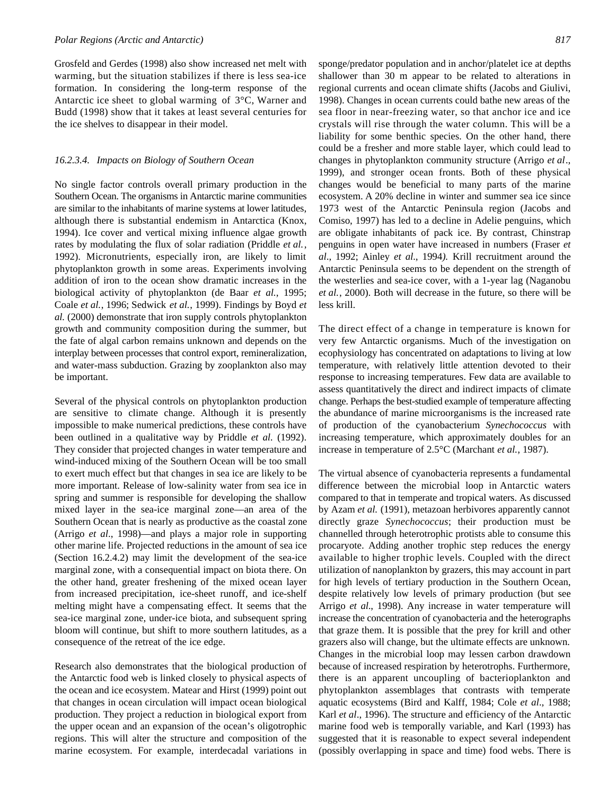Grosfeld and Gerdes (1998) also show increased net melt with warming, but the situation stabilizes if there is less sea-ice formation. In considering the long-term response of the Antarctic ice sheet to global warming of 3°C, Warner and Budd (1998) show that it takes at least several centuries for the ice shelves to disappear in their model.

#### *16.2.3.4. Impacts on Biology of Southern Ocean*

No single factor controls overall primary production in the Southern Ocean. The organisms in Antarctic marine communities are similar to the inhabitants of marine systems at lower latitudes, although there is substantial endemism in Antarctica (Knox, 1994). Ice cover and vertical mixing influence algae growth rates by modulating the flux of solar radiation (Priddle *et al.*, 1992). Micronutrients, especially iron, are likely to limit phytoplankton growth in some areas. Experiments involving addition of iron to the ocean show dramatic increases in the biological activity of phytoplankton (de Baar *et al.*, 1995; Coale *et al.*, 1996; Sedwick *et al.*, 1999). Findings by Boyd *et al.* (2000) demonstrate that iron supply controls phytoplankton growth and community composition during the summer, but the fate of algal carbon remains unknown and depends on the interplay between processes that control export, remineralization, and water-mass subduction. Grazing by zooplankton also may be important.

Several of the physical controls on phytoplankton production are sensitive to climate change. Although it is presently impossible to make numerical predictions, these controls have been outlined in a qualitative way by Priddle *et al.* (1992). They consider that projected changes in water temperature and wind-induced mixing of the Southern Ocean will be too small to exert much effect but that changes in sea ice are likely to be more important. Release of low-salinity water from sea ice in spring and summer is responsible for developing the shallow mixed layer in the sea-ice marginal zone—an area of the Southern Ocean that is nearly as productive as the coastal zone (Arrigo *et al*., 1998)—and plays a major role in supporting other marine life. Projected reductions in the amount of sea ice (Section 16.2.4.2) may limit the development of the sea-ice marginal zone, with a consequential impact on biota there. On the other hand, greater freshening of the mixed ocean layer from increased precipitation, ice-sheet runoff, and ice-shelf melting might have a compensating effect. It seems that the sea-ice marginal zone, under-ice biota, and subsequent spring bloom will continue, but shift to more southern latitudes, as a consequence of the retreat of the ice edge.

Research also demonstrates that the biological production of the Antarctic food web is linked closely to physical aspects of the ocean and ice ecosystem. Matear and Hirst (1999) point out that changes in ocean circulation will impact ocean biological production. They project a reduction in biological export from the upper ocean and an expansion of the ocean's oligotrophic regions. This will alter the structure and composition of the marine ecosystem. For example, interdecadal variations in

sponge/predator population and in anchor/platelet ice at depths shallower than 30 m appear to be related to alterations in regional currents and ocean climate shifts (Jacobs and Giulivi, 1998). Changes in ocean currents could bathe new areas of the sea floor in near-freezing water, so that anchor ice and ice crystals will rise through the water column. This will be a liability for some benthic species. On the other hand, there could be a fresher and more stable layer, which could lead to changes in phytoplankton community structure (Arrigo *et al*., 1999), and stronger ocean fronts. Both of these physical changes would be beneficial to many parts of the marine ecosystem. A 20% decline in winter and summer sea ice since 1973 west of the Antarctic Peninsula region (Jacobs and Comiso, 1997) has led to a decline in Adelie penguins, which are obligate inhabitants of pack ice. By contrast, Chinstrap penguins in open water have increased in numbers (Fraser *et al*., 1992; Ainley *et al.*, 1994*).* Krill recruitment around the Antarctic Peninsula seems to be dependent on the strength of the westerlies and sea-ice cover, with a 1-year lag (Naganobu *et al.*, 2000). Both will decrease in the future, so there will be less krill.

The direct effect of a change in temperature is known for very few Antarctic organisms. Much of the investigation on ecophysiology has concentrated on adaptations to living at low temperature, with relatively little attention devoted to their response to increasing temperatures. Few data are available to assess quantitatively the direct and indirect impacts of climate change. Perhaps the best-studied example of temperature affecting the abundance of marine microorganisms is the increased rate of production of the cyanobacterium *Synechococcus* with increasing temperature, which approximately doubles for an increase in temperature of 2.5°C (Marchant *et al.*, 1987).

The virtual absence of cyanobacteria represents a fundamental difference between the microbial loop in Antarctic waters compared to that in temperate and tropical waters. As discussed by Azam *et al.* (1991), metazoan herbivores apparently cannot directly graze *Synechococcus*; their production must be channelled through heterotrophic protists able to consume this procaryote. Adding another trophic step reduces the energy available to higher trophic levels. Coupled with the direct utilization of nanoplankton by grazers, this may account in part for high levels of tertiary production in the Southern Ocean, despite relatively low levels of primary production (but see Arrigo *et al*., 1998). Any increase in water temperature will increase the concentration of cyanobacteria and the heterographs that graze them. It is possible that the prey for krill and other grazers also will change, but the ultimate effects are unknown. Changes in the microbial loop may lessen carbon drawdown because of increased respiration by heterotrophs. Furthermore, there is an apparent uncoupling of bacterioplankton and phytoplankton assemblages that contrasts with temperate aquatic ecosystems (Bird and Kalff, 1984; Cole *et al*., 1988; Karl *et al*., 1996). The structure and efficiency of the Antarctic marine food web is temporally variable, and Karl (1993) has suggested that it is reasonable to expect several independent (possibly overlapping in space and time) food webs. There is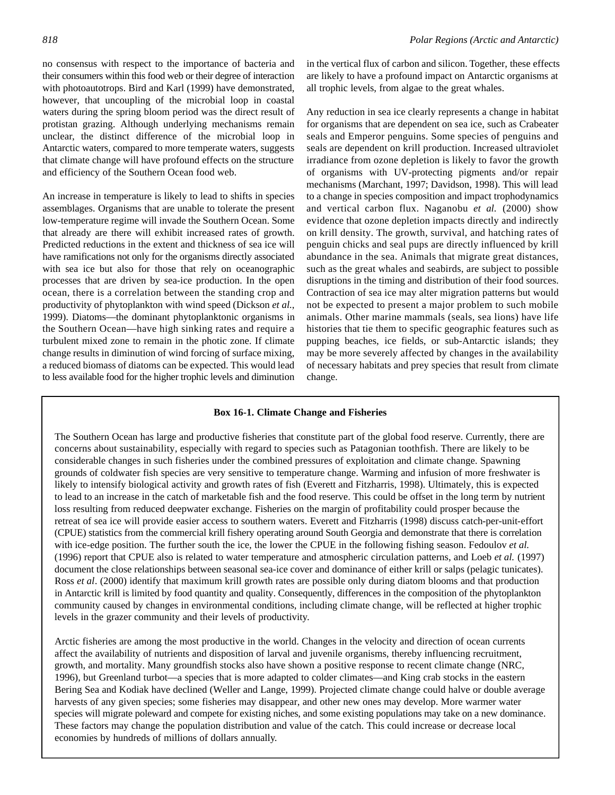no consensus with respect to the importance of bacteria and their consumers within this food web or their degree of interaction with photoautotrops. Bird and Karl (1999) have demonstrated, however, that uncoupling of the microbial loop in coastal waters during the spring bloom period was the direct result of protistan grazing. Although underlying mechanisms remain unclear, the distinct difference of the microbial loop in Antarctic waters, compared to more temperate waters, suggests that climate change will have profound effects on the structure and efficiency of the Southern Ocean food web.

An increase in temperature is likely to lead to shifts in species assemblages. Organisms that are unable to tolerate the present low-temperature regime will invade the Southern Ocean. Some that already are there will exhibit increased rates of growth. Predicted reductions in the extent and thickness of sea ice will have ramifications not only for the organisms directly associated with sea ice but also for those that rely on oceanographic processes that are driven by sea-ice production. In the open ocean, there is a correlation between the standing crop and productivity of phytoplankton with wind speed (Dickson *et al.*, 1999). Diatoms—the dominant phytoplanktonic organisms in the Southern Ocean—have high sinking rates and require a turbulent mixed zone to remain in the photic zone. If climate change results in diminution of wind forcing of surface mixing, a reduced biomass of diatoms can be expected. This would lead to less available food for the higher trophic levels and diminution in the vertical flux of carbon and silicon. Together, these effects are likely to have a profound impact on Antarctic organisms at all trophic levels, from algae to the great whales.

Any reduction in sea ice clearly represents a change in habitat for organisms that are dependent on sea ice, such as Crabeater seals and Emperor penguins. Some species of penguins and seals are dependent on krill production. Increased ultraviolet irradiance from ozone depletion is likely to favor the growth of organisms with UV-protecting pigments and/or repair mechanisms (Marchant, 1997; Davidson, 1998). This will lead to a change in species composition and impact trophodynamics and vertical carbon flux. Naganobu *et al.* (2000) show evidence that ozone depletion impacts directly and indirectly on krill density. The growth, survival, and hatching rates of penguin chicks and seal pups are directly influenced by krill abundance in the sea. Animals that migrate great distances, such as the great whales and seabirds, are subject to possible disruptions in the timing and distribution of their food sources. Contraction of sea ice may alter migration patterns but would not be expected to present a major problem to such mobile animals. Other marine mammals (seals, sea lions) have life histories that tie them to specific geographic features such as pupping beaches, ice fields, or sub-Antarctic islands; they may be more severely affected by changes in the availability of necessary habitats and prey species that result from climate change.

#### **Box 16-1. Climate Change and Fisheries**

The Southern Ocean has large and productive fisheries that constitute part of the global food reserve. Currently, there are concerns about sustainability, especially with regard to species such as Patagonian toothfish. There are likely to be considerable changes in such fisheries under the combined pressures of exploitation and climate change. Spawning grounds of coldwater fish species are very sensitive to temperature change. Warming and infusion of more freshwater is likely to intensify biological activity and growth rates of fish (Everett and Fitzharris, 1998). Ultimately, this is expected to lead to an increase in the catch of marketable fish and the food reserve. This could be offset in the long term by nutrient loss resulting from reduced deepwater exchange. Fisheries on the margin of profitability could prosper because the retreat of sea ice will provide easier access to southern waters. Everett and Fitzharris (1998) discuss catch-per-unit-effort (CPUE) statistics from the commercial krill fishery operating around South Georgia and demonstrate that there is correlation with ice-edge position. The further south the ice, the lower the CPUE in the following fishing season. Fedoulov *et al.* (1996) report that CPUE also is related to water temperature and atmospheric circulation patterns, and Loeb *et al.* (1997) document the close relationships between seasonal sea-ice cover and dominance of either krill or salps (pelagic tunicates). Ross *et al*. (2000) identify that maximum krill growth rates are possible only during diatom blooms and that production in Antarctic krill is limited by food quantity and quality. Consequently, differences in the composition of the phytoplankton community caused by changes in environmental conditions, including climate change, will be reflected at higher trophic levels in the grazer community and their levels of productivity.

Arctic fisheries are among the most productive in the world. Changes in the velocity and direction of ocean currents affect the availability of nutrients and disposition of larval and juvenile organisms, thereby influencing recruitment, growth, and mortality. Many groundfish stocks also have shown a positive response to recent climate change (NRC, 1996), but Greenland turbot—a species that is more adapted to colder climates—and King crab stocks in the eastern Bering Sea and Kodiak have declined (Weller and Lange, 1999). Projected climate change could halve or double average harvests of any given species; some fisheries may disappear, and other new ones may develop. More warmer water species will migrate poleward and compete for existing niches, and some existing populations may take on a new dominance. These factors may change the population distribution and value of the catch. This could increase or decrease local economies by hundreds of millions of dollars annually.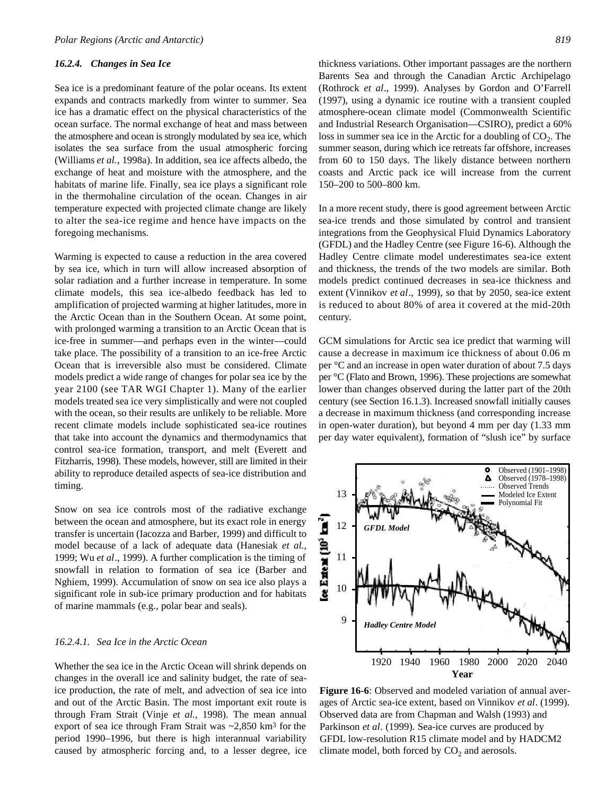#### *16.2.4. Changes in Sea Ice*

Sea ice is a predominant feature of the polar oceans. Its extent expands and contracts markedly from winter to summer. Sea ice has a dramatic effect on the physical characteristics of the ocean surface. The normal exchange of heat and mass between the atmosphere and ocean is strongly modulated by sea ice, which isolates the sea surface from the usual atmospheric forcing (Williams *et al.*, 1998a). In addition, sea ice affects albedo, the exchange of heat and moisture with the atmosphere, and the habitats of marine life. Finally, sea ice plays a significant role in the thermohaline circulation of the ocean. Changes in air temperature expected with projected climate change are likely to alter the sea-ice regime and hence have impacts on the foregoing mechanisms.

Warming is expected to cause a reduction in the area covered by sea ice, which in turn will allow increased absorption of solar radiation and a further increase in temperature. In some climate models, this sea ice-albedo feedback has led to amplification of projected warming at higher latitudes, more in the Arctic Ocean than in the Southern Ocean. At some point, with prolonged warming a transition to an Arctic Ocean that is ice-free in summer—and perhaps even in the winter—could take place. The possibility of a transition to an ice-free Arctic Ocean that is irreversible also must be considered. Climate models predict a wide range of changes for polar sea ice by the year 2100 (see TAR WGI Chapter 1). Many of the earlier models treated sea ice very simplistically and were not coupled with the ocean, so their results are unlikely to be reliable. More recent climate models include sophisticated sea-ice routines that take into account the dynamics and thermodynamics that control sea-ice formation, transport, and melt (Everett and Fitzharris, 1998). These models, however, still are limited in their ability to reproduce detailed aspects of sea-ice distribution and timing.

Snow on sea ice controls most of the radiative exchange between the ocean and atmosphere, but its exact role in energy transfer is uncertain (Iacozza and Barber, 1999) and difficult to model because of a lack of adequate data (Hanesiak *et al.,* 1999; Wu *et al*., 1999). A further complication is the timing of snowfall in relation to formation of sea ice (Barber and Nghiem, 1999). Accumulation of snow on sea ice also plays a significant role in sub-ice primary production and for habitats of marine mammals (e.g., polar bear and seals).

#### *16.2.4.1. Sea Ice in the Arctic Ocean*

Whether the sea ice in the Arctic Ocean will shrink depends on changes in the overall ice and salinity budget, the rate of seaice production, the rate of melt, and advection of sea ice into and out of the Arctic Basin. The most important exit route is through Fram Strait (Vinje *et al.*, 1998). The mean annual export of sea ice through Fram Strait was  $\sim 2,850$  km<sup>3</sup> for the period 1990–1996, but there is high interannual variability caused by atmospheric forcing and, to a lesser degree, ice

thickness variations. Other important passages are the northern Barents Sea and through the Canadian Arctic Archipelago (Rothrock *et al*., 1999). Analyses by Gordon and O'Farrell (1997), using a dynamic ice routine with a transient coupled atmosphere-ocean climate model (Commonwealth Scientific and Industrial Research Organisation—CSIRO), predict a 60% loss in summer sea ice in the Arctic for a doubling of  $CO_2$ . The summer season, during which ice retreats far offshore, increases from 60 to 150 days. The likely distance between northern coasts and Arctic pack ice will increase from the current 150–200 to 500–800 km.

In a more recent study, there is good agreement between Arctic sea-ice trends and those simulated by control and transient integrations from the Geophysical Fluid Dynamics Laboratory (GFDL) and the Hadley Centre (see Figure 16-6). Although the Hadley Centre climate model underestimates sea-ice extent and thickness, the trends of the two models are similar. Both models predict continued decreases in sea-ice thickness and extent (Vinnikov *et al*., 1999), so that by 2050, sea-ice extent is reduced to about 80% of area it covered at the mid-20th century.

GCM simulations for Arctic sea ice predict that warming will cause a decrease in maximum ice thickness of about 0.06 m per °C and an increase in open water duration of about 7.5 days per °C (Flato and Brown, 1996). These projections are somewhat lower than changes observed during the latter part of the 20th century (see Section 16.1.3). Increased snowfall initially causes a decrease in maximum thickness (and corresponding increase in open-water duration), but beyond 4 mm per day (1.33 mm per day water equivalent), formation of "slush ice" by surface



**Figure 16-6**: Observed and modeled variation of annual averages of Arctic sea-ice extent, based on Vinnikov *et al*. (1999). Observed data are from Chapman and Walsh (1993) and Parkinson *et al*. (1999). Sea-ice curves are produced by GFDL low-resolution R15 climate model and by HADCM2 climate model, both forced by  $CO<sub>2</sub>$  and aerosols.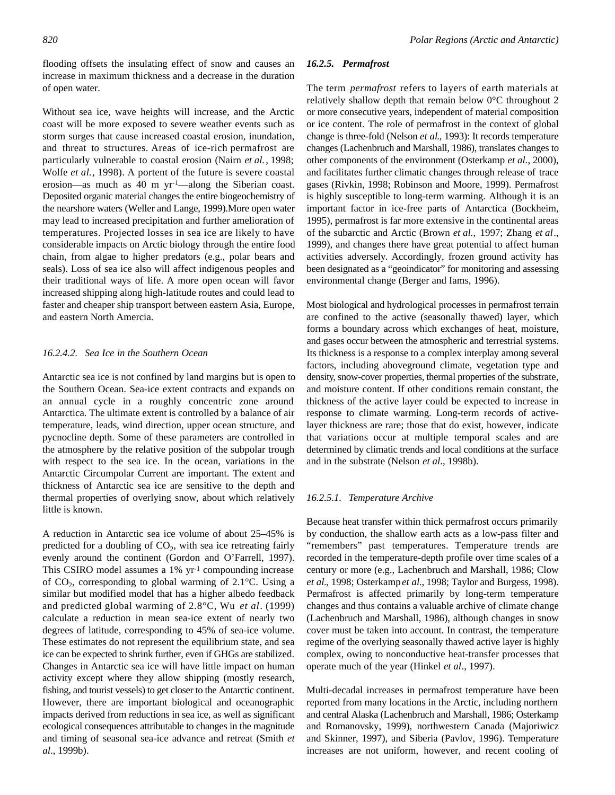flooding offsets the insulating effect of snow and causes an increase in maximum thickness and a decrease in the duration of open water.

Without sea ice, wave heights will increase, and the Arctic coast will be more exposed to severe weather events such as storm surges that cause increased coastal erosion, inundation, and threat to structures. Areas of ice-rich permafrost are particularly vulnerable to coastal erosion (Nairn *et al.*, 1998; Wolfe *et al.*, 1998). A portent of the future is severe coastal erosion—as much as 40 m  $yr<sup>1</sup>$ —along the Siberian coast. Deposited organic material changes the entire biogeochemistry of the nearshore waters (Weller and Lange, 1999).More open water may lead to increased precipitation and further amelioration of temperatures. Projected losses in sea ice are likely to have considerable impacts on Arctic biology through the entire food chain, from algae to higher predators (e.g., polar bears and seals). Loss of sea ice also will affect indigenous peoples and their traditional ways of life. A more open ocean will favor increased shipping along high-latitude routes and could lead to faster and cheaper ship transport between eastern Asia, Europe, and eastern North Amercia.

#### *16.2.4.2. Sea Ice in the Southern Ocean*

Antarctic sea ice is not confined by land margins but is open to the Southern Ocean. Sea-ice extent contracts and expands on an annual cycle in a roughly concentric zone around Antarctica. The ultimate extent is controlled by a balance of air temperature, leads, wind direction, upper ocean structure, and pycnocline depth. Some of these parameters are controlled in the atmosphere by the relative position of the subpolar trough with respect to the sea ice. In the ocean, variations in the Antarctic Circumpolar Current are important. The extent and thickness of Antarctic sea ice are sensitive to the depth and thermal properties of overlying snow, about which relatively little is known.

A reduction in Antarctic sea ice volume of about 25–45% is predicted for a doubling of  $CO<sub>2</sub>$ , with sea ice retreating fairly evenly around the continent (Gordon and O'Farrell, 1997). This CSIRO model assumes a 1% yr-1 compounding increase of  $CO_2$ , corresponding to global warming of 2.1°C. Using a similar but modified model that has a higher albedo feedback and predicted global warming of 2.8°C, Wu *et al*. (1999) calculate a reduction in mean sea-ice extent of nearly two degrees of latitude, corresponding to 45% of sea-ice volume. These estimates do not represent the equilibrium state, and sea ice can be expected to shrink further, even if GHGs are stabilized. Changes in Antarctic sea ice will have little impact on human activity except where they allow shipping (mostly research, fishing, and tourist vessels) to get closer to the Antarctic continent. However, there are important biological and oceanographic impacts derived from reductions in sea ice, as well as significant ecological consequences attributable to changes in the magnitude and timing of seasonal sea-ice advance and retreat (Smith *et al*., 1999b).

#### *16.2.5. Permafrost*

The term *permafrost* refers to layers of earth materials at relatively shallow depth that remain below  $0^{\circ}$ C throughout 2 or more consecutive years, independent of material composition or ice content. The role of permafrost in the context of global change is three-fold (Nelson *et al*., 1993): It records temperature changes (Lachenbruch and Marshall, 1986), translates changes to other components of the environment (Osterkamp *et al.*, 2000), and facilitates further climatic changes through release of trace gases (Rivkin, 1998; Robinson and Moore, 1999). Permafrost is highly susceptible to long-term warming. Although it is an important factor in ice-free parts of Antarctica (Bockheim, 1995), permafrost is far more extensive in the continental areas of the subarctic and Arctic (Brown *et al.,* 1997; Zhang *et al*., 1999), and changes there have great potential to affect human activities adversely. Accordingly, frozen ground activity has been designated as a "geoindicator" for monitoring and assessing environmental change (Berger and Iams, 1996).

Most biological and hydrological processes in permafrost terrain are confined to the active (seasonally thawed) layer, which forms a boundary across which exchanges of heat, moisture, and gases occur between the atmospheric and terrestrial systems. Its thickness is a response to a complex interplay among several factors, including aboveground climate, vegetation type and density, snow-cover properties, thermal properties of the substrate, and moisture content. If other conditions remain constant, the thickness of the active layer could be expected to increase in response to climate warming. Long-term records of activelayer thickness are rare; those that do exist, however, indicate that variations occur at multiple temporal scales and are determined by climatic trends and local conditions at the surface and in the substrate (Nelson *et al*., 1998b).

#### *16.2.5.1. Temperature Archive*

Because heat transfer within thick permafrost occurs primarily by conduction, the shallow earth acts as a low-pass filter and "remembers" past temperatures. Temperature trends are recorded in the temperature-depth profile over time scales of a century or more (e.g., Lachenbruch and Marshall, 1986; Clow *et al.*, 1998; Osterkamp *et al.*, 1998; Taylor and Burgess, 1998). Permafrost is affected primarily by long-term temperature changes and thus contains a valuable archive of climate change (Lachenbruch and Marshall, 1986), although changes in snow cover must be taken into account. In contrast, the temperature regime of the overlying seasonally thawed active layer is highly complex, owing to nonconductive heat-transfer processes that operate much of the year (Hinkel *et al*., 1997).

Multi-decadal increases in permafrost temperature have been reported from many locations in the Arctic, including northern and central Alaska (Lachenbruch and Marshall, 1986; Osterkamp and Romanovsky, 1999), northwestern Canada (Majoriwicz and Skinner, 1997), and Siberia (Pavlov, 1996). Temperature increases are not uniform, however, and recent cooling of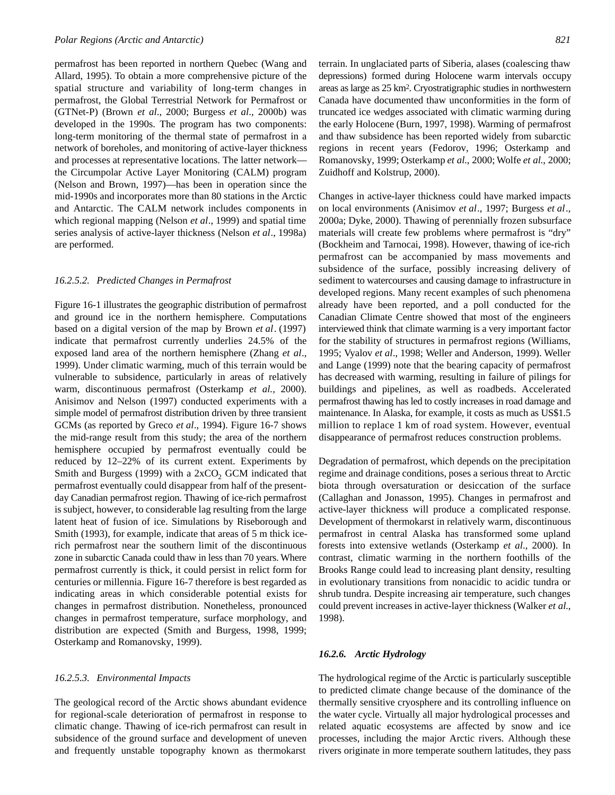permafrost has been reported in northern Quebec (Wang and Allard, 1995). To obtain a more comprehensive picture of the spatial structure and variability of long-term changes in permafrost, the Global Terrestrial Network for Permafrost or (GTNet-P) (Brown *et al*., 2000; Burgess *et al*., 2000b) was developed in the 1990s. The program has two components: long-term monitoring of the thermal state of permafrost in a network of boreholes, and monitoring of active-layer thickness and processes at representative locations. The latter network the Circumpolar Active Layer Monitoring (CALM) program (Nelson and Brown, 1997)—has been in operation since the mid-1990s and incorporates more than 80 stations in the Arctic and Antarctic. The CALM network includes components in which regional mapping (Nelson *et al*., 1999) and spatial time series analysis of active-layer thickness (Nelson *et al*., 1998a) are performed.

#### *16.2.5.2. Predicted Changes in Permafrost*

Figure 16-1 illustrates the geographic distribution of permafrost and ground ice in the northern hemisphere. Computations based on a digital version of the map by Brown *et al*. (1997) indicate that permafrost currently underlies 24.5% of the exposed land area of the northern hemisphere (Zhang *et al*., 1999). Under climatic warming, much of this terrain would be vulnerable to subsidence, particularly in areas of relatively warm, discontinuous permafrost (Osterkamp *et al.,* 2000). Anisimov and Nelson (1997) conducted experiments with a simple model of permafrost distribution driven by three transient GCMs (as reported by Greco *et al*., 1994). Figure 16-7 shows the mid-range result from this study; the area of the northern hemisphere occupied by permafrost eventually could be reduced by 12–22% of its current extent. Experiments by Smith and Burgess (1999) with a  $2xCO$ , GCM indicated that permafrost eventually could disappear from half of the presentday Canadian permafrost region. Thawing of ice-rich permafrost is subject, however, to considerable lag resulting from the large latent heat of fusion of ice. Simulations by Riseborough and Smith (1993), for example, indicate that areas of 5 m thick icerich permafrost near the southern limit of the discontinuous zone in subarctic Canada could thaw in less than 70 years. Where permafrost currently is thick, it could persist in relict form for centuries or millennia. Figure 16-7 therefore is best regarded as indicating areas in which considerable potential exists for changes in permafrost distribution. Nonetheless, pronounced changes in permafrost temperature, surface morphology, and distribution are expected (Smith and Burgess, 1998, 1999; Osterkamp and Romanovsky, 1999).

#### *16.2.5.3. Environmental Impacts*

The geological record of the Arctic shows abundant evidence for regional-scale deterioration of permafrost in response to climatic change. Thawing of ice-rich permafrost can result in subsidence of the ground surface and development of uneven and frequently unstable topography known as thermokarst terrain. In unglaciated parts of Siberia, alases (coalescing thaw depressions) formed during Holocene warm intervals occupy areas as large as 25 km2. Cryostratigraphic studies in northwestern Canada have documented thaw unconformities in the form of truncated ice wedges associated with climatic warming during the early Holocene (Burn, 1997, 1998). Warming of permafrost and thaw subsidence has been reported widely from subarctic regions in recent years (Fedorov, 1996; Osterkamp and Romanovsky, 1999; Osterkamp *et al*., 2000; Wolfe *et al*., 2000; Zuidhoff and Kolstrup, 2000).

Changes in active-layer thickness could have marked impacts on local environments (Anisimov *et al*., 1997; Burgess *et al*., 2000a; Dyke, 2000). Thawing of perennially frozen subsurface materials will create few problems where permafrost is "dry" (Bockheim and Tarnocai, 1998). However, thawing of ice-rich permafrost can be accompanied by mass movements and subsidence of the surface, possibly increasing delivery of sediment to watercourses and causing damage to infrastructure in developed regions. Many recent examples of such phenomena already have been reported, and a poll conducted for the Canadian Climate Centre showed that most of the engineers interviewed think that climate warming is a very important factor for the stability of structures in permafrost regions (Williams, 1995; Vyalov *et al*., 1998; Weller and Anderson, 1999). Weller and Lange (1999) note that the bearing capacity of permafrost has decreased with warming, resulting in failure of pilings for buildings and pipelines, as well as roadbeds. Accelerated permafrost thawing has led to costly increases in road damage and maintenance. In Alaska, for example, it costs as much as US\$1.5 million to replace 1 km of road system. However, eventual disappearance of permafrost reduces construction problems.

Degradation of permafrost, which depends on the precipitation regime and drainage conditions, poses a serious threat to Arctic biota through oversaturation or desiccation of the surface (Callaghan and Jonasson, 1995). Changes in permafrost and active-layer thickness will produce a complicated response. Development of thermokarst in relatively warm, discontinuous permafrost in central Alaska has transformed some upland forests into extensive wetlands (Osterkamp *et al*., 2000). In contrast, climatic warming in the northern foothills of the Brooks Range could lead to increasing plant density, resulting in evolutionary transitions from nonacidic to acidic tundra or shrub tundra. Despite increasing air temperature, such changes could prevent increases in active-layer thickness (Walker *et al*., 1998).

#### *16.2.6. Arctic Hydrology*

The hydrological regime of the Arctic is particularly susceptible to predicted climate change because of the dominance of the thermally sensitive cryosphere and its controlling influence on the water cycle. Virtually all major hydrological processes and related aquatic ecosystems are affected by snow and ice processes, including the major Arctic rivers. Although these rivers originate in more temperate southern latitudes, they pass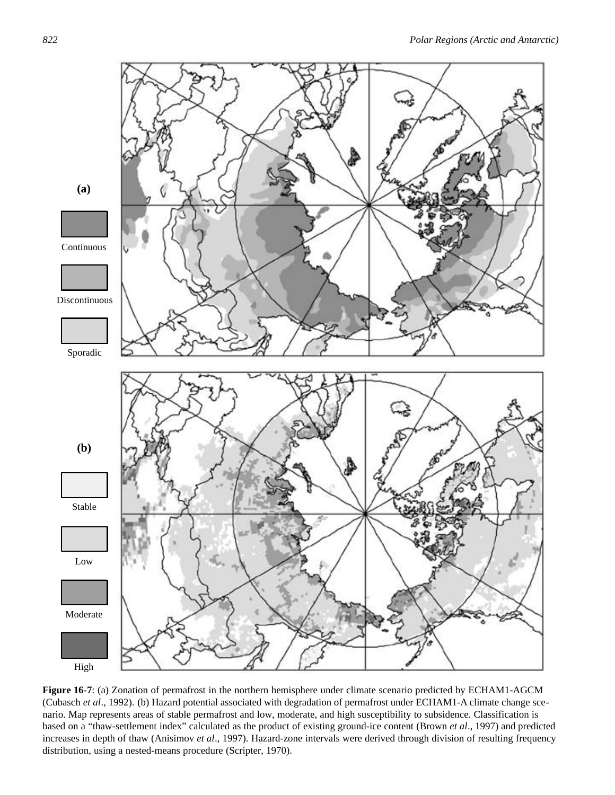

**Figure 16-7**: (a) Zonation of permafrost in the northern hemisphere under climate scenario predicted by ECHAM1-AGCM (Cubasch *et al*., 1992). (b) Hazard potential associated with degradation of permafrost under ECHAM1-A climate change scenario. Map represents areas of stable permafrost and low, moderate, and high susceptibility to subsidence. Classification is based on a "thaw-settlement index" calculated as the product of existing ground-ice content (Brown *et al*., 1997) and predicted increases in depth of thaw (Anisimov *et al*., 1997). Hazard-zone intervals were derived through division of resulting frequency distribution, using a nested-means procedure (Scripter, 1970).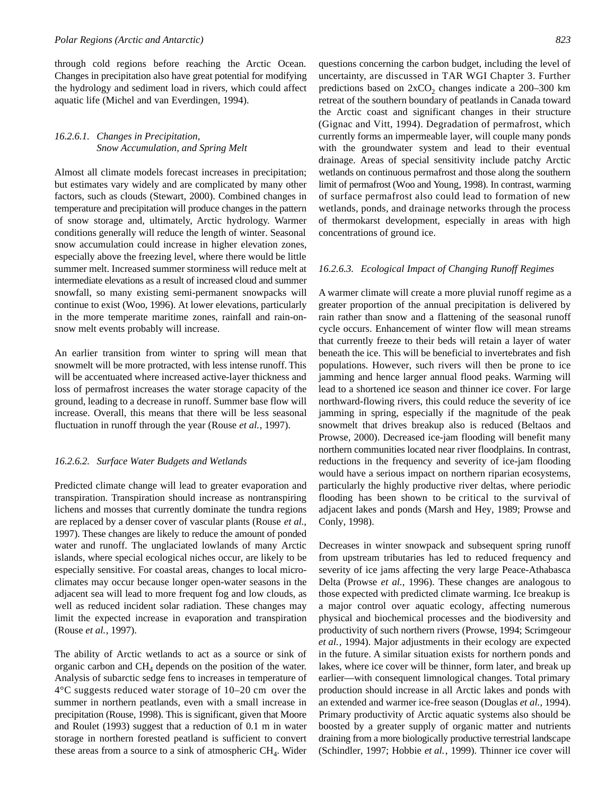through cold regions before reaching the Arctic Ocean. Changes in precipitation also have great potential for modifying the hydrology and sediment load in rivers, which could affect aquatic life (Michel and van Everdingen, 1994).

#### *16.2.6.1. Changes in Precipitation, Snow Accumulation, and Spring Melt*

Almost all climate models forecast increases in precipitation; but estimates vary widely and are complicated by many other factors, such as clouds (Stewart, 2000). Combined changes in temperature and precipitation will produce changes in the pattern of snow storage and, ultimately, Arctic hydrology. Warmer conditions generally will reduce the length of winter. Seasonal snow accumulation could increase in higher elevation zones, especially above the freezing level, where there would be little summer melt. Increased summer storminess will reduce melt at intermediate elevations as a result of increased cloud and summer snowfall, so many existing semi-permanent snowpacks will continue to exist (Woo, 1996). At lower elevations, particularly in the more temperate maritime zones, rainfall and rain-onsnow melt events probably will increase.

An earlier transition from winter to spring will mean that snowmelt will be more protracted, with less intense runoff. This will be accentuated where increased active-layer thickness and loss of permafrost increases the water storage capacity of the ground, leading to a decrease in runoff. Summer base flow will increase. Overall, this means that there will be less seasonal fluctuation in runoff through the year (Rouse *et al.*, 1997).

#### *16.2.6.2. Surface Water Budgets and Wetlands*

Predicted climate change will lead to greater evaporation and transpiration. Transpiration should increase as nontranspiring lichens and mosses that currently dominate the tundra regions are replaced by a denser cover of vascular plants (Rouse *et al.*, 1997). These changes are likely to reduce the amount of ponded water and runoff. The unglaciated lowlands of many Arctic islands, where special ecological niches occur, are likely to be especially sensitive. For coastal areas, changes to local microclimates may occur because longer open-water seasons in the adjacent sea will lead to more frequent fog and low clouds, as well as reduced incident solar radiation. These changes may limit the expected increase in evaporation and transpiration (Rouse *et al.*, 1997).

The ability of Arctic wetlands to act as a source or sink of organic carbon and  $CH<sub>4</sub>$  depends on the position of the water. Analysis of subarctic sedge fens to increases in temperature of 4°C suggests reduced water storage of 10–20 cm over the summer in northern peatlands, even with a small increase in precipitation (Rouse, 1998). This is significant, given that Moore and Roulet (1993) suggest that a reduction of 0.1 m in water storage in northern forested peatland is sufficient to convert these areas from a source to a sink of atmospheric CH<sub>4</sub>. Wider

questions concerning the carbon budget, including the level of uncertainty, are discussed in TAR WGI Chapter 3. Further predictions based on  $2xCO_2$  changes indicate a 200–300 km retreat of the southern boundary of peatlands in Canada toward the Arctic coast and significant changes in their structure (Gignac and Vitt, 1994). Degradation of permafrost, which currently forms an impermeable layer, will couple many ponds with the groundwater system and lead to their eventual drainage. Areas of special sensitivity include patchy Arctic wetlands on continuous permafrost and those along the southern limit of permafrost (Woo and Young, 1998). In contrast, warming of surface permafrost also could lead to formation of new wetlands, ponds, and drainage networks through the process of thermokarst development, especially in areas with high concentrations of ground ice.

#### *16.2.6.3. Ecological Impact of Changing Runoff Regimes*

A warmer climate will create a more pluvial runoff regime as a greater proportion of the annual precipitation is delivered by rain rather than snow and a flattening of the seasonal runoff cycle occurs. Enhancement of winter flow will mean streams that currently freeze to their beds will retain a layer of water beneath the ice. This will be beneficial to invertebrates and fish populations. However, such rivers will then be prone to ice jamming and hence larger annual flood peaks. Warming will lead to a shortened ice season and thinner ice cover. For large northward-flowing rivers, this could reduce the severity of ice jamming in spring, especially if the magnitude of the peak snowmelt that drives breakup also is reduced (Beltaos and Prowse, 2000). Decreased ice-jam flooding will benefit many northern communities located near river floodplains. In contrast, reductions in the frequency and severity of ice-jam flooding would have a serious impact on northern riparian ecosystems, particularly the highly productive river deltas, where periodic flooding has been shown to be critical to the survival of adjacent lakes and ponds (Marsh and Hey, 1989; Prowse and Conly, 1998).

Decreases in winter snowpack and subsequent spring runoff from upstream tributaries has led to reduced frequency and severity of ice jams affecting the very large Peace-Athabasca Delta (Prowse *et al.*, 1996). These changes are analogous to those expected with predicted climate warming. Ice breakup is a major control over aquatic ecology, affecting numerous physical and biochemical processes and the biodiversity and productivity of such northern rivers (Prowse, 1994; Scrimgeour *et al.*, 1994). Major adjustments in their ecology are expected in the future. A similar situation exists for northern ponds and lakes, where ice cover will be thinner, form later, and break up earlier—with consequent limnological changes. Total primary production should increase in all Arctic lakes and ponds with an extended and warmer ice-free season (Douglas *et al.,* 1994). Primary productivity of Arctic aquatic systems also should be boosted by a greater supply of organic matter and nutrients draining from a more biologically productive terrestrial landscape (Schindler, 1997; Hobbie *et al.*, 1999). Thinner ice cover will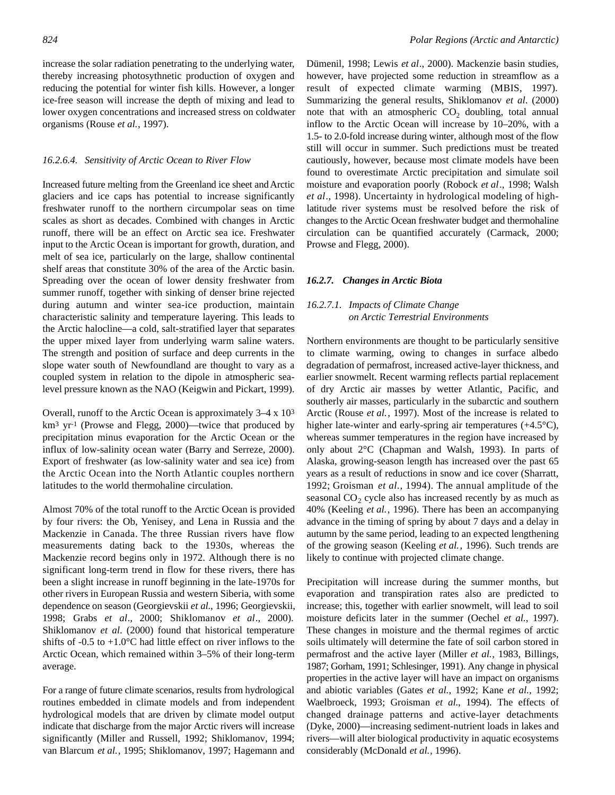increase the solar radiation penetrating to the underlying water, thereby increasing photosythnetic production of oxygen and reducing the potential for winter fish kills. However, a longer ice-free season will increase the depth of mixing and lead to lower oxygen concentrations and increased stress on coldwater organisms (Rouse *et al.*, 1997).

#### *16.2.6.4. Sensitivity of Arctic Ocean to River Flow*

Increased future melting from the Greenland ice sheet and Arctic glaciers and ice caps has potential to increase significantly freshwater runoff to the northern circumpolar seas on time scales as short as decades. Combined with changes in Arctic runoff, there will be an effect on Arctic sea ice. Freshwater input to the Arctic Ocean is important for growth, duration, and melt of sea ice, particularly on the large, shallow continental shelf areas that constitute 30% of the area of the Arctic basin. Spreading over the ocean of lower density freshwater from summer runoff, together with sinking of denser brine rejected during autumn and winter sea-ice production, maintain characteristic salinity and temperature layering. This leads to the Arctic halocline—a cold, salt-stratified layer that separates the upper mixed layer from underlying warm saline waters. The strength and position of surface and deep currents in the slope water south of Newfoundland are thought to vary as a coupled system in relation to the dipole in atmospheric sealevel pressure known as the NAO (Keigwin and Pickart, 1999).

Overall, runoff to the Arctic Ocean is approximately 3–4 x 10<sup>3</sup> km<sup>3</sup> yr-1 (Prowse and Flegg, 2000)—twice that produced by precipitation minus evaporation for the Arctic Ocean or the influx of low-salinity ocean water (Barry and Serreze, 2000). Export of freshwater (as low-salinity water and sea ice) from the Arctic Ocean into the North Atlantic couples northern latitudes to the world thermohaline circulation.

Almost 70% of the total runoff to the Arctic Ocean is provided by four rivers: the Ob, Yenisey, and Lena in Russia and the Mackenzie in Canada. The three Russian rivers have flow measurements dating back to the 1930s, whereas the Mackenzie record begins only in 1972. Although there is no significant long-term trend in flow for these rivers, there has been a slight increase in runoff beginning in the late-1970s for other rivers in European Russia and western Siberia, with some dependence on season (Georgievskii *et al*., 1996; Georgievskii, 1998; Grabs *et al*., 2000; Shiklomanov *et al*., 2000). Shiklomanov *et al*. (2000) found that historical temperature shifts of  $-0.5$  to  $+1.0$ °C had little effect on river inflows to the Arctic Ocean, which remained within 3–5% of their long-term average.

For a range of future climate scenarios, results from hydrological routines embedded in climate models and from independent hydrological models that are driven by climate model output indicate that discharge from the major Arctic rivers will increase significantly (Miller and Russell, 1992; Shiklomanov, 1994; van Blarcum *et al.*, 1995; Shiklomanov, 1997; Hagemann and

Dümenil, 1998; Lewis *et al*., 2000). Mackenzie basin studies, however, have projected some reduction in streamflow as a result of expected climate warming (MBIS, 1997). Summarizing the general results, Shiklomanov *et al*. (2000) note that with an atmospheric  $CO<sub>2</sub>$  doubling, total annual inflow to the Arctic Ocean will increase by 10–20%, with a 1.5- to 2.0-fold increase during winter, although most of the flow still will occur in summer. Such predictions must be treated cautiously, however, because most climate models have been found to overestimate Arctic precipitation and simulate soil moisture and evaporation poorly (Robock *et al*., 1998; Walsh *et al*., 1998). Uncertainty in hydrological modeling of highlatitude river systems must be resolved before the risk of changes to the Arctic Ocean freshwater budget and thermohaline circulation can be quantified accurately (Carmack, 2000; Prowse and Flegg, 2000).

#### *16.2.7. Changes in Arctic Biota*

#### *16.2.7.1. Impacts of Climate Change on Arctic Terrestrial Environments*

Northern environments are thought to be particularly sensitive to climate warming, owing to changes in surface albedo degradation of permafrost, increased active-layer thickness, and earlier snowmelt. Recent warming reflects partial replacement of dry Arctic air masses by wetter Atlantic, Pacific, and southerly air masses, particularly in the subarctic and southern Arctic (Rouse *et al.*, 1997). Most of the increase is related to higher late-winter and early-spring air temperatures (+4.5°C), whereas summer temperatures in the region have increased by only about 2°C (Chapman and Walsh, 1993). In parts of Alaska, growing-season length has increased over the past 65 years as a result of reductions in snow and ice cover (Sharratt, 1992; Groisman *et al.*, 1994). The annual amplitude of the seasonal  $CO_2$  cycle also has increased recently by as much as 40% (Keeling *et al.*, 1996). There has been an accompanying advance in the timing of spring by about 7 days and a delay in autumn by the same period, leading to an expected lengthening of the growing season (Keeling *et al.*, 1996). Such trends are likely to continue with projected climate change.

Precipitation will increase during the summer months, but evaporation and transpiration rates also are predicted to increase; this, together with earlier snowmelt, will lead to soil moisture deficits later in the summer (Oechel *et al.*, 1997). These changes in moisture and the thermal regimes of arctic soils ultimately will determine the fate of soil carbon stored in permafrost and the active layer (Miller *et al.*, 1983, Billings, 1987; Gorham, 1991; Schlesinger, 1991). Any change in physical properties in the active layer will have an impact on organisms and abiotic variables (Gates *et al.*, 1992; Kane *et al.*, 1992; Waelbroeck, 1993; Groisman *et al.*, 1994). The effects of changed drainage patterns and active-layer detachments (Dyke, 2000)—increasing sediment-nutrient loads in lakes and rivers—will alter biological productivity in aquatic ecosystems considerably (McDonald *et al.*, 1996).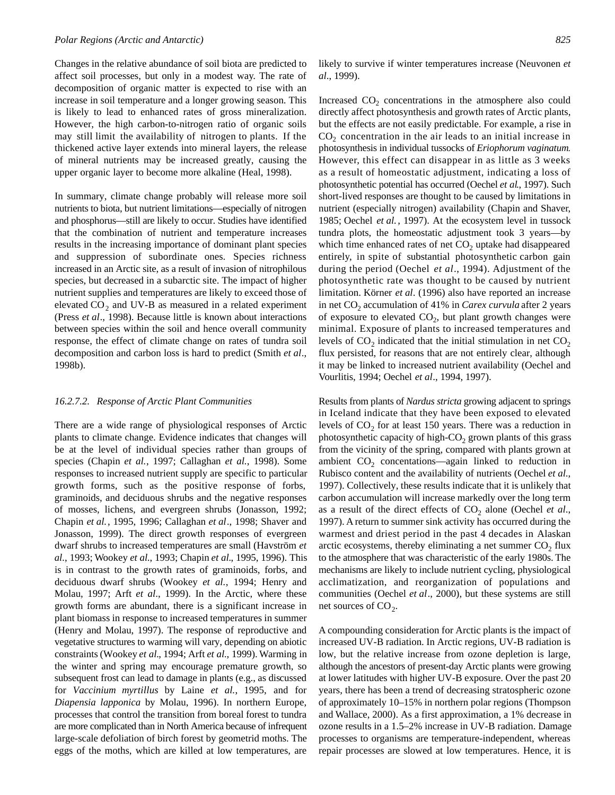Changes in the relative abundance of soil biota are predicted to affect soil processes, but only in a modest way. The rate of decomposition of organic matter is expected to rise with an increase in soil temperature and a longer growing season. This is likely to lead to enhanced rates of gross mineralization. However, the high carbon-to-nitrogen ratio of organic soils may still limit the availability of nitrogen to plants. If the thickened active layer extends into mineral layers, the release of mineral nutrients may be increased greatly, causing the upper organic layer to become more alkaline (Heal, 1998).

In summary, climate change probably will release more soil nutrients to biota, but nutrient limitations—especially of nitrogen and phosphorus—still are likely to occur. Studies have identified that the combination of nutrient and temperature increases results in the increasing importance of dominant plant species and suppression of subordinate ones. Species richness increased in an Arctic site, as a result of invasion of nitrophilous species, but decreased in a subarctic site. The impact of higher nutrient supplies and temperatures are likely to exceed those of elevated  $CO_2$  and UV-B as measured in a related experiment (Press *et al*., 1998). Because little is known about interactions between species within the soil and hence overall community response, the effect of climate change on rates of tundra soil decomposition and carbon loss is hard to predict (Smith *et al*., 1998b).

#### *16.2.7.2. Response of Arctic Plant Communities*

There are a wide range of physiological responses of Arctic plants to climate change. Evidence indicates that changes will be at the level of individual species rather than groups of species (Chapin *et al.*, 1997; Callaghan *et al.*, 1998). Some responses to increased nutrient supply are specific to particular growth forms, such as the positive response of forbs, graminoids, and deciduous shrubs and the negative responses of mosses, lichens, and evergreen shrubs (Jonasson, 1992; Chapin *et al.*, 1995, 1996; Callaghan *et al*., 1998; Shaver and Jonasson, 1999). The direct growth responses of evergreen dwarf shrubs to increased temperatures are small (Havström *et al.*, 1993; Wookey *et al.*, 1993; Chapin *et al.*, 1995, 1996). This is in contrast to the growth rates of graminoids, forbs, and deciduous dwarf shrubs (Wookey *et al.*, 1994; Henry and Molau, 1997; Arft *et al*., 1999). In the Arctic, where these growth forms are abundant, there is a significant increase in plant biomass in response to increased temperatures in summer (Henry and Molau, 1997). The response of reproductive and vegetative structures to warming will vary, depending on abiotic constraints (Wookey *et al.*, 1994; Arft *et al*., 1999). Warming in the winter and spring may encourage premature growth, so subsequent frost can lead to damage in plants (e.g., as discussed for *Vaccinium myrtillus* by Laine et al., 1995, and for *Diapensia lapponica* by Molau, 1996). In northern Europe, processes that control the transition from boreal forest to tundra are more complicated than in North America because of infrequent large-scale defoliation of birch forest by geometrid moths. The eggs of the moths, which are killed at low temperatures, are

likely to survive if winter temperatures increase (Neuvonen *et al*., 1999)*.*

Increased  $CO<sub>2</sub>$  concentrations in the atmosphere also could directly affect photosynthesis and growth rates of Arctic plants, but the effects are not easily predictable. For example, a rise in  $CO<sub>2</sub>$  concentration in the air leads to an initial increase in photosynthesis in individual tussocks of *Eriophorum vaginatum*. However, this effect can disappear in as little as 3 weeks as a result of homeostatic adjustment, indicating a loss of photosynthetic potential has occurred (Oechel *et al*., 1997). Such short-lived responses are thought to be caused by limitations in nutrient (especially nitrogen) availability (Chapin and Shaver, 1985; Oechel *et al.*, 1997). At the ecosystem level in tussock tundra plots, the homeostatic adjustment took 3 years—by which time enhanced rates of net  $CO<sub>2</sub>$  uptake had disappeared entirely, in spite of substantial photosynthetic carbon gain during the period (Oechel *et al.*, 1994). Adjustment of the photosynthetic rate was thought to be caused by nutrient limitation. Körner *et al.* (1996) also have reported an increase in net CO<sub>2</sub> accumulation of 41% in *Carex curvula* after 2 years of exposure to elevated  $CO<sub>2</sub>$ , but plant growth changes were minimal. Exposure of plants to increased temperatures and levels of  $CO_2$  indicated that the initial stimulation in net  $CO_2$ flux persisted, for reasons that are not entirely clear, although it may be linked to increased nutrient availability (Oechel and Vourlitis, 1994; Oechel *et al*., 1994, 1997).

Results from plants of *Nardus stricta* growing adjacent to springs in Iceland indicate that they have been exposed to elevated levels of  $CO<sub>2</sub>$  for at least 150 years. There was a reduction in photosynthetic capacity of high- $CO<sub>2</sub>$  grown plants of this grass from the vicinity of the spring, compared with plants grown at ambient  $CO<sub>2</sub>$  concentations—again linked to reduction in Rubisco content and the availability of nutrients (Oechel *et al*., 1997). Collectively, these results indicate that it is unlikely that carbon accumulation will increase markedly over the long term as a result of the direct effects of  $CO_2$  alone (Oechel *et al.*, 1997). A return to summer sink activity has occurred during the warmest and driest period in the past 4 decades in Alaskan arctic ecosystems, thereby eliminating a net summer  $CO_2$  flux to the atmosphere that was characteristic of the early 1980s. The mechanisms are likely to include nutrient cycling, physiological acclimatization, and reorganization of populations and communities (Oechel *et al.*, 2000), but these systems are still net sources of  $CO<sub>2</sub>$ .

A compounding consideration for Arctic plants is the impact of increased UV-B radiation. In Arctic regions, UV-B radiation is low, but the relative increase from ozone depletion is large, although the ancestors of present-day Arctic plants were growing at lower latitudes with higher UV-B exposure. Over the past 20 years, there has been a trend of decreasing stratospheric ozone of approximately 10–15% in northern polar regions (Thompson and Wallace, 2000). As a first approximation, a 1% decrease in ozone results in a 1.5–2% increase in UV-B radiation. Damage processes to organisms are temperature-independent, whereas repair processes are slowed at low temperatures. Hence, it is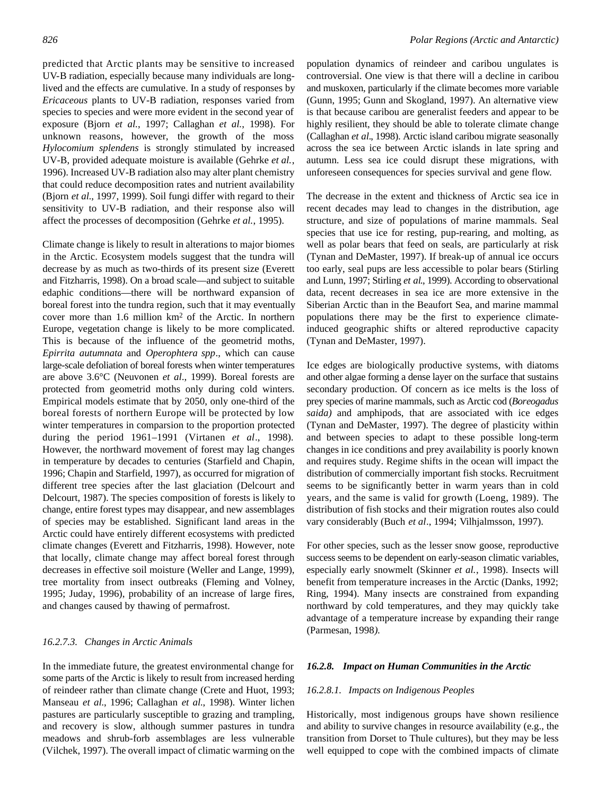predicted that Arctic plants may be sensitive to increased U V-B radiation, especially because many individuals are longlived and the effects are cumulative. In a study of responses by *Ericaceous* plants to UV-B radiation, responses varied from species to species and were more evident in the second year of exposure (Bjorn *et al.*, 1997; Callaghan *et al.*, 1998). For unknown reasons, however, the growth of the moss *Hylocomium splendens* is strongly stimulated by increased UV-B, provided adequate moisture is available (Gehrke *et al.*, 1996). Increased UV-B radiation also may alter plant chemistry that could reduce decomposition rates and nutrient availability (Bjorn *et al.*, 1997, 1999). Soil fungi differ with regard to their sensitivity to UV-B radiation, and their response also will affect the processes of decomposition (Gehrke *et al.*, 1995).

Climate change is likely to result in alterations to major biomes in the Arctic. Ecosystem models suggest that the tundra will decrease by as much as two-thirds of its present size (Everett and Fitzharris, 1998). On a broad scale—and subject to suitable edaphic conditions—there will be northward expansion of boreal forest into the tundra region, such that it may eventually cover more than 1.6 million km<sup>2</sup> of the Arctic. In northern Europe, vegetation change is likely to be more complicated. This is because of the influence of the geometrid moths, *Epirrita autumnata* and *Operophtera spp*., which can cause large-scale defoliation of boreal forests when winter temperatures are above 3.6°C (Neuvonen *et al*., 1999). Boreal forests are protected from geometrid moths only during cold winters. Empirical models estimate that by 2050, only one-third of the boreal forests of northern Europe will be protected by low winter temperatures in comparsion to the proportion protected during the period 1961–1991 (Virtanen *et al*., 1998). However, the northward movement of forest may lag changes in temperature by decades to centuries (Starfield and Chapin, 1996; Chapin and Starfield, 1997), as occurred for migration of different tree species after the last glaciation (Delcourt and Delcourt, 1987). The species composition of forests is likely to change, entire forest types may disappear, and new assemblages of species may be established. Significant land areas in the Arctic could have entirely different ecosystems with predicted climate changes (Everett and Fitzharris, 1998). However, note that locally, climate change may affect boreal forest through decreases in effective soil moisture (Weller and Lange, 1999), tree mortality from insect outbreaks (Fleming and Volney, 1995; Juday, 1996), probability of an increase of large fires, and changes caused by thawing of permafrost.

#### *16.2.7.3. Changes in Arctic Animals*

In the immediate future, the greatest environmental change for some parts of the Arctic is likely to result from increased herding of reindeer rather than climate change (Crete and Huot, 1993; Manseau *et al.*, 1996; Callaghan *et al.*, 1998). Winter lichen pastures are particularly susceptible to grazing and trampling, and recovery is slow, although summer pastures in tundra meadows and shrub-forb assemblages are less vulnerable (Vilchek, 1997). The overall impact of climatic warming on the population dynamics of reindeer and caribou ungulates is controversial. One view is that there will a decline in caribou and muskoxen, particularly if the climate becomes more variable (Gunn, 1995; Gunn and Skogland, 1997). An alternative view is that because caribou are generalist feeders and appear to be highly resilient, they should be able to tolerate climate change (Callaghan *et al.*, 1998). Arctic island caribou migrate seasonally across the sea ice between Arctic islands in late spring and autumn. Less sea ice could disrupt these migrations, with unforeseen consequences for species survival and gene flow.

The decrease in the extent and thickness of Arctic sea ice in recent decades may lead to changes in the distribution, age structure, and size of populations of marine mammals. Seal species that use ice for resting, pup-rearing, and molting, as well as polar bears that feed on seals, are particularly at risk (Tynan and DeMaster, 1997). If break-up of annual ice occurs too early, seal pups are less accessible to polar bears (Stirling and Lunn, 1997; Stirling *et al*., 1999). According to observational data, recent decreases in sea ice are more extensive in the Siberian Arctic than in the Beaufort Sea, and marine mammal populations there may be the first to experience climateinduced geographic shifts or altered reproductive capacity (Tynan and DeMaster, 1997).

Ice edges are biologically productive systems, with diatoms and other algae forming a dense layer on the surface that sustains secondary production. Of concern as ice melts is the loss of prey species of marine mammals, such as Arctic cod (*Boreogadus saida)* and amphipods, that are associated with ice edges (Tynan and DeMaster, 1997). The degree of plasticity within and between species to adapt to these possible long-term changes in ice conditions and prey availability is poorly known and requires study. Regime shifts in the ocean will impact the distribution of commercially important fish stocks. Recruitment seems to be significantly better in warm years than in cold years, and the same is valid for growth (Loeng, 1989). The distribution of fish stocks and their migration routes also could vary considerably (Buch *et al*., 1994; Vilhjalmsson, 1997).

For other species, such as the lesser snow goose, reproductive success seems to be dependent on early-season climatic variables, especially early snowmelt (Skinner *et al.*, 1998). Insects will benefit from temperature increases in the Arctic (Danks, 1992; Ring, 1994). Many insects are constrained from expanding northward by cold temperatures, and they may quickly take advantage of a temperature increase by expanding their range (Parmesan, 1998*).*

#### *16.2.8. Impact on Human Communities in the Arctic*

#### *16.2.8.1. Impacts on Indigenous Peoples*

Historically, most indigenous groups have shown resilience and ability to survive changes in resource availability (e.g., the transition from Dorset to Thule cultures), but they may be less well equipped to cope with the combined impacts of climate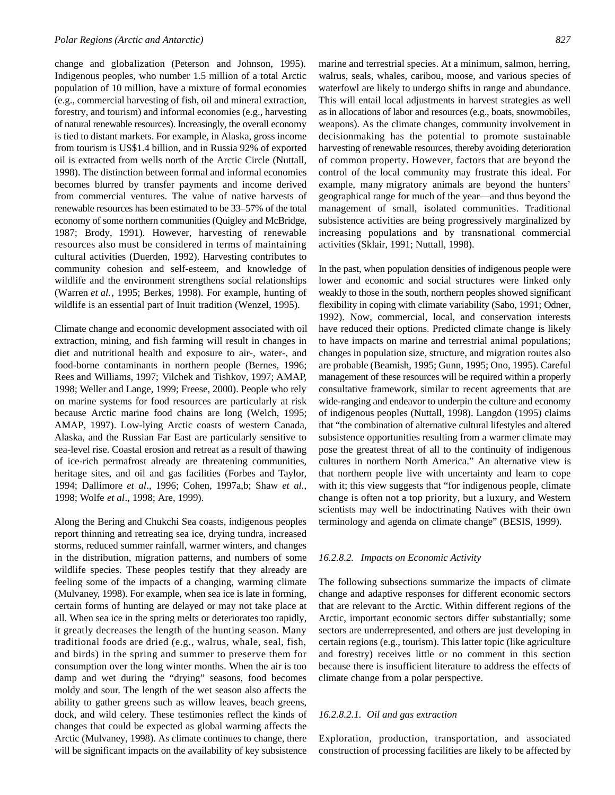change and globalization (Peterson and Johnson, 1995). Indigenous peoples, who number 1.5 million of a total Arctic population of 10 million, have a mixture of formal economies (e.g., commercial harvesting of fish, oil and mineral extraction, forestry, and tourism) and informal economies (e.g., harvesting of natural renewable resources). Increasingly, the overall economy is tied to distant markets. For example, in Alaska, gross income from tourism is US\$1.4 billion, and in Russia 92% of exported oil is extracted from wells north of the Arctic Circle (Nuttall, 1998). The distinction between formal and informal economies becomes blurred by transfer payments and income derived from commercial ventures. The value of native harvests of renewable resources has been estimated to be 33–57% of the total economy of some northern communities (Quigley and McBridge, 1987; Brody, 1991). However, harvesting of renewable resources also must be considered in terms of maintaining cultural activities (Duerden, 1992). Harvesting contributes to community cohesion and self-esteem, and knowledge of wildlife and the environment strengthens social relationships (Warren *et al.*, 1995; Berkes, 1998). For example, hunting of wildlife is an essential part of Inuit tradition (Wenzel, 1995).

Climate change and economic development associated with oil extraction, mining, and fish farming will result in changes in diet and nutritional health and exposure to air-, water-, and food-borne contaminants in northern people (Bernes, 1996; Rees and Williams, 1997; Vilchek and Tishkov, 1997; AMAP, 1998; Weller and Lange, 1999; Freese, 2000). People who rely on marine systems for food resources are particularly at risk because Arctic marine food chains are long (Welch, 1995; AMAP, 1997). Low-lying Arctic coasts of western Canada, Alaska, and the Russian Far East are particularly sensitive to sea-level rise. Coastal erosion and retreat as a result of thawing of ice-rich permafrost already are threatening communities, heritage sites, and oil and gas facilities (Forbes and Taylor, 1994; Dallimore *et al*., 1996; Cohen, 1997a,b; Shaw *et al.*, 1998; Wolfe *et al*., 1998; Are, 1999).

Along the Bering and Chukchi Sea coasts, indigenous peoples report thinning and retreating sea ice, drying tundra, increased storms, reduced summer rainfall, warmer winters, and changes in the distribution, migration patterns, and numbers of some wildlife species. These peoples testify that they already are feeling some of the impacts of a changing, warming climate (Mulvaney, 1998). For example, when sea ice is late in forming, certain forms of hunting are delayed or may not take place at all. When sea ice in the spring melts or deteriorates too rapidly, it greatly decreases the length of the hunting season. Many traditional foods are dried (e.g., walrus, whale, seal, fish, and birds) in the spring and summer to preserve them for consumption over the long winter months. When the air is too damp and wet during the "drying" seasons, food becomes moldy and sour. The length of the wet season also affects the ability to gather greens such as willow leaves, beach greens, dock, and wild celery. These testimonies reflect the kinds of changes that could be expected as global warming affects the Arctic (Mulvaney, 1998). As climate continues to change, there will be significant impacts on the availability of key subsistence

marine and terrestrial species. At a minimum, salmon, herring, walrus, seals, whales, caribou, moose, and various species of waterfowl are likely to undergo shifts in range and abundance. This will entail local adjustments in harvest strategies as well as in allocations of labor and resources (e.g., boats, snowmobiles, weapons). As the climate changes, community involvement in decisionmaking has the potential to promote sustainable harvesting of renewable resources, thereby avoiding deterioration of common property. However, factors that are beyond the control of the local community may frustrate this ideal. For example, many migratory animals are beyond the hunters' geographical range for much of the year—and thus beyond the management of small, isolated communities. Traditional subsistence activities are being progressively marginalized by increasing populations and by transnational commercial activities (Sklair, 1991; Nuttall, 1998).

In the past, when population densities of indigenous people were lower and economic and social structures were linked only weakly to those in the south, northern peoples showed significant flexibility in coping with climate variability (Sabo, 1991; Odner, 1992). Now, commercial, local, and conservation interests have reduced their options. Predicted climate change is likely to have impacts on marine and terrestrial animal populations; changes in population size, structure, and migration routes also are probable (Beamish, 1995; Gunn, 1995; Ono, 1995). Careful management of these resources will be required within a properly consultative framework, similar to recent agreements that are wide-ranging and endeavor to underpin the culture and economy of indigenous peoples (Nuttall, 1998). Langdon (1995) claims that "the combination of alternative cultural lifestyles and altered subsistence opportunities resulting from a warmer climate may pose the greatest threat of all to the continuity of indigenous cultures in northern North America." An alternative view is that northern people live with uncertainty and learn to cope with it; this view suggests that "for indigenous people, climate change is often not a top priority, but a luxury, and Western scientists may well be indoctrinating Natives with their own terminology and agenda on climate change" (BESIS, 1999).

#### *16.2.8.2. Impacts on Economic Activity*

The following subsections summarize the impacts of climate change and adaptive responses for different economic sectors that are relevant to the Arctic. Within different regions of the Arctic, important economic sectors differ substantially; some sectors are underrepresented, and others are just developing in certain regions (e.g., tourism). This latter topic (like agriculture and forestry) receives little or no comment in this section because there is insufficient literature to address the effects of climate change from a polar perspective.

#### *16.2.8.2.1. Oil and gas extraction*

Exploration, production, transportation, and associated construction of processing facilities are likely to be affected by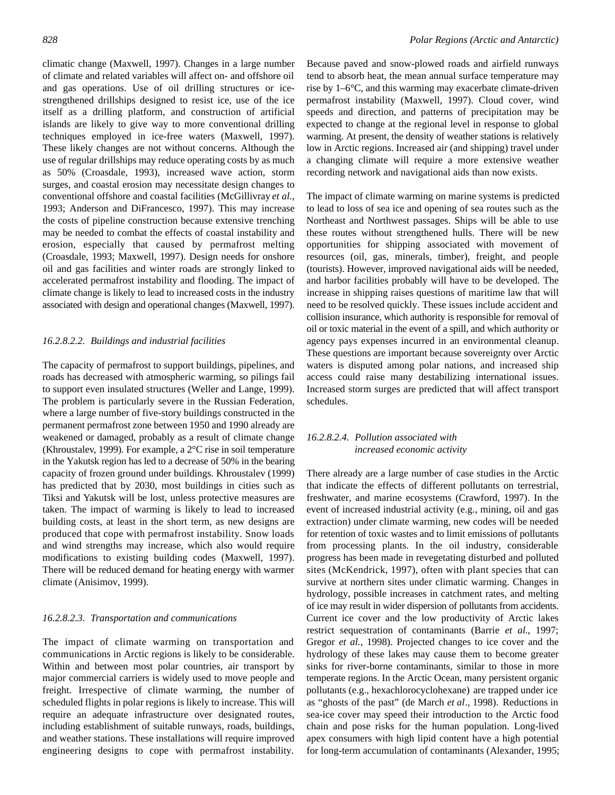climatic change (Maxwell, 1997). Changes in a large number of climate and related variables will affect on- and offshore oil and gas operations. Use of oil drilling structures or icestrengthened drillships designed to resist ice, use of the ice itself as a drilling platform, and construction of artificial islands are likely to give way to more conventional drilling techniques employed in ice-free waters (Maxwell, 1997). These likely changes are not without concerns. Although the use of regular drillships may reduce operating costs by as much as 50% (Croasdale, 1993), increased wave action, storm surges, and coastal erosion may necessitate design changes to conventional offshore and coastal facilities (McGillivray *et al.*, 1993; Anderson and DiFrancesco, 1997). This may increase the costs of pipeline construction because extensive trenching may be needed to combat the effects of coastal instability and erosion, especially that caused by permafrost melting (Croasdale, 1993; Maxwell, 1997). Design needs for onshore oil and gas facilities and winter roads are strongly linked to accelerated permafrost instability and flooding. The impact of climate change is likely to lead to increased costs in the industry associated with design and operational changes (Maxwell, 1997).

#### *16.2.8.2.2. Buildings and industrial facilities*

The capacity of permafrost to support buildings, pipelines, and roads has decreased with atmospheric warming, so pilings fail to support even insulated structures (Weller and Lange, 1999). The problem is particularly severe in the Russian Federation, where a large number of five-story buildings constructed in the permanent permafrost zone between 1950 and 1990 already are weakened or damaged, probably as a result of climate change (Khroustalev, 1999). For example, a  $2^{\circ}$ C rise in soil temperature in the Yakutsk region has led to a decrease of 50% in the bearing capacity of frozen ground under buildings. Khroustalev (1999) has predicted that by 2030, most buildings in cities such as Tiksi and Yakutsk will be lost, unless protective measures are taken. The impact of warming is likely to lead to increased building costs, at least in the short term, as new designs are produced that cope with permafrost instability. Snow loads and wind strengths may increase, which also would require modifications to existing building codes (Maxwell, 1997). There will be reduced demand for heating energy with warmer climate (Anisimov, 1999).

#### *16.2.8.2.3. Transportation and communications*

The impact of climate warming on transportation and communications in Arctic regions is likely to be considerable. Within and between most polar countries, air transport by major commercial carriers is widely used to move people and freight. Irrespective of climate warming, the number of scheduled flights in polar regions is likely to increase. This will require an adequate infrastructure over designated routes, including establishment of suitable runways, roads, buildings, and weather stations. These installations will require improved engineering designs to cope with permafrost instability.

Because paved and snow-plowed roads and airfield runways tend to absorb heat, the mean annual surface temperature may rise by 1–6°C, and this warming may exacerbate climate-driven permafrost instability (Maxwell, 1997). Cloud cover, wind speeds and direction, and patterns of precipitation may be expected to change at the regional level in response to global warming. At present, the density of weather stations is relatively low in Arctic regions. Increased air (and shipping) travel under a changing climate will require a more extensive weather recording network and navigational aids than now exists.

The impact of climate warming on marine systems is predicted to lead to loss of sea ice and opening of sea routes such as the Northeast and Northwest passages. Ships will be able to use these routes without strengthened hulls. There will be new opportunities for shipping associated with movement of resources (oil, gas, minerals, timber), freight, and people (tourists). However, improved navigational aids will be needed, and harbor facilities probably will have to be developed. The increase in shipping raises questions of maritime law that will need to be resolved quickly. These issues include accident and collision insurance, which authority is responsible for removal of oil or toxic material in the event of a spill, and which authority or agency pays expenses incurred in an environmental cleanup. These questions are important because sovereignty over Arctic waters is disputed among polar nations, and increased ship access could raise many destabilizing international issues. Increased storm surges are predicted that will affect transport schedules.

#### *16.2.8.2.4. Pollution associated with increased economic activity*

There already are a large number of case studies in the Arctic that indicate the effects of different pollutants on terrestrial, freshwater, and marine ecosystems (Crawford, 1997). In the event of increased industrial activity (e.g., mining, oil and gas extraction) under climate warming, new codes will be needed for retention of toxic wastes and to limit emissions of pollutants from processing plants. In the oil industry, considerable progress has been made in revegetating disturbed and polluted sites (McKendrick, 1997), often with plant species that can survive at northern sites under climatic warming. Changes in hydrology, possible increases in catchment rates, and melting of ice may result in wider dispersion of pollutants from accidents. Current ice cover and the low productivity of Arctic lakes restrict sequestration of contaminants (Barrie *et al*., 1997; Gregor *et al.*, 1998). Projected changes to ice cover and the hydrology of these lakes may cause them to become greater sinks for river-borne contaminants, similar to those in more temperate regions. In the Arctic Ocean, many persistent organic pollutants (e.g., hexachlorocyclohexane) are trapped under ice as "ghosts of the past" (de March *et al*., 1998). Reductions in sea-ice cover may speed their introduction to the Arctic food chain and pose risks for the human population. Long-lived apex consumers with high lipid content have a high potential for long-term accumulation of contaminants (Alexander, 1995;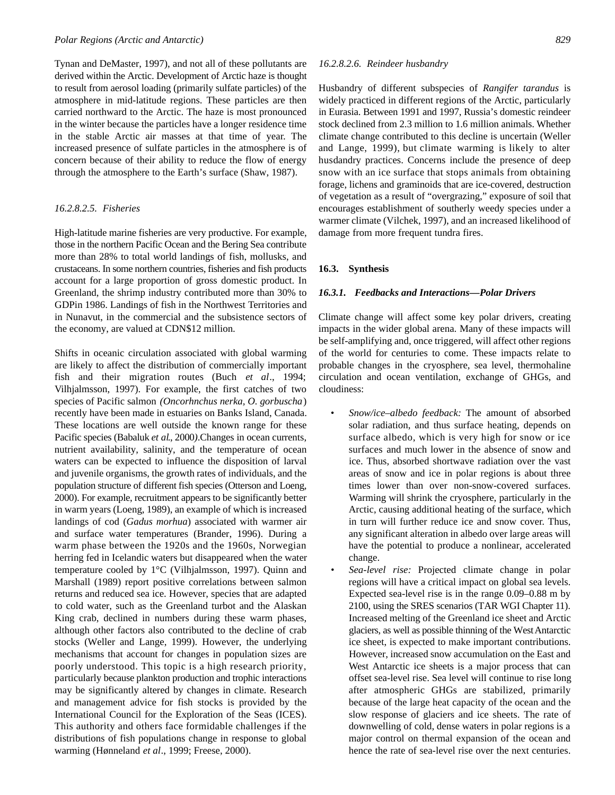#### *Polar Regions (Arctic and Antarctic) 829*

Tynan and DeMaster, 1997), and not all of these pollutants are derived within the Arctic. Development of Arctic haze is thought to result from aerosol loading (primarily sulfate particles) of the atmosphere in mid-latitude regions. These particles are then carried northward to the Arctic. The haze is most pronounced in the winter because the particles have a longer residence time in the stable Arctic air masses at that time of year. The increased presence of sulfate particles in the atmosphere is of concern because of their ability to reduce the flow of energy through the atmosphere to the Earth's surface (Shaw, 1987).

#### *16.2.8.2.5. Fisheries*

High-latitude marine fisheries are very productive. For example, those in the northern Pacific Ocean and the Bering Sea contribute more than 28% to total world landings of fish, mollusks, and crustaceans. In some northern countries, fisheries and fish products account for a large proportion of gross domestic product. In Greenland, the shrimp industry contributed more than 30% to GDPin 1986. Landings of fish in the Northwest Territories and in Nunavut, in the commercial and the subsistence sectors of the economy, are valued at CDN\$12 million.

Shifts in oceanic circulation associated with global warming are likely to affect the distribution of commercially important fish and their migration routes (Buch *et al*., 1994; Vilhjalmsson, 1997). For example, the first catches of two species of Pacific salmon *(Oncorhnchus nerka, O. gorbuscha*) recently have been made in estuaries on Banks Island, Canada. These locations are well outside the known range for these Pacific species (Babaluk *et al*., 2000*)*.Changes in ocean currents, nutrient availability, salinity, and the temperature of ocean waters can be expected to influence the disposition of larval and juvenile organisms, the growth rates of individuals, and the population structure of different fish species (Otterson and Loeng, 2000). For example, recruitment appears to be significantly better in warm years (Loeng, 1989), an example of which is increased landings of cod (*Gadus morhua*) associated with warmer air and surface water temperatures (Brander, 1996). During a warm phase between the 1920s and the 1960s, Norwegian herring fed in Icelandic waters but disappeared when the water temperature cooled by 1°C (Vilhjalmsson, 1997). Quinn and Marshall (1989) report positive correlations between salmon returns and reduced sea ice. However, species that are adapted to cold water, such as the Greenland turbot and the Alaskan King crab, declined in numbers during these warm phases, although other factors also contributed to the decline of crab stocks (Weller and Lange, 1999). However, the underlying mechanisms that account for changes in population sizes are poorly understood. This topic is a high research priority, particularly because plankton production and trophic interactions may be significantly altered by changes in climate. Research and management advice for fish stocks is provided by the International Council for the Exploration of the Seas (ICES). This authority and others face formidable challenges if the distributions of fish populations change in response to global warming (Hønneland *et al*., 1999; Freese, 2000).

#### *16.2.8.2.6. Reindeer husbandry*

Husbandry of different subspecies of *Rangifer tarandus* is widely practiced in different regions of the Arctic, particularly in Eurasia. Between 1991 and 1997, Russia's domestic reindeer stock declined from 2.3 million to 1.6 million animals. Whether climate change contributed to this decline is uncertain (Weller and Lange, 1999), but climate warming is likely to alter husdandry practices. Concerns include the presence of deep snow with an ice surface that stops animals from obtaining forage, lichens and graminoids that are ice-covered, destruction of vegetation as a result of "overgrazing," exposure of soil that encourages establishment of southerly weedy species under a warmer climate (Vilchek, 1997), and an increased likelihood of damage from more frequent tundra fires.

#### **16.3. Synthesis**

#### *16.3.1. Feedbacks and Interactions—Polar Drivers*

Climate change will affect some key polar drivers, creating impacts in the wider global arena. Many of these impacts will be self-amplifying and, once triggered, will affect other regions of the world for centuries to come. These impacts relate to probable changes in the cryosphere, sea level, thermohaline circulation and ocean ventilation, exchange of GHGs, and cloudiness:

- *Snow/ice–albedo feedback:* The amount of absorbed solar radiation, and thus surface heating, depends on surface albedo, which is very high for snow or ice surfaces and much lower in the absence of snow and ice. Thus, absorbed shortwave radiation over the vast areas of snow and ice in polar regions is about three times lower than over non-snow-covered surfaces. Warming will shrink the cryosphere, particularly in the Arctic, causing additional heating of the surface, which in turn will further reduce ice and snow cover. Thus, any significant alteration in albedo over large areas will have the potential to produce a nonlinear, accelerated change.
- *Sea-level rise:* Projected climate change in polar regions will have a critical impact on global sea levels. Expected sea-level rise is in the range 0.09–0.88 m by 2100, using the SRES scenarios (TAR WGI Chapter 11). Increased melting of the Greenland ice sheet and Arctic glaciers, as well as possible thinning of the West Antarctic ice sheet, is expected to make important contributions. However, increased snow accumulation on the East and West Antarctic ice sheets is a major process that can offset sea-level rise. Sea level will continue to rise long after atmospheric GHGs are stabilized, primarily because of the large heat capacity of the ocean and the slow response of glaciers and ice sheets. The rate of downwelling of cold, dense waters in polar regions is a major control on thermal expansion of the ocean and hence the rate of sea-level rise over the next centuries.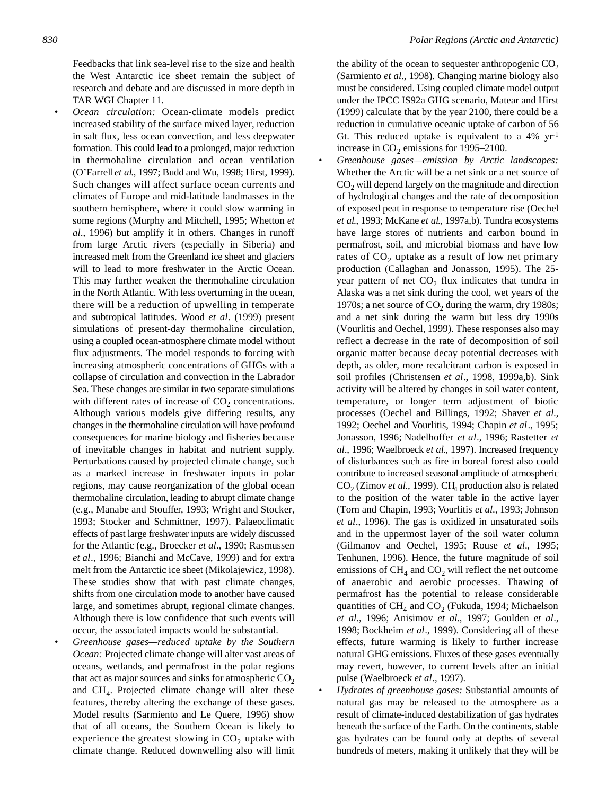Feedbacks that link sea-level rise to the size and health the West Antarctic ice sheet remain the subject of research and debate and are discussed in more depth in TAR WGI Chapter 11.

- Ocean circulation: Ocean-climate models predict increased stability of the surface mixed layer, reduction in salt flux, less ocean convection, and less deepwater formation. This could lead to a prolonged, major reduction in thermohaline circulation and ocean ventilation (O'Farrell *et al*., 1997; Budd and Wu, 1998; Hirst, 1999). Such changes will affect surface ocean currents and climates of Europe and mid-latitude landmasses in the southern hemisphere, where it could slow warming in some regions (Murphy and Mitchell, 1995; Whetton *et al*., 1996) but amplify it in others. Changes in runoff from large Arctic rivers (especially in Siberia) and increased melt from the Greenland ice sheet and glaciers will to lead to more freshwater in the Arctic Ocean. This may further weaken the thermohaline circulation in the North Atlantic. With less overturning in the ocean, there will be a reduction of upwelling in temperate and subtropical latitudes. Wood *et al*. (1999) present simulations of present-day thermohaline circulation, using a coupled ocean-atmosphere climate model without flux adjustments. The model responds to forcing with increasing atmospheric concentrations of GHGs with a collapse of circulation and convection in the Labrador Sea. These changes are similar in two separate simulations with different rates of increase of  $CO<sub>2</sub>$  concentrations. Although various models give differing results, any changes in the thermohaline circulation will have profound consequences for marine biology and fisheries because of inevitable changes in habitat and nutrient supply. Perturbations caused by projected climate change, such as a marked increase in freshwater inputs in polar regions, may cause reorganization of the global ocean thermohaline circulation, leading to abrupt climate change (e.g., Manabe and Stouffer, 1993; Wright and Stocker, 1993; Stocker and Schmittner, 1997). Palaeoclimatic e ffects of past large freshwater inputs are widely discussed for the Atlantic (e.g., Broecker *et al*., 1990; Rasmussen *et al*., 1996; Bianchi and McCave, 1999) and for extra melt from the Antarctic ice sheet (Mikolajewicz, 1998). These studies show that with past climate changes, shifts from one circulation mode to another have caused large, and sometimes abrupt, regional climate changes. Although there is low confidence that such events will occur, the associated impacts would be substantial.
- *Greenhouse gases—reduced uptake by the Southern Ocean:* Projected climate change will alter vast areas of oceans, wetlands, and permafrost in the polar regions that act as major sources and sinks for atmospheric  $CO<sub>2</sub>$ and CH<sup>4</sup> . Projected climate change will alter these features, thereby altering the exchange of these gases. Model results (Sarmiento and Le Quere, 1996) show that of all oceans, the Southern Ocean is likely to experience the greatest slowing in  $CO<sub>2</sub>$  uptake with climate change. Reduced downwelling also will limit

the ability of the ocean to sequester anthropogenic  $CO<sub>2</sub>$ (Sarmiento *et al*., 1998). Changing marine biology also must be considered. Using coupled climate model output under the IPCC IS92a GHG scenario, Matear and Hirst (1999) calculate that by the year 2100, there could be a reduction in cumulative oceanic uptake of carbon of 56 Gt. This reduced uptake is equivalent to a  $4\%$  yr<sup>-1</sup> increase in  $CO_2$  emissions for 1995–2100.

- *G reenhouse gases—emission by A rctic landscapes:* Whether the Arctic will be a net sink or a net source of  $CO<sub>2</sub>$  will depend largely on the magnitude and direction of hydrological changes and the rate of decomposition of exposed peat in response to temperature rise (Oechel *et al*., 1993; McKane *et al*., 1997a,b). Tundra ecosystems have large stores of nutrients and carbon bound in permafrost, soil, and microbial biomass and have low rates of  $CO<sub>2</sub>$  uptake as a result of low net primary production (Callaghan and Jonasson, 1995). The 25year pattern of net  $CO<sub>2</sub>$  flux indicates that tundra in Alaska was a net sink during the cool, wet years of the 1970s; a net source of  $CO<sub>2</sub>$  during the warm, dry 1980s; and a net sink during the warm but less dry 1990s (Vourlitis and Oechel, 1999). These responses also may reflect a decrease in the rate of decomposition of soil organic matter because decay potential decreases with depth, as older, more recalcitrant carbon is exposed in soil profiles (Christensen *et al*., 1998, 1999a,b). Sink activity will be altered by changes in soil water content, temperature, or longer term adjustment of biotic processes (Oechel and Billings, 1992; Shaver *et al*., 1992; Oechel and Vourlitis, 1994; Chapin *et al*., 1995; Jonasson, 1996; Nadelhoffer et al., 1996; Rastetter et *al.*, 1996; Waelbroeck *et al.*, 1997). Increased frequency of disturbances such as fire in boreal forest also could contribute to increased seasonal amplitude of atmospheric CO<sub>2</sub> (Zimov *et al.*, 1999). CH<sub>4</sub> production also is related to the position of the water table in the active layer (Torn and Chapin, 1993; Vourlitis *et al*., 1993; Johnson *et al*., 1996). The gas is oxidized in unsaturated soils and in the uppermost layer of the soil water column (Gilmanov and Oechel, 1995; Rouse *et al*., 1995; Tenhunen, 1996). Hence, the future magnitude of soil emissions of  $\text{CH}_4$  and  $\text{CO}_2$  will reflect the net outcome of anaerobic and aerobic processes. Thawing of permafrost has the potential to release considerable quantities of  $\text{CH}_4$  and  $\text{CO}_2$  (Fukuda, 1994; Michaelson *et al*., 1996; Anisimov *et al*., 1997; Goulden *et al*., 1998; Bockheim *et al*., 1999). Considering all of these e ffects, future warming is likely to further increase natural GHG emissions. Fluxes of these gases eventually may revert, however, to current levels after an initial pulse (Waelbroeck *et al*., 1997).
- *Hydrates of greenhouse gases:* Substantial amounts of natural gas may be released to the atmosphere as a result of climate-induced destabilization of gas hydrates beneath the surface of the Earth. On the continents, stable gas hydrates can be found only at depths of several hundreds of meters, making it unlikely that they will be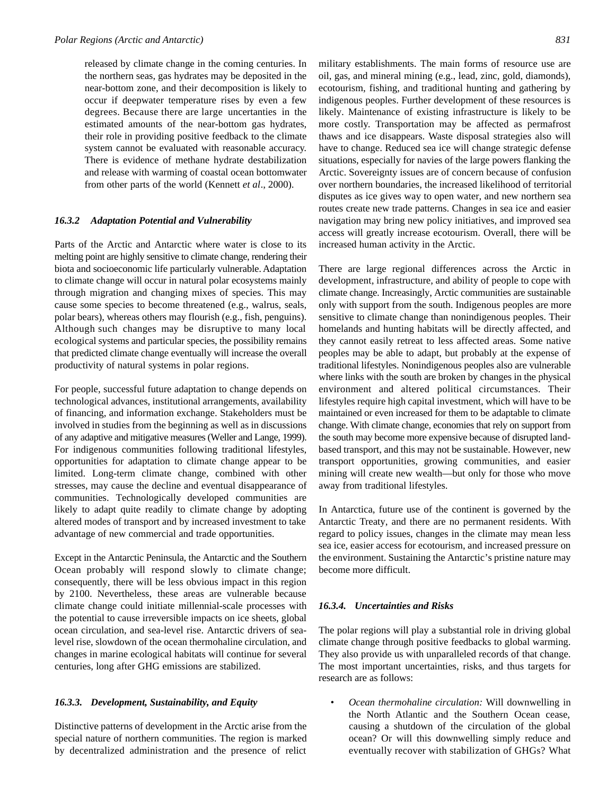released by climate change in the coming centuries. In the northern seas, gas hydrates may be deposited in the near-bottom zone, and their decomposition is likely to occur if deepwater temperature rises by even a few degrees. Because there are large uncertanties in the estimated amounts of the near-bottom gas hydrates, their role in providing positive feedback to the climate system cannot be evaluated with reasonable accuracy. There is evidence of methane hydrate destabilization and release with warming of coastal ocean bottomwater from other parts of the world (Kennett *et al*., 2000).

#### *16.3.2 Adaptation Potential and Vulnerability*

Parts of the Arctic and Antarctic where water is close to its melting point are highly sensitive to climate change, rendering their biota and socioeconomic life particularly vulnerable. A daptation to climate change will occur in natural polar ecosystems mainly through migration and changing mixes of species. This may cause some species to become threatened (e.g., walrus, seals, polar bears), whereas others may flourish (e.g., fish, penguins). Although such changes may be disruptive to many local ecological systems and particular species, the possibility remains that predicted climate change eventually will increase the overall productivity of natural systems in polar regions.

For people, successful future adaptation to change depends on technological advances, institutional arrangements, availability of financing, and information exchange. Stakeholders must be involved in studies from the beginning as well as in discussions of any adaptive and mitigative measures (Weller and Lange, 1999). For indigenous communities following traditional lifestyles, opportunities for adaptation to climate change appear to be limited. Long-term climate change, combined with other stresses, may cause the decline and eventual disappearance of communities. Technologically developed communities are likely to adapt quite readily to climate change by adopting altered modes of transport and by increased investment to take advantage of new commercial and trade opportunities.

Except in the Antarctic Peninsula, the Antarctic and the Southern Ocean probably will respond slowly to climate change; consequently, there will be less obvious impact in this region by 2100. Nevertheless, these areas are vulnerable because climate change could initiate millennial-scale processes with the potential to cause irreversible impacts on ice sheets, global ocean circulation, and sea-level rise. Antarctic drivers of sealevel rise, slowdown of the ocean thermohaline circulation, and changes in marine ecological habitats will continue for several centuries, long after GHG emissions are stabilized.

#### *16.3.3. Development, Sustainability, and Equity*

Distinctive patterns of development in the Arctic arise from the special nature of northern communities. The region is marked by decentralized administration and the presence of relict

military establishments. The main forms of resource use are oil, gas, and mineral mining (e.g., lead, zinc, gold, diamonds), ecotourism, fishing, and traditional hunting and gathering by indigenous peoples. Further development of these resources is likely. Maintenance of existing infrastructure is likely to be more costly. Transportation may be affected as permafrost thaws and ice disappears. Waste disposal strategies also will have to change. Reduced sea ice will change strategic defense situations, especially for navies of the large powers flanking the Arctic. Sovereignty issues are of concern because of confusion over northern boundaries, the increased likelihood of territorial disputes as ice gives way to open water, and new northern sea routes create new trade patterns. Changes in sea ice and easier navigation may bring new policy initiatives, and improved sea access will greatly increase ecotourism. Overall, there will be increased human activity in the Arctic.

There are large regional differences across the Arctic in development, infrastructure, and ability of people to cope with climate change. Increasingly, Arctic communities are sustainable only with support from the south. Indigenous peoples are more sensitive to climate change than nonindigenous peoples. Their homelands and hunting habitats will be directly affected, and they cannot easily retreat to less affected areas. Some native peoples may be able to adapt, but probably at the expense of traditional lifestyles. Nonindigenous peoples also are vulnerable where links with the south are broken by changes in the physical environment and altered political circumstances. Their lifestyles require high capital investment, which will have to be maintained or even increased for them to be adaptable to climate change. With climate change, economies that rely on support from the south may become more expensive because of disrupted landbased transport, and this may not be sustainable. However, new transport opportunities, growing communities, and easier mining will create new wealth—but only for those who move away from traditional lifestyles.

In Antarctica, future use of the continent is governed by the Antarctic Treaty, and there are no permanent residents. With regard to policy issues, changes in the climate may mean less sea ice, easier access for ecotourism, and increased pressure on the environment. Sustaining the Antarctic's pristine nature may become more difficult.

#### *16.3.4. Uncertainties and Risks*

The polar regions will play a substantial role in driving global climate change through positive feedbacks to global warming. They also provide us with unparalleled records of that change. The most important uncertainties, risks, and thus targets for research are as follows:

• *Ocean thermohaline circulation:* Will downwelling in the North Atlantic and the Southern Ocean cease, causing a shutdown of the circulation of the global ocean? Or will this downwelling simply reduce and eventually recover with stabilization of GHGs? What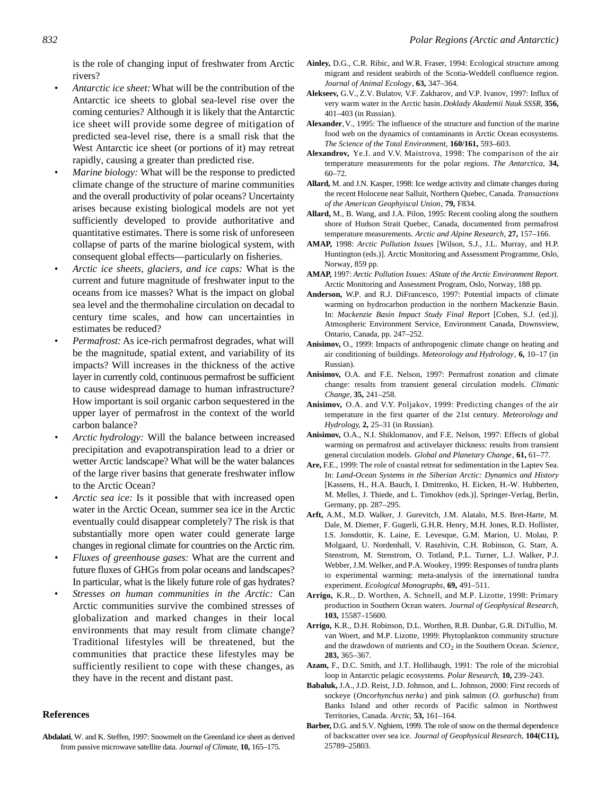is the role of changing input of freshwater from Arctic rivers?

- *Antarctic ice sheet:*What will be the contribution of the Antarctic ice sheets to global sea-level rise over the coming centuries? Although it is likely that the Antarctic ice sheet will provide some degree of mitigation of predicted sea-level rise, there is a small risk that the West Antarctic ice sheet (or portions of it) may retreat rapidly, causing a greater than predicted rise.
- *Marine biology:* What will be the response to predicted climate change of the structure of marine communities and the overall productivity of polar oceans? Uncertainty arises because existing biological models are not yet sufficiently developed to provide authoritative and quantitative estimates. There is some risk of unforeseen collapse of parts of the marine biological system, with consequent global effects—particularly on fisheries.
- *Arctic ice sheets, glaciers, and ice caps:* What is the current and future magnitude of freshwater input to the oceans from ice masses? What is the impact on global sea level and the thermohaline circulation on decadal to century time scales, and how can uncertainties in estimates be reduced?
- *Permafrost:* As ice-rich permafrost degrades, what will be the magnitude, spatial extent, and variability of its impacts? Will increases in the thickness of the active layer in currently cold, continuous permafrost be sufficient to cause widespread damage to human infrastructure? How important is soil organic carbon sequestered in the upper layer of permafrost in the context of the world carbon balance?
- *Arctic hydrology:* Will the balance between increased precipitation and evapotranspiration lead to a drier or wetter Arctic landscape? What will be the water balances of the large river basins that generate freshwater inflow to the Arctic Ocean?
- *Arctic sea ice:* Is it possible that with increased open water in the Arctic Ocean, summer sea ice in the Arctic eventually could disappear completely? The risk is that substantially more open water could generate large changes in regional climate for countries on the Arctic rim.
- *Fluxes of greenhouse gases:* What are the current and future fluxes of GHGs from polar oceans and landscapes? In particular, what is the likely future role of gas hydrates?
- *Stresses on human communities in the Arctic:* Can Arctic communities survive the combined stresses of globalization and marked changes in their local environments that may result from climate change? Traditional lifestyles will be threatened, but the communities that practice these lifestyles may be sufficiently resilient to cope with these changes, as they have in the recent and distant past.

#### **References**

Abdalati, W. and K. Steffen, 1997: Snowmelt on the Greenland ice sheet as derived from passive microwave satellite data. *Journal of Climate*, **10**, 165–175.

- **Ainley,** D.G., C.R. Ribic, and W.R. Fraser, 1994: Ecological structure among migrant and resident seabirds of the Scotia-Weddell confluence region. *Journal of Animal Ecology*, **63,** 347–364.
- **Alekseev,** G.V., Z.V. Bulatov, V.F. Zakharov, and V.P. Ivanov, 1997: Influx of very warm water in the Arctic basin. *Doklady Akademii Nauk SSSR*, **356,** 401–403 (in Russian).
- **Alexander**,V., 1995: The influence of the structure and function of the marine food web on the dynamics of contaminants in Arctic Ocean ecosystems. *The Science of the Total Environment,* **160/161,** 593–603.
- Alexandrov, Ye.I. and V.V. Maistrova, 1998: The comparison of the air temperature measurements for the polar regions. *The Antarctica*, 34, 60–72.
- Allard, M. and J.N. Kasper, 1998: Ice wedge activity and climate changes during the recent Holocene near Salluit, Northern Quebec, Canada. *Transactions of the American Geophyiscal Union*, **79,** F834.
- **Allard,** M., B. Wang, and J.A. Pilon, 1995: Recent cooling along the southern shore of Hudson Strait Quebec, Canada, documented from permafrost temperature measurements. *Arctic and Alpine Research*, **27,** 157–166.
- **AMAP,** 1998: *Arctic Pollution Issues* [Wilson, S.J., J.L. Murray, and H.P. Huntington (eds.)]. Arctic Monitoring and Assessment Programme, Oslo, Norway, 859 pp.
- **A M A P,** 1997: *A rctic Pollution Issues: AState of the A rctic Environment Report*. Arctic Monitoring and Assessment Program, Oslo, Norway, 188 pp.
- **Anderson,** W.P. and R.J. DiFrancesco, 1997: Potential impacts of climate warming on hydrocarbon production in the northern Mackenzie Basin. In: *Mackenzie Basin Impact Study Final Report* [Cohen, S.J. (ed.)]. Atmospheric Environment Service, Environment Canada, Downsview, Ontario, Canada, pp. 247–252.
- **Anisimov,** O., 1999: Impacts of anthropogenic climate change on heating and air conditioning of buildings. *Meteorology and Hydrology*, **6,** 10–17 (in Russian).
- **Anisimov,** O.A. and F.E. Nelson, 1997: Permafrost zonation and climate change: results from transient general circulation models. *Climatic Change*, **35,** 241–258.
- Anisimov, O.A. and V.Y. Poljakov, 1999: Predicting changes of the air temperature in the first quarter of the 21st century. Meteorology and *Hydrology,* **2,** 25–31 (in Russian).
- **Anisimov,** O.A., N.I. Shiklomanov, and F.E. Nelson, 1997: Effects of global warming on permafrost and activelayer thickness: results from transient general circulation models. *Global and Planetary Change*, **61,** 61–77.
- **Are,** F.E., 1999: The role of coastal retreat for sedimentation in the Laptev Sea. In: *Land-Ocean Systems in the Siberian Arctic: Dynamics and History* [Kassens, H., H.A. Bauch, I. Dmitrenko, H. Eicken, H.-W. Hubberten, M. Melles, J. Thiede, and L. Timokhov (eds.)]. Springer-Verlag, Berlin, Germany, pp. 287–295.
- **Arft,** A.M., M.D. Walker, J. Gurevitch, J.M. Alatalo, M.S. Bret-Harte, M. Dale, M. Diemer, F. Gugerli, G.H.R. Henry, M.H. Jones, R.D. Hollister, I.S. Jonsdottir, K. Laine, E. Levesque, G.M. Marion, U. Molau, P. Molgaard, U. Nordenhall, V. Raszhivin, C.H. Robinson, G. Starr, A. Stenstrom, M. Stenstrom, O. Totland, P.L. Turner, L.J. Walker, P.J. Webber, J.M. Welker, and P.A. Wookey, 1999: Responses of tundra plants to experimental warming: meta-analysis of the international tundra experiment. *Ecological Monographs*, **69,** 491–511.
- Arrigo, K.R., D. Worthen, A. Schnell, and M.P. Lizotte, 1998: Primary production in Southern Ocean waters. *Journal of Geophysical Research*, **103,** 15587–15600.
- **Arrigo,** K.R., D.H. Robinson, D.L. Worthen, R.B. Dunbar, G.R. DiTullio, M. van Woert, and M.P. Lizotte, 1999: Phytoplankton community structure and the drawdown of nutrients and CO<sub>2</sub> in the Southern Ocean. *Science*, **283,** 365–367.
- **Azam,** F., D.C. Smith, and J.T. Hollibaugh, 1991: The role of the microbial loop in Antarctic pelagic ecosystems. *Polar Research*, **10,** 239–243.
- **Babaluk,** J.A., J.D. Reist, J.D. Johnson, and L. Johnson, 2000: First records of sockeye (*Oncorhynchus nerka*) and pink salmon (*O. gorbuscha*) from Banks Island and other records of Pacific salmon in Northwest Territories, Canada. *Arctic*, **53,** 161–164.
- **Barber,** D.G. and S.V. Nghiem, 1999. The role of snow on the thermal dependence of backscatter over sea ice. *Journal of Geophysical Research,* **104(C11),** 25789–25803.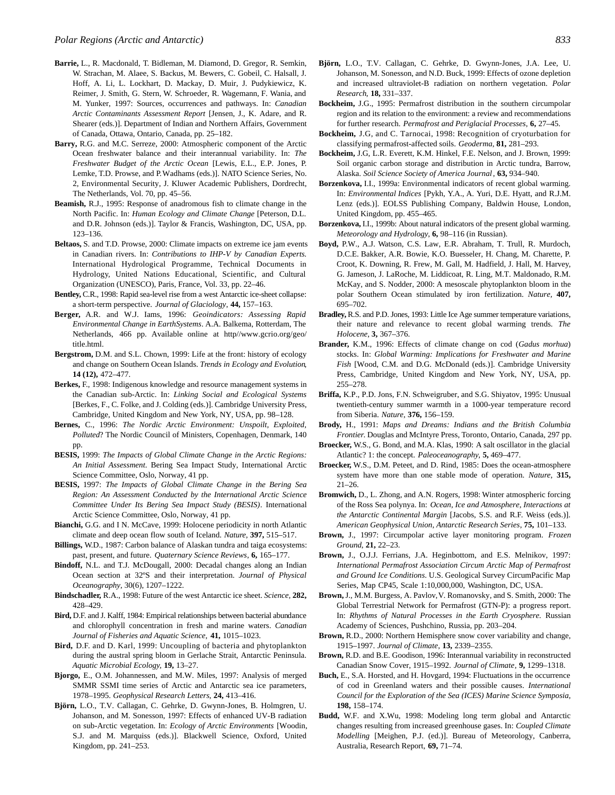- **Barrie,** L., R. Macdonald, T. Bidleman, M. Diamond, D. Gregor, R. Semkin, W. Strachan, M. Alaee, S. Backus, M. Bewers, C. Gobeil, C. Halsall, J. Hoff, A. Li, L. Lockhart, D. Mackay, D. Muir, J. Pudykiewicz, K. Reimer, J. Smith, G. Stern, W. Schroeder, R. Wagemann, F. Wania, and M. Yunker, 1997: Sources, occurrences and pathways. In: *Canadian Arctic Contaminants Assessment Report* [Jensen, J., K. Adare, and R. Shearer (eds.)]. Department of Indian and Northern Affairs, Government of Canada, Ottawa, Ontario, Canada, pp. 25–182.
- **Barry,** R.G. and M.C. Serreze, 2000: Atmospheric component of the Arctic Ocean freshwater balance and their interannual variability. In: *The Freshwater Budget of the Arctic Ocean* [Lewis, E.L., E.P. Jones, P. Lemke, T.D. Prowse, and P.Wadhams (eds.)]. NATO Science Series, No. 2, Environmental Security, J. Kluwer Academic Publishers, Dordrecht, The Netherlands, Vol. 70, pp. 45–56.
- **Beamish,** R.J., 1995: Response of anadromous fish to climate change in the North Pacific. In: *Human Ecology and Climate Change* [Peterson, D.L. and D.R. Johnson (eds.)]. Taylor & Francis, Washington, DC, USA, pp. 123–136.
- **Beltaos,** S. and T.D. Prowse, 2000: Climate impacts on extreme ice jam events in Canadian rivers. In: *Contributions to IHP-V by Canadian Experts*. International Hydrological Programme, Technical Documents in Hydrology, United Nations Educational, Scientific, and Cultural Organization (UNESCO), Paris, France, Vol. 33, pp. 22–46.
- Bentley, C.R., 1998: Rapid sea-level rise from a west Antarctic ice-sheet collapse: a short-term perspective. *Journal of Glaciology*, **44,** 157–163.
- Berger, A.R. and W.J. Iams, 1996: *Geoindicators: Assessing Rapid Environmental Change in EarthSystems*. A.A. Balkema, Rotterdam, The Netherlands, 466 pp. Available online at http//www.gcrio.org/geo/ title.html.
- **Bergstrom,** D.M. and S.L. Chown, 1999: Life at the front: history of ecology and change on Southern Ocean Islands. *Trends in Ecology and Evolution*, **14 (12),** 472–477.
- **Berkes,** F., 1998: Indigenous knowledge and resource management systems in the Canadian sub-Arctic. In: *Linking Social and Ecological Systems* [Berkes, F., C. Folke, and J. Colding (eds.)]. Cambridge University Press, Cambridge, United Kingdom and New York, NY, USA, pp. 98–128.
- **Bernes,** C., 1996: *The Nordic Arctic Environment: Unspoilt, Exploited, Polluted*? The Nordic Council of Ministers, Copenhagen, Denmark, 140 pp.
- **BESIS,** 1999: *The Impacts of Global Climate Change in the Arctic Regions: An Initial Assessment*. Bering Sea Impact Study, International Arctic Science Committee, Oslo, Norway, 41 pp.
- **BESIS,** 1997: *The Impacts of Global Climate Change in the Bering Sea Region: An Assessment Conducted by the International Arctic Science Committee Under Its Bering Sea Impact Study (BESIS)*. International Arctic Science Committee, Oslo, Norway, 41 pp.
- **Bianchi,** G.G. and I N. McCave, 1999: Holocene periodicity in north Atlantic climate and deep ocean flow south of Iceland. *Nature*, **397,** 515–517.
- **Billings,** W.D., 1987: Carbon balance of Alaskan tundra and taiga ecosystems: past, present, and future. *Quaternary Science Reviews*, **6,** 165–177.
- **Bindoff,** N.L. and T.J. McDougall, 2000: Decadal changes along an Indian Ocean section at 32ºS and their interpretation. *Journal of Physical Oceanography*, 30(6), 1207–1222.
- **Bindschadler,** R.A., 1998: Future of the west Antarctic ice sheet. *Science,* **282,** 428–429.
- **Bird,** D.F. and J. Kalff, 1984: Empirical relationships between bacterial abundance and chlorophyll concentration in fresh and marine waters. *Canadian Journal of Fisheries and Aquatic Science,* **41,** 1015–1023.
- Bird, D.F. and D. Karl, 1999: Uncoupling of bacteria and phytoplankton during the austral spring bloom in Gerlache Strait, Antarctic Peninsula. *Aquatic Microbial Ecology,* **19,** 13–27.
- **Bjorgo,** E., O.M. Johannessen, and M.W. Miles, 1997: Analysis of merged SMMR SSMI time series of Arctic and Antarctic sea ice parameters, 1978–1995. *Geophysical Research Letters*, **24,** 413–416.
- **Björn,** L.O., T.V. Callagan, C. Gehrke, D. Gwynn-Jones, B. Holmgren, U. Johanson, and M. Sonesson, 1997: Effects of enhanced UV-B radiation on sub-Arctic vegetation. In: *Ecology of Arctic Environments* [Woodin, S.J. and M. Marquiss (eds.)]. Blackwell Science, Oxford, United Kingdom, pp. 241–253.
- **Björn,** L.O., T.V. Callagan, C. Gehrke, D. Gwynn-Jones, J.A. Lee, U. Johanson, M. Sonesson, and N.D. Buck, 1999: Effects of ozone depletion and increased ultraviolet-B radiation on northern vegetation. *Polar Research*, **18,** 331–337.
- **Bockheim,** J.G., 1995: Permafrost distribution in the southern circumpolar region and its relation to the environment: a review and recommendations for further research. *Permafrost and Periglacial Processes*, **6,** 27–45.
- **Bockheim, J.G.** and C. Tarnocai, 1998: Recognition of cryoturbation for classifying permafrost-affected soils. *Geoderma*, 81, 281-293.
- **Bockheim,** J.G, L.R. Everett, K.M. Hinkel, F.E. Nelson, and J. Brown, 1999: Soil organic carbon storage and distribution in Arctic tundra, Barrow, Alaska. *Soil Science Society of America Journal*, **63,** 934–940.
- **Borzenkova,** I.I., 1999a: Environmental indicators of recent global warming. In: *Environmental Indices* [Pykh, Y.A., A. Yuri, D.E. Hyatt, and R.J.M. Lenz (eds.)]. EOLSS Publishing Company, Baldwin House, London, United Kingdom, pp. 455–465.
- Borzenkova, I.I., 1999b: About natural indicators of the present global warming. *Meteorology and Hydrology*, **6,** 98–116 (in Russian).
- **Boyd,** P.W., A.J. Watson, C.S. Law, E.R. Abraham, T. Trull, R. Murdoch, D.C.E. Bakker, A.R. Bowie, K.O. Buesseler, H. Chang, M. Charette, P. Croot, K. Downing, R. Frew, M. Gall, M. Hadfield, J. Hall, M. Harvey, G. Jameson, J. LaRoche, M. Liddicoat, R. Ling, M.T. Maldonado, R.M. McKay, and S. Nodder, 2000: A mesoscale phytoplankton bloom in the polar Southern Ocean stimulated by iron fertilization. *Nature,* **407,** 695–702.
- Bradley, R.S. and P.D. Jones, 1993: Little Ice Age summer temperature variations, their nature and relevance to recent global warming trends. The *Holocene*, **3,** 367–376.
- **Brander,** K.M., 1996: Effects of climate change on cod (*Gadus morhua*) stocks. In: *Global Warming: Implications for Freshwater and Marine Fish* [Wood, C.M. and D.G. McDonald (eds.)]. Cambridge University Press, Cambridge, United Kingdom and New York, NY, USA, pp. 255–278.
- **Briffa,** K.P., P.D. Jons, F.N. Schweigruber, and S.G. Shiyatov, 1995: Unusual twentieth-century summer warmth in a 1000-year temperature record from Siberia. *Nature*, **376,** 156–159.
- **Brody,** H., 1991: *Maps and Dreams: Indians and the British Columbia Frontier*. Douglas and McIntyre Press, Toronto, Ontario, Canada, 297 pp.
- **Broecker,** W.S., G. Bond, and M.A. Klas, 1990: A salt oscillator in the glacial Atlantic? 1: the concept. *Paleoceanography,* **5,** 469–477.
- **Broecker,** W.S., D.M. Peteet, and D. Rind, 1985: Does the ocean-atmosphere system have more than one stable mode of operation. *Nature*, **315,** 21–26.
- **Bromwich,** D., L. Zhong, and A.N. Rogers, 1998: Winter atmospheric forcing of the Ross Sea polynya. In: *Ocean, Ice and Atmosphere, Interactions at the Antarctic Continental Margin* [Jacobs, S.S. and R.F. Weiss (eds.)]. *American Geophysical Union, Antarctic Research Series*, **75,** 101–133.
- **Brown,** J., 1997: Circumpolar active layer monitoring program. *Frozen Ground*, **21,** 22–23.
- **Brown,** J., O.J.J. Ferrians, J.A. Heginbottom, and E.S. Melnikov, 1997: *International Permafrost Association Circum Arctic Map of Permafrost and Ground Ice Conditions*. U.S. Geological Survey CircumPacific Map Series, Map CP45, Scale 1:10,000,000, Washington, DC, USA.
- **Brown,**J., M.M. Burgess, A. Pavlov,V. Romanovsky, and S. Smith, 2000: The Global Terrestrial Network for Permafrost (GTN-P): a progress report. In: *Rhythms of Natural Processes in the Earth Cryosphere.* Russian Academy of Sciences, Pushchino, Russia, pp. 203–204.
- **Brown,** R.D., 2000: Northern Hemisphere snow cover variability and change, 1915–1997. *Journal of Climate*, **13,** 2339–2355.
- Brown, R.D. and B.E. Goodison, 1996: Interannual variability in reconstructed Canadian Snow Cover, 1915–1992. *Journal of Climate*, **9,** 1299–1318.
- **Buch,** E., S.A. Horsted, and H. Hovgard, 1994: Fluctuations in the occurrence of cod in Greenland waters and their possible causes. *International Council for the Exploration of the Sea (ICES) Marine Science Symposia*, **198,** 158–174.
- **Budd,** W.F. and X.Wu, 1998: Modeling long term global and Antarctic changes resulting from increased greenhouse gases. In: *Coupled Climate Modelling* [Meighen, P.J. (ed.)]. Bureau of Meteorology, Canberra, Australia, Research Report, **69,** 71–74.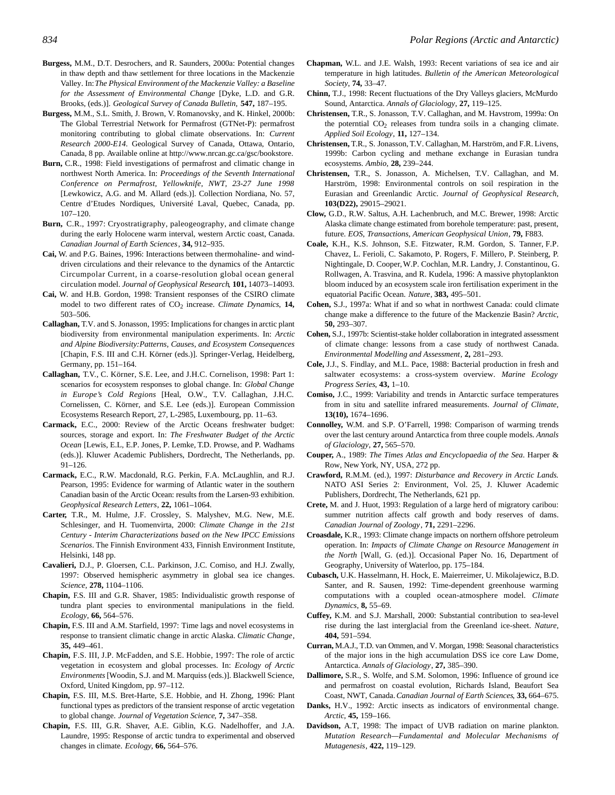- **Burgess,** M.M., D.T. Desrochers, and R. Saunders, 2000a: Potential changes in thaw depth and thaw settlement for three locations in the Mackenzie Valley. In: *The Physical Environment of the Mackenzie Valley: a Baseline for the Assessment of Environmental Change* [Dyke, L.D. and G.R. Brooks, (eds.)]. *Geological Survey of Canada Bulletin,* **547,** 187–195.
- **Burgess,** M.M., S.L. Smith, J. Brown, V. Romanovsky, and K. Hinkel, 2000b: The Global Terrestrial Network for Permafrost (GTNet-P): permafrost monitoring contributing to global climate observations. In: *Current Research 2000-E14*. Geological Survey of Canada, Ottawa, Ontario, Canada, 8 pp. Available online at http://www.nrcan.gc.ca/gsc/bookstore.
- **Burn,** C.R., 1998: Field investigations of permafrost and climatic change in northwest North America. In: *Proceedings of the Seventh International* Conference on Permafrost, Yellowknife, NWT, 23-27 June 1998 [Lewkowicz, A.G. and M. Allard (eds.)]. Collection Nordiana, No. 57, Centre d'Etudes Nordiques, Université Laval, Quebec, Canada, pp. 107–120.
- Burn, C.R., 1997: Cryostratigraphy, paleogeography, and climate change during the early Holocene warm interval, western Arctic coast, Canada. *Canadian Journal of Earth Sciences*, **34,** 912–935.
- **Cai,** W. and P.G. Baines, 1996: Interactions between thermohaline- and winddriven circulations and their relevance to the dynamics of the Antarctic Circumpolar Current, in a coarse-resolution global ocean general circulation model. *Journal of Geophysical Research*, 101, 14073-14093.
- **Cai,** W. and H.B. Gordon, 1998: Transient responses of the CSIRO climate model to two different rates of CO<sub>2</sub> increase. *Climate Dynamics*, 14, 503–506.
- **Callaghan,** T.V. and S. Jonasson, 1995: Implications for changes in arctic plant biodiversity from environmental manipulation experiments. In: *Arctic and Alpine Biodiversity:Patterns, Causes, and Ecosystem Consequences* [Chapin, F.S. III and C.H. Körner (eds.)]. Springer-Verlag, Heidelberg, Germany, pp. 151–164.
- Callaghan, T.V., C. Körner, S.E. Lee, and J.H.C. Cornelison, 1998: Part 1: scenarios for ecosystem responses to global change. In: *Global Change in Europe's Cold Regions* [Heal, O.W., T.V. Callaghan, J.H.C. Cornelissen, C. Körner, and S.E. Lee (eds.)]. European Commission Ecosystems Research Report, 27, L-2985, Luxembourg, pp. 11–63.
- **Carmack,** E.C., 2000: Review of the Arctic Oceans freshwater budget: sources, storage and export. In: *The Freshwater Budget of the Arctic Ocean* [Lewis, E.L, E.P. Jones, P. Lemke, T.D. Prowse, and P. Wadhams (eds.)]. Kluwer Academic Publishers, Dordrecht, The Netherlands, pp. 91–126.
- **Carmack,** E.C., R.W. Macdonald, R.G. Perkin, F.A. McLaughlin, and R.J. Pearson, 1995: Evidence for warming of Atlantic water in the southern Canadian basin of the Arctic Ocean: results from the Larsen-93 exhibition. *Geophysical Research Letters*, **22,** 1061–1064.
- **Carter,** T.R., M. Hulme, J.F. Crossley, S. Malyshev, M.G. New, M.E. Schlesinger, and H. Tuomenvirta, 2000: *Climate Change in the 21st Century - Interim Characterizations based on the New IPCC Emissions Scenarios*. The Finnish Environment 433, Finnish Environment Institute, Helsinki, 148 pp.
- **Cavalieri,** D.J., P. Gloersen, C.L. Parkinson, J.C. Comiso, and H.J. Zwally, 1997: Observed hemispheric asymmetry in global sea ice changes. *Science*, **278,** 1104–1106.
- **Chapin,** F.S. III and G.R. Shaver, 1985: Individualistic growth response of tundra plant species to environmental manipulations in the field. *Ecology*, **66,** 564–576.
- **Chapin,** F.S. III and A.M. Starfield, 1997: Time lags and novel ecosystems in response to transient climatic change in arctic Alaska. *Climatic Change*, **35,** 449–461.
- Chapin, F.S. III, J.P. McFadden, and S.E. Hobbie, 1997: The role of arctic v e getation in ecosystem and global processes. In: *Ecology of Arctic Environments*[Woodin, S.J. and M. Marquiss (eds.)]. Blackwell Science, Oxford, United Kingdom, pp. 97–112.
- **Chapin,** F.S. III, M.S. Bret-Harte, S.E. Hobbie, and H. Zhong, 1996: Plant functional types as predictors of the transient response of arctic vegetation to global change. *Journal of Vegetation Science*, **7,** 347–358.
- **Chapin,** F.S. III, G.R. Shaver, A.E. Giblin, K.G. Nadelhoffer, and J.A. Laundre, 1995: Response of arctic tundra to experimental and observed changes in climate. *Ecology*, **66,** 564–576.
- **Chapman,** W.L. and J.E. Walsh, 1993: Recent variations of sea ice and air temperature in high latitudes. *Bulletin of the American Meteorological Society*, **74,** 33–47.
- **Chinn,** T.J., 1998: Recent fluctuations of the Dry Valleys glaciers, McMurdo Sound, Antarctica. *Annals of Glaciology*, **27,** 119–125.
- **Christensen,** T.R., S. Jonasson, T.V. Callaghan, and M. Havstrom, 1999a: On the poterntial  $CO_2$  releases from tundra soils in a changing climate. *Applied Soil Ecology*, **11,** 127–134.
- **Christensen,** T.R., S. Jonasson, T.V. Callaghan, M. Harström, and F.R. Livens, 1999b: Carbon cycling and methane exchange in Eurasian tundra ecosystems. *Ambio*, **28**, 239-244.
- **Christensen,** T.R., S. Jonasson, A. Michelsen, T.V. Callaghan, and M. Harström, 1998: Environmental controls on soil respiration in the Eurasian and Greenlandic Arctic. *Journal of Geophysical Research*, **103(D22),** 29015–29021.
- **Clow,** G.D., R.W. Saltus, A.H. Lachenbruch, and M.C. Brewer, 1998: Arctic Alaska climate change estimated from borehole temperature: past, present, future. *EOS*, *Transactions, American Geophysical Union*, **79,** F883.
- **Coale,** K.H., K.S. Johnson, S.E. Fitzwater, R.M. Gordon, S. Tanner, F.P. Chavez, L. Ferioli, C. Sakamoto, P. Rogers, F. Millero, P. Steinberg, P. Nightingale, D. Cooper, W.P. Cochlan, M.R. Landry, J. Constantinou, G. Rollwagen, A. Trasvina, and R. Kudela, 1996: A massive phytoplankton bloom induced by an ecosystem scale iron fertilisation experiment in the equatorial Pacific Ocean. *Nature*, **383,** 495–501.
- **Cohen,** S.J., 1997a: What if and so what in northwest Canada: could climate change make a difference to the future of the Mackenzie Basin? *Arctic*, **50,** 293–307.
- **Cohen, S.J., 1997b: Scientist-stake holder collaboration in integrated assessment** of climate change: lessons from a case study of northwest Canada. *Environmental Modelling and Assessment*, **2,** 281–293.
- **Cole,** J.J., S. Findlay, and M.L. Pace, 1988: Bacterial production in fresh and saltwater ecosystems: a cross-system overview. *Marine Ecology Progress Series*, **43,** 1–10.
- **Comiso,** J.C., 1999: Variability and trends in Antarctic surface temperatures from in situ and satellite infrared measurements. *Journal of Climate*, **13(10),** 1674–1696.
- **Connolley,** W.M. and S.P. O'Farrell, 1998: Comparison of warming trends over the last century around Antarctica from three couple models. *Annals of Glaciology*, **27,** 565–570.
- **Couper,** A., 1989: *The Times Atlas and Encyclopaedia of the Sea*. Harper & Row, New York, NY, USA, 272 pp.
- **Crawford,** R.M.M. (ed.), 1997: *Disturbance and Recovery in Arctic Lands.* NATO ASI Series 2: Environment, Vol. 25, J. Kluwer Academic Publishers, Dordrecht, The Netherlands, 621 pp.
- **Crete,** M. and J. Huot, 1993: Regulation of a large herd of migratory caribou: summer nutrition affects calf growth and body reserves of dams. *Canadian Journal of Zoology*, **71,** 2291–2296.
- **Croasdale, K.R., 1993: Climate change impacts on northern offshore petroleum** operation. In: *Impacts of Climate Change on Resource Management in the North* [Wall, G. (ed.)]. Occasional Paper No. 16, Department of Geography, University of Waterloo, pp. 175–184.
- **Cubasch,** U.K. Hasselmann, H. Hock, E. Maierreimer, U. Mikolajewicz, B.D. Santer, and R. Sausen, 1992: Time-dependent greenhouse warming computations with a coupled ocean-atmosphere model. *Climate Dynamics*, **8,** 55–69.
- **Cuffey,** K.M. and S.J. Marshall, 2000: Substantial contribution to sea-level rise during the last interglacial from the Greenland ice-sheet. *Nature*, **404,** 591–594.
- **Curran, M.A.J., T.D. van Ommen, and V. Morgan, 1998: Seasonal characteristics** of the major ions in the high accumulation DSS ice core Law Dome, Antarctica. *Annals of Glaciology*, **27,** 385–390.
- **Dallimore,** S.R., S. Wolfe, and S.M. Solomon, 1996: Influence of ground ice and permafrost on coastal evolution, Richards Island, Beaufort Sea Coast, NWT, Canada. *Canadian Journal of Earth Sciences*, **33,** 664–675.
- **Danks,** H.V., 1992: Arctic insects as indicators of environmental change. *Arctic*, **45,** 159–166.
- **Davidson,** A.T, 1998: The impact of UVB radiation on marine plankton. *Mutation Research—Fundamental and Molecular Mechanisms of Mutagenesis*, **422,** 119–129.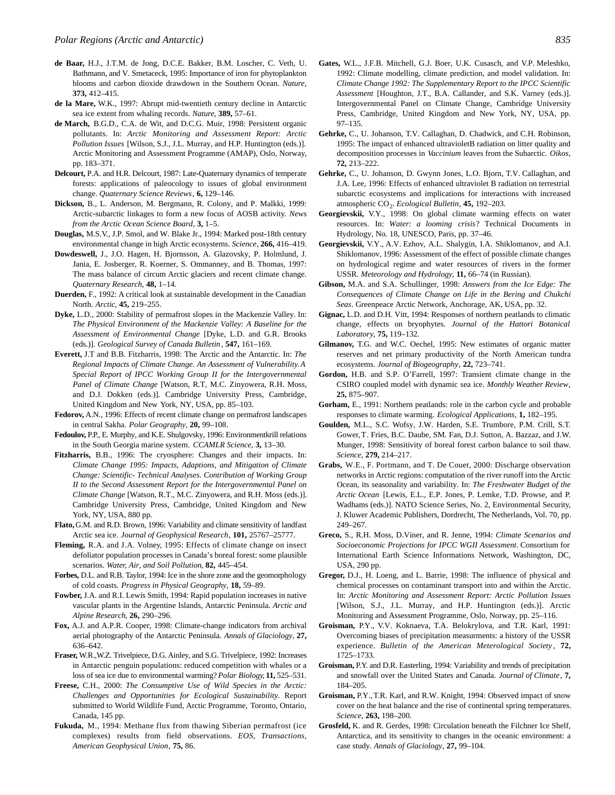- **de Baar,** H.J., J.T.M. de Jong, D.C.E. Bakker, B.M. Loscher, C. Veth, U. Bathmann, and V. Smetaceck, 1995: Importance of iron for phytoplankton blooms and carbon dioxide drawdown in the Southern Ocean. *Nature*, **373,** 412–415.
- **de la Mare,** W.K., 1997: Abrupt mid-twentieth century decline in Antarctic sea ice extent from whaling records. *Nature*, **389,** 57–61.
- **de March,** B.G.D., C.A. de Wit, and D.C.G. Muir, 1998: Persistent organic pollutants. In: Arctic Monitoring and Assessment Report: Arctic *Pollution Issues* [Wilson, S.J., J.L. Murray, and H.P. Huntington (eds.)]. Arctic Monitoring and Assessment Programme (AMAP), Oslo, Norway, pp. 183–371.
- Delcourt, P.A. and H.R. Delcourt, 1987: Late-Quaternary dynamics of temperate forests: applications of paleocology to issues of global environment change. *Quaternary Science Reviews*, **6,** 129–146.
- **Dickson,** B., L. Anderson, M. Bergmann, R. Colony, and P. Malkki, 1999: Arctic-subarctic linkages to form a new focus of AOSB activity. *News from the Arctic Ocean Science Board*, **3,** 1–5.
- **Douglas, M.S.V., J.P. Smol, and W. Blake Jr., 1994: Marked post-18th century** environmental change in high Arctic ecosystems. *Science*, **266,** 416–419.
- **Dowdeswell,** J., J.O. Hagen, H. Bjornsson, A. Glazovsky, P. Holmlund, J. Jania, E. Josberger, R. Koerner, S. Ommanney, and B. Thomas, 1997: The mass balance of circum Arctic glaciers and recent climate change. *Quaternary Research*, **48,** 1–14.
- **Duerden,** F., 1992: A critical look at sustainable development in the Canadian North. *Arctic*, **45,** 219–255.
- **Dyke,** L.D., 2000: Stability of permafrost slopes in the Mackenzie Valley. In: *The Physical Environment of the Mackenzie Valley: A Baseline for the Assessment of Environmental Change* [Dyke, L.D. and G.R. Brooks (eds.)]. *Geological Survey of Canada Bulletin*, **547,** 161–169.
- **Everett,** J.T and B.B. Fitzharris, 1998: The Arctic and the Antarctic. In: *The Regional Impacts of Climate Change. An Assessment of Vulnerability. A Special Report of IPCC Working Group II for the Intergovernmental Panel of Climate Change* [Watson, R.T, M.C. Zinyowera, R.H. Moss, and D.J. Dokken (eds.)]. Cambridge University Press, Cambridge, United Kingdom and New York, NY, USA, pp. 85–103.
- Fedorov, A.N., 1996: Effects of recent climate change on permafrost landscapes in central Sakha. *Polar Geography*, **20,** 99–108.
- Fedoulov, P.P., E. Murphy, and K.E. Shulgovsky, 1996: Environmentkrill relations in the South Georgia marine system. *CCAMLR Science*, **3,** 13–30.
- **Fitzharris,** B.B., 1996: The cryosphere: Changes and their impacts. In: *Climate Change 1995: Impacts, Adaptions, and Mitigation of Climate Change: Scientific- Technical Analyses. Contribution of Working Group II to the Second Assessment Report for the Intergovernmental Panel on Climate Change* [Watson, R.T., M.C. Zinyowera, and R.H. Moss (eds.)]. Cambridge University Press, Cambridge, United Kingdom and New York, NY, USA, 880 pp.
- **Flato,** G.M. and R.D. Brown, 1996: Variability and climate sensitivity of landfast Arctic sea ice. *Journal of Geophysical Research*, **101,** 25767–25777.
- Fleming, R.A. and J.A. Volney, 1995: Effects of climate change on insect defoliator population processes in Canada's boreal forest: some plausible scenarios. *Water, Air, and Soil Pollution*, **82,** 445–454.
- Forbes, D.L. and R.B. Taylor, 1994: Ice in the shore zone and the geomorphology of cold coasts. *Progress in Physical Geography*, **18,** 59–89.
- **Fowber,** J.A. and R.I. Lewis Smith, 1994: Rapid population increases in native vascular plants in the Argentine Islands, Antarctic Peninsula. *Arctic and Alpine Research*, **26,** 290–296.
- **Fox,** A.J. and A.P.R. Cooper, 1998: Climate-change indicators from archival aerial photography of the Antarctic Peninsula. *Annals of Glaciology,* **27,** 636–642.
- Fraser, W.R., W.Z. Trivelpiece, D.G. Ainley, and S.G. Trivelpiece, 1992: Increases in Antarctic penguin populations: reduced competition with whales or a loss of sea ice due to environmental warming? *Polar Biology*, **11**, 525–531.
- **Freese,** C.H., 2000: *The Consumptive Use of Wild Species in the Arctic: Challenges and Opportunities for Ecological Sustainability. Report* submitted to World Wildlife Fund, Arctic Programme, Toronto, Ontario, Canada, 145 pp.
- **Fukuda,** M., 1994: Methane flux from thawing Siberian permafrost (ice complexes) results from field observations. *EOS*, *Transactions*, *American Geophysical Union*, **75,** 86.
- **Gates,** W.L., J.F.B. Mitchell, G.J. Boer, U.K. Cusasch, and V.P. Meleshko, 1992: Climate modelling, climate prediction, and model validation. In: *Climate Change 1992: The Supplementary Report to the IPCC Scientific Assessment* [Houghton, J.T., B.A. Callander, and S.K. Varney (eds.)]. Intergovernmental Panel on Climate Change, Cambridge University Press, Cambridge, United Kingdom and New York, NY, USA, pp. 97–135.
- **Gehrke,** C., U. Johanson, T.V. Callaghan, D. Chadwick, and C.H. Robinson, 1995: The impact of enhanced ultravioletB radiation on litter quality and decomposition processes in *Vaccinium* leaves from the Subarctic. *Oikos*, **72,** 213–222.
- **Gehrke,** C., U. Johanson, D. Gwynn Jones, L.O. Bjorn, T.V. Callaghan, and J.A. Lee, 1996: Effects of enhanced ultraviolet B radiation on terrestrial subarctic ecosystems and implications for interactions with increased atmospheric CO<sup>2</sup> . *Ecological Bulletin*, **45,** 192–203.
- **Georgievskii,** V.Y., 1998: On global climate warming effects on water resources. In: *Water: a looming crisis*? Technical Documents in Hydrology, No. 18, UNESCO, Paris, pp. 37–46.
- **Georgievskii,** V.Y., A.V. Ezhov, A.L. Shalygin, I.A. Shiklomanov, and A.I. Shiklomanov, 1996: Assessment of the effect of possible climate changes on hydrological regime and water resources of rivers in the former USSR. *Meteorology and Hydrology*, **11,** 66–74 (in Russian).
- **Gibson,** M.A. and S.A. Schullinger, 1998: *Answers from the Ice Edge: The Consequences of Climate Change on Life in the Bering and Chukchi Seas*. Greenpeace Arctic Network, Anchorage, AK, USA, pp. 32.
- Gignac, L.D. and D.H. Vitt, 1994: Responses of northern peatlands to climatic change, effects on bryophytes. *Journal of the Hattori Botanical Laboratory*, **75,** 119–132.
- **Gilmanov,** T.G. and W.C. Oechel, 1995: New estimates of organic matter reserves and net primary productivity of the North American tundra ecosystems. *Journal of Biogeography*, **22,** 723–741.
- **Gordon,** H.B. and S.P. O'Farrell, 1997: Transient climate change in the CSIRO coupled model with dynamic sea ice. *Monthly Weather Review*, **25,** 875–907.
- **Gorham,** E., 1991: Northern peatlands: role in the carbon cycle and probable responses to climate warming. *Ecological Applications*, **1,** 182–195.
- **Goulden,** M.L., S.C. Wofsy, J.W. Harden, S.E. Trumbore, P.M. Crill, S.T. Gower,T. Fries, B.C. Daube, SM. Fan, D.J. Sutton, A. Bazzaz, and J.W. Munger, 1998: Sensitivity of boreal forest carbon balance to soil thaw. *Science*, **279,** 214–217.
- Grabs, W.E., F. Portmann, and T. De Couet, 2000: Discharge observation networks in Arctic regions: computation of the river runoff into the Arctic Ocean, its seasonality and variability. In: *The Freshwater Budget of the Arctic Ocean* [Lewis, E.L., E.P. Jones, P. Lemke, T.D. Prowse, and P. Wadhams (eds.)]. NATO Science Series, No. 2, Environmental Security, J. Kluwer Academic Publishers, Dordrecht, The Netherlands, Vol. 70, pp. 249–267.
- **Greco,** S., R.H. Moss, D.Viner, and R. Jenne, 1994: *Climate Scenarios and Socioeconomic Projections for IPCC WGII Assessment*. Consortium for International Earth Science Informations Network, Washington, DC, USA, 290 pp.
- **Gregor,** D.J., H. Loeng, and L. Barrie, 1998: The influence of physical and chemical processes on contaminant transport into and within the Arctic. In: *Arctic Monitoring and Assessment Report: Arctic Pollution Issues* [Wilson, S.J., J.L. Murray, and H.P. Huntington (eds.)]. Arctic Monitoring and Assessment Programme, Oslo, Norway, pp. 25–116.
- **Groisman,** P.Y., V.V. Koknaeva, T.A. Belokrylova, and T.R. Karl, 1991: Overcoming biases of precipitation measurments: a history of the USSR experience. *Bulletin of the American Meterological Society*, 72, 1725–1733.
- Groisman, P.Y. and D.R. Easterling, 1994: Variability and trends of precipitation and snowfall over the United States and Canada. *Journal of Climate*, **7,** 184–205.
- **Groisman,** P.Y., T.R. Karl, and R.W. Knight, 1994: Observed impact of snow cover on the heat balance and the rise of continental spring temperatures. *Science*, **263,** 198–200.
- **Grosfeld,** K. and R. Gerdes, 1998: Circulation beneath the Filchner Ice Shelf, Antarctica, and its sensitivity to changes in the oceanic environment: a case study. *Annals of Glaciology*, **27,** 99–104.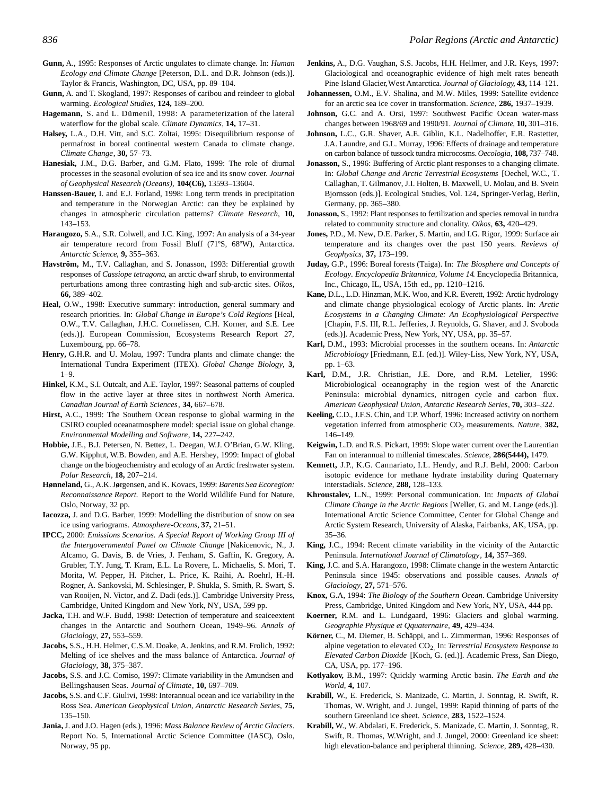- **Gunn,** A., 1995: Responses of Arctic ungulates to climate change. In: *Human Ecology and Climate Change* [Peterson, D.L. and D.R. Johnson (eds.)]. Taylor & Francis, Washington, DC, USA, pp. 89–104.
- **Gunn,** A. and T. Skogland, 1997: Responses of caribou and reindeer to global warming. *Ecological Studies*, **124,** 189–200.
- Hagemann, S. and L. Dümenil, 1998: A parameterization of the lateral waterflow for the global scale. *Climate Dynamics*, **14,** 17–31.
- **Halsey,** L.A., D.H. Vitt, and S.C. Zoltai, 1995: Disequilibrium response of permafrost in boreal continental western Canada to climate change. *Climate Change*, **30,** 57–73.
- **Hanesiak,** J.M., D.G. Barber, and G.M. Flato, 1999: The role of diurnal processes in the seasonal evolution of sea ice and its snow cover. *Journal of Geophysical Research (Oceans),* **104(C6),** 13593–13604.
- **Hanssen-Bauer,** I. and E.J. Forland, 1998: Long term trends in precipitation and temperature in the Norwegian Arctic: can they be explained by changes in atmospheric circulation patterns? *Climate Research*, **10,** 143–153.
- **Harangozo,** S.A., S.R. Colwell, and J.C. King, 1997: An analysis of a 34-year air temperature record from Fossil Bluff (71ºS, 68ºW), Antarctica. *Antarctic Science*, **9,** 355–363.
- **Havström,** M., T.V. Callaghan, and S. Jonasson, 1993: Differential growth responses of *Cassiope tetragona*, an arctic dwarf shrub, to environmental perturbations among three contrasting high and sub-arctic sites. *Oikos*, **66,** 389–402.
- **Heal,** O.W., 1998: Executive summary: introduction, general summary and research priorities. In: *Global Change in Europe's Cold Regions* [Heal, O.W., T.V. Callaghan, J.H.C. Cornelissen, C.H. Korner, and S.E. Lee (eds.)]. European Commission, Ecosystems Research Report 27, Luxembourg, pp. 66–78.
- **Henry,** G.H.R. and U. Molau, 1997: Tundra plants and climate change: the International Tundra Experiment (ITEX). *Global Change Biology*, **3,** 1–9.
- **Hinkel, K.M., S.I. Outcalt, and A.E. Taylor, 1997: Seasonal patterns of coupled** flow in the active layer at three sites in northwest North America. *Canadian Journal of Earth Sciences*, **34,** 667–678.
- **Hirst,** A.C., 1999: The Southern Ocean response to global warming in the CSIRO coupled oceanatmosphere model: special issue on global change. *Environmental Modelling and Software*, **14,** 227–242.
- **Hobbie,** J.E., B.J. Petersen, N. Bettez, L. Deegan, W.J. O'Brian, G.W. Kling, G.W. Kipphut, W.B. Bowden, and A.E. Hershey, 1999: Impact of global change on the biogeochemistry and ecology of an Arctic freshwater system. *Polar Research*, **18,** 207–214.
- **Hønneland,** G., A.K. J**ø**rgensen, and K. Kovacs, 1999: *Barents Sea Ecoregion: Reconnaissance Report.* Report to the World Wildlife Fund for Nature, Oslo, Norway, 32 pp.
- **Iacozza,** J. and D.G. Barber, 1999: Modelling the distribution of snow on sea ice using variograms. *Atmosphere-Oceans,* **37,** 21–51.
- **IPCC,** 2000: *Emissions Scenarios. A Special Report of Working Group III of the Intergovernmental Panel on Climate Change* [Nakicenovic, N., J. Alcamo, G. Davis, B. de Vries, J. Fenham, S. Gaffin, K. Gregory, A. Grubler, T.Y. Jung, T. Kram, E.L. La Rovere, L. Michaelis, S. Mori, T. Morita, W. Pepper, H. Pitcher, L. Price, K. Raihi, A. Roehrl, H.-H. Rogner, A. Sankovski, M. Schlesinger, P. Shukla, S. Smith, R. Swart, S. van Rooijen, N. Victor, and Z. Dadi (eds.)]. Cambridge University Press, Cambridge, United Kingdom and New York, NY, USA, 599 pp.
- **Jacka,** T.H. and W.F. Budd, 1998: Detection of temperature and seaiceextent changes in the Antarctic and Southern Ocean, 1949–96. *Annals of Glaciology*, **27,** 553–559.
- **Jacobs,** S.S., H.H. Helmer, C.S.M. Doake, A. Jenkins, and R.M. Frolich, 1992: Melting of ice shelves and the mass balance of Antarctica. *Journal of Glaciology*, **38,** 375–387.
- **Jacobs,** S.S. and J.C. Comiso, 1997: Climate variability in the Amundsen and Bellingshausen Seas. *Journal of Climate*, **10,** 697–709.
- **Jacobs,** S.S. and C.F. Giulivi, 1998: Interannual ocean and ice variability in the Ross Sea. *American Geophysical Union, Antarctic Research Series*, **75,** 135–150.
- **Jania,** J. and J.O. Hagen (eds.), 1996: *Mass Balance Review of Arctic Glaciers.* Report No. 5, International Arctic Science Committee (IASC), Oslo, Norway, 95 pp.
- **Jenkins,** A., D.G. Vaughan, S.S. Jacobs, H.H. Hellmer, and J.R. Keys, 1997: Glaciological and oceanographic evidence of high melt rates beneath Pine Island Glacier,West Antarctica. *Journal of Glaciology,* **43,** 114–121.
- **Johannessen,** O.M., E.V. Shalina, and M.W. Miles, 1999: Satellite evidence for an arctic sea ice cover in transformation. *Science*, **286,** 1937–1939.
- **Johnson,** G.C. and A. Orsi, 1997: Southwest Pacific Ocean water-mass changes between 1968/69 and 1990/91. *Journal of Climate*, **10,** 301–316.
- **Johnson,** L.C., G.R. Shaver, A.E. Giblin, K.L. Nadelhoffer, E.R. Rastetter, J.A. Laundre, and G.L. Murray, 1996: Effects of drainage and temperature on carbon balance of tussock tundra microcosms. *Oecologia*, **108**, 737-748.
- **Jonasson,** S., 1996: Buffering of Arctic plant responses to a changing climate. In: *Global Change and Arctic Terrestrial Ecosystems* [Oechel, W.C., T. Callaghan, T. Gilmanov, J.I. Holten, B. Maxwell, U. Molau, and B. Svein Bjornsson (eds.)]. Ecological Studies, Vol. 124**,** Springer-Verlag, Berlin, Germany, pp. 365–380.
- Jonasson, S., 1992: Plant responses to fertilization and species removal in tundra related to community structure and clonality. *Oikos*, **63,** 420–429.
- **Jones,** P.D., M. New, D.E. Parker, S. Martin, and I.G. Rigor, 1999: Surface air temperature and its changes over the past 150 years. *Reviews of Geophysics*, **37,** 173–199.
- **Juday,** G.P., 1996: Boreal forests (Taiga). In: *The Biosphere and Concepts of Ecology. Encyclopedia Britannica, Volume 14*. Encyclopedia Britannica, Inc., Chicago, IL, USA, 15th ed., pp. 1210–1216.
- Kane, D.L., L.D. Hinzman, M.K. Woo, and K.R. Everett, 1992: Arctic hydrology and climate change physiological ecology of Arctic plants. In: *Arctic Ecosystems in a Changing Climate: An Ecophysiological Perspective* [Chapin, F.S. III, R.L. Jefferies, J. Reynolds, G. Shaver, and J. Svoboda (eds.)]. Academic Press, New York, NY, USA, pp. 35–57.
- **Karl,** D.M., 1993: Microbial processes in the southern oceans. In: *Antarctic Microbiology* [Friedmann, E.I. (ed.)]. Wiley-Liss, New York, NY, USA, pp. 1–63.
- Karl, D.M., J.R. Christian, J.E. Dore, and R.M. Letelier, 1996: Microbiological oceanography in the region west of the Anarctic Peninsula: microbial dynamics, nitrogen cycle and carbon flux*. American Geophysical Union, Antarctic Research Series*, **70,** 303–322.
- Keeling, C.D., J.F.S. Chin, and T.P. Whorf, 1996: Increased activity on northern vegetation inferred from atmospheric CO<sub>2</sub> measurements. *Nature*, 382, 146–149.
- **Keigwin,** L.D. and R.S. Pickart, 1999: Slope water current over the Laurentian Fan on interannual to millenial timescales. *Science*, **286(5444),** 1479.
- Kennett, J.P., K.G. Cannariato, I.L. Hendy, and R.J. Behl, 2000: Carbon isotopic evidence for methane hydrate instability during Quaternary interstadials. *Science*, **288,** 128–133.
- **Khroustalev,** L.N., 1999: Personal communication. In: *Impacts of Global Climate Change in the Arctic Regions* [Weller, G. and M. Lange (eds.)]. International Arctic Science Committee, Center for Global Change and Arctic System Research, University of Alaska, Fairbanks, AK, USA, pp. 35–36.
- **King,** J.C., 1994: Recent climate variability in the vicinity of the Antarctic Peninsula. *International Journal of Climatology*, **14,** 357–369.
- **King,** J.C. and S.A. Harangozo, 1998: Climate change in the western Antarctic Peninsula since 1945: observations and possible causes. *Annals of Glaciology*, **27,** 571–576.
- **Knox,** G.A, 1994: *The Biology of the Southern Ocean*. Cambridge University Press, Cambridge, United Kingdom and New York, NY, USA, 444 pp.
- **Koerner,** R.M. and L. Lundgaard, 1996: Glaciers and global warming. *Geographie Physique et Qquaternaire,* **49,** 429–434.
- **Körner,** C., M. Diemer, B. Schäppi, and L. Zimmerman, 1996: Responses of alpine vegetation to elevated CO2. In: *Terrestrial Ecosystem Response to Elevated Carbon Dioxide* [Koch, G. (ed.)]. Academic Press, San Diego, CA, USA, pp. 177–196.
- **Kotlyakov,** B.M., 1997: Quickly warming Arctic basin. *The Earth and the World*, **4,** 107.
- **Krabill,** W., E. Frederick, S. Manizade, C. Martin, J. Sonntag, R. Swift, R. Thomas, W. Wright, and J. Jungel, 1999: Rapid thinning of parts of the southern Greenland ice sheet. *Science*, **283,** 1522–1524.
- **Krabill,** W., W.Abdalati, E. Frederick, S. Manizade, C. Martin, J. Sonntag, R. Swift, R. Thomas, W.Wright, and J. Jungel, 2000: Greenland ice sheet: high elevation-balance and peripheral thinning. *Science*, **289,** 428–430.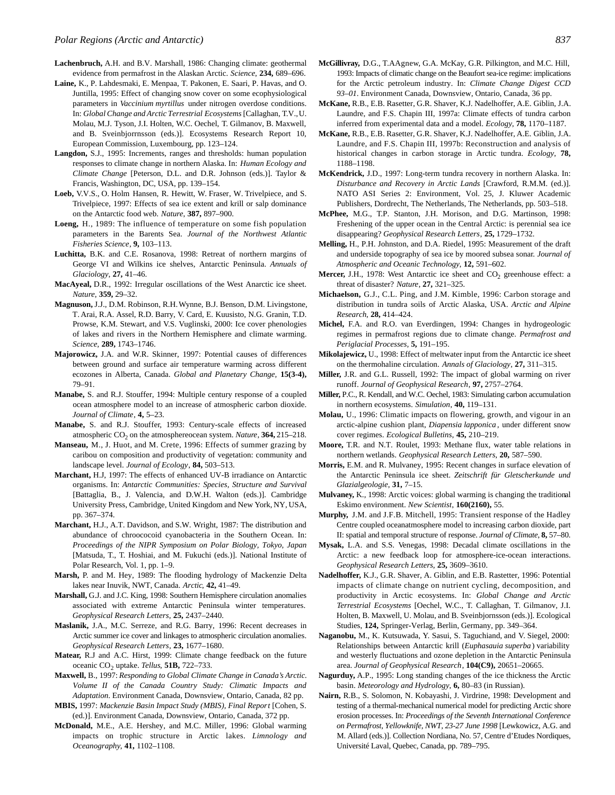- **Lachenbruch,** A.H. and B.V. Marshall, 1986: Changing climate: geothermal evidence from permafrost in the Alaskan Arctic. *Science*, **234,** 689–696.
- **Laine,** K., P. Lahdesmaki, E. Menpaa, T. Pakonen, E. Saari, P. Havas, and O. Juntilla, 1995: Effect of changing snow cover on some ecophysiological parameters in *Vaccinium myrtillus* under nitrogen overdose conditions. In: *Global Change and Arctic Terrestrial Ecosystems*[Callaghan, T.V., U. Molau, M.J. Tyson, J.I. Holten, W.C. Oechel, T. Gilmanov, B. Maxwell, and B. Sveinbjorrnsson (eds.)]. Ecosystems Research Report 10, European Commission, Luxembourg, pp. 123–124.
- **Langdon,** S.J., 1995: Increments, ranges and thresholds: human population responses to climate change in northern Alaska. In: *Human Ecology and Climate Change* [Peterson, D.L. and D.R. Johnson (eds.)]. Taylor & Francis, Washington, DC, USA, pp. 139–154.
- **Loeb,** V.V.S., O. Holm Hansen, R. Hewitt, W. Fraser, W. Trivelpiece, and S. Trivelpiece, 1997: Effects of sea ice extent and krill or salp dominance on the Antarctic food web. *Nature*, **387,** 897–900.
- Loeng, H., 1989: The influence of temperature on some fish population parameters in the Barents Sea. *Journal of the Northwest Atlantic Fisheries Science*, **9,** 103–113.
- **Luchitta,** B.K. and C.E. Rosanova, 1998: Retreat of northern margins of George VI and Wilkins ice shelves, Antarctic Peninsula. *Annuals of Glaciology*, **27,** 41–46.
- **MacAyeal,** D.R., 1992: Irregular oscillations of the West Anarctic ice sheet. *Nature*, **359,** 29–32.
- **Magnuson,** J.J., D.M. Robinson, R.H. Wynne, B.J. Benson, D.M. Livingstone, T. Arai, R.A. Assel, R.D. Barry, V. Card, E. Kuusisto, N.G. Granin, T.D. Prowse, K.M. Stewart, and V.S. Vuglinski, 2000: Ice cover phenologies of lakes and rivers in the Northern Hemisphere and climate warming. *Science,* **289,** 1743–1746.
- **Majorowicz,** J.A. and W.R. Skinner, 1997: Potential causes of differences between ground and surface air temperature warming across different ecozones in Alberta, Canada. *Global and Planetary Change,* **15(3-4),** 79–91.
- **Manabe,** S. and R.J. Stouffer, 1994: Multiple century response of a coupled ocean atmosphere model to an increase of atmospheric carbon dioxide. *Journal of Climate*, **4,** 5–23.
- Manabe, S. and R.J. Stouffer, 1993: Century-scale effects of increased atmospheric CO<sub>2</sub> on the atmosphereocean system. *Nature*, **364**, 215–218.
- Manseau, M., J. Huot, and M. Crete, 1996: Effects of summer grazing by caribou on composition and productivity of vegetation: community and landscape level. *Journal of Ecology*, **84,** 503–513.
- **Marchant,** H.J, 1997: The effects of enhanced UV-B irradiance on Antarctic organisms. In: *Antarctic Communities: Species, Structure and Survival* [Battaglia, B., J. Valencia, and D.W.H. Walton (eds.)]. Cambridge University Press, Cambridge, United Kingdom and New York, NY, USA, pp. 367–374.
- **Marchant,** H.J., A.T. Davidson, and S.W. Wright, 1987: The distribution and abundance of chroococoid cyanobacteria in the Southern Ocean. In: *Proceedings of the NIPR Symposium on Polar Biology, Tokyo, Japan* [Matsuda, T., T. Hoshiai, and M. Fukuchi (eds.)]. National Institute of Polar Research, Vol. 1, pp. 1–9.
- **Marsh,** P. and M. Hey, 1989: The flooding hydrology of Mackenzie Delta lakes near Inuvik, NWT, Canada. *Arctic*, **42,** 41–49.
- Marshall, G.J. and J.C. King, 1998: Southern Hemisphere circulation anomalies associated with extreme Antarctic Peninsula winter temperatures. *Geophysical Research Letters*, **25,** 2437–2440.
- **Maslanik,** J.A., M.C. Serreze, and R.G. Barry, 1996: Recent decreases in Arctic summer ice cover and linkages to atmospheric circulation anomalies. *Geophysical Research Letters*, **23,** 1677–1680.
- **Matear,** R.J and A.C. Hirst, 1999: Climate change feedback on the future oceanic CO<sub>2</sub> uptake. *Tellus*, **51B**, 722-733.
- **Maxwell,** B., 1997: *Responding to Global Climate Change in Canada's Arctic. Volume II of the Canada Country Study: Climatic Impacts and Adaptation*. Environment Canada, Downsview, Ontario, Canada, 82 pp.
- **MBIS,** 1997: *Mackenzie Basin Impact Study (MBIS), Final Report* [Cohen, S. (ed.)]. Environment Canada, Downsview, Ontario, Canada, 372 pp.
- **McDonald,** M.E., A.E. Hershey, and M.C. Miller, 1996: Global warming impacts on trophic structure in Arctic lakes. *Limnology and Oceanography*, **41,** 1102–1108.
- McGillivray, D.G., T.AAgnew, G.A. McKay, G.R. Pilkington, and M.C. Hill, 1993: Impacts of climatic change on the Beaufort sea-ice regime: implications for the Arctic petroleum industry. In: *Climate Change Digest CCD 93–01*. Environment Canada, Downsview, Ontario, Canada, 36 pp.
- **McKane,** R.B., E.B. Rasetter, G.R. Shaver, K.J. Nadelhoffer, A.E. Giblin, J.A. Laundre, and F.S. Chapin III, 1997a: Climate effects of tundra carbon inferred from experimental data and a model. *Ecology*, **78,** 1170–1187.
- **McKane,** R.B., E.B. Rasetter, G.R. Shaver, K.J. Nadelhoffer, A.E. Giblin, J.A. Laundre, and F.S. Chapin III, 1997b: Reconstruction and analysis of historical changes in carbon storage in Arctic tundra. *Ecology*, 78, 1188–1198.
- **McKendrick,** J.D., 1997: Long-term tundra recovery in northern Alaska. In: *Disturbance and Recovery in Arctic Lands* [Crawford, R.M.M. (ed.)]. NATO ASI Series 2: Environment, Vol. 25, J. Kluwer Academic Publishers, Dordrecht, The Netherlands, The Netherlands, pp. 503–518.
- **McPhee,** M.G., T.P. Stanton, J.H. Morison, and D.G. Martinson, 1998: Freshening of the upper ocean in the Central Arctic: is perennial sea ice disappearing? *Geophysical Research Letters*, **25,** 1729–1732.
- **Melling,** H., P.H. Johnston, and D.A. Riedel, 1995: Measurement of the draft and underside topography of sea ice by moored subsea sonar. *Journal of Atmospheric and Oceanic Technology*, **12,** 591–602.
- **Mercer,** J.H., 1978: West Antarctic ice sheet and  $CO<sub>2</sub>$  greenhouse effect: a threat of disaster? *Nature*, **27,** 321–325.
- Michaelson, G.J., C.L. Ping, and J.M. Kimble, 1996: Carbon storage and distribution in tundra soils of Arctic Alaska, USA. Arctic and Alpine *Research*, **28,** 414–424.
- **Michel,** F.A. and R.O. van Everdingen, 1994: Changes in hydrogeologic regimes in permafrost regions due to climate change. *Permafrost and Periglacial Processes,* **5,** 191–195.
- **Mikolajewicz,** U., 1998: Effect of meltwater input from the Antarctic ice sheet on the thermohaline circulation. *Annals of Glaciology*, **27,** 311–315.
- **Miller,** J.R. and G.L. Russell, 1992: The impact of global warming on river runoff. *Journal of Geophysical Research*, **97,** 2757–2764.
- **Miller, P.C., R. Kendall, and W.C. Oechel, 1983: Simulating carbon accumulation** in northern ecosystems. *Simulation*, **40,** 119–131.
- Molau, U., 1996: Climatic impacts on flowering, growth, and vigour in an arctic-alpine cushion plant, *Diapensia lapponica*, under different snow cover regimes. *Ecological Bulletins*, **45,** 210–219.
- **Moore,** T.R. and N.T. Roulet, 1993: Methane flux, water table relations in northern wetlands. *Geophysical Research Letters*, **20,** 587–590.
- **Morris,** E.M. and R. Mulvaney, 1995: Recent changes in surface elevation of the Antarctic Peninsula ice sheet. *Zeitschrift für Gletscherkunde und Glazialgeologie*, **31,** 7–15.
- Mulvaney, K., 1998: Arctic voices: global warming is changing the traditional Eskimo environment. *New Scientist*, **160(2160),** 55.
- **Murphy, J.M. and J.F.B. Mitchell, 1995: Transient response of the Hadley** Centre coupled oceanatmosphere model to increasing carbon dioxide, part II: spatial and temporal structure of response. *Journal of Climate*, **8**, 57–80.
- **Mysak,** L.A. and S.S. Venegas, 1998: Decadal climate oscillations in the Arctic: a new feedback loop for atmosphere-ice-ocean interactions. *Geophysical Research Letters*, **25,** 3609–3610.
- **Nadelhoffer,** K.J., G.R. Shaver, A. Giblin, and E.B. Rastetter, 1996: Potential impacts of climate change on nutrient cycling, decomposition, and productivity in Arctic ecosystems. In: *Global Change and Arctic Terrestrial Ecosystems* [Oechel, W.C., T. Callaghan, T. Gilmanov, J.I. Holten, B. Maxwell, U. Molau, and B. Sveinbjornsson (eds.)]. Ecological Studies, **124,** Springer-Verlag, Berlin, Germany, pp. 349–364.
- **Naganobu,** M., K. Kutsuwada, Y. Sasui, S. Taguchiand, and V. Siegel, 2000: Relationships between Antarctic krill (*Euphasauia superba*) variability and westerly fluctuations and ozone depletion in the Antarctic Peninsula area. *Journal of Geophysical Research*, **104(C9),** 20651–20665.
- **Nagurduy,** A.P., 1995: Long standing changes of the ice thickness the Arctic basin. *Meteorology and Hydrology*, **6,** 80–83 (in Russian).
- **Nairn,** R.B., S. Solomon, N. Kobayashi, J. Virdrine, 1998: Development and testing of a thermal-mechanical numerical model for predicting Arctic shore erosion processes. In: *Proceedings of the Seventh International Conference on Permafrost, Yellowknife, NWT, 23-27 June 1998* [Lewkowicz, A.G. and M. Allard (eds.)]. Collection Nordiana, No. 57, Centre d'Etudes Nordiques, Université Laval, Quebec, Canada, pp. 789–795.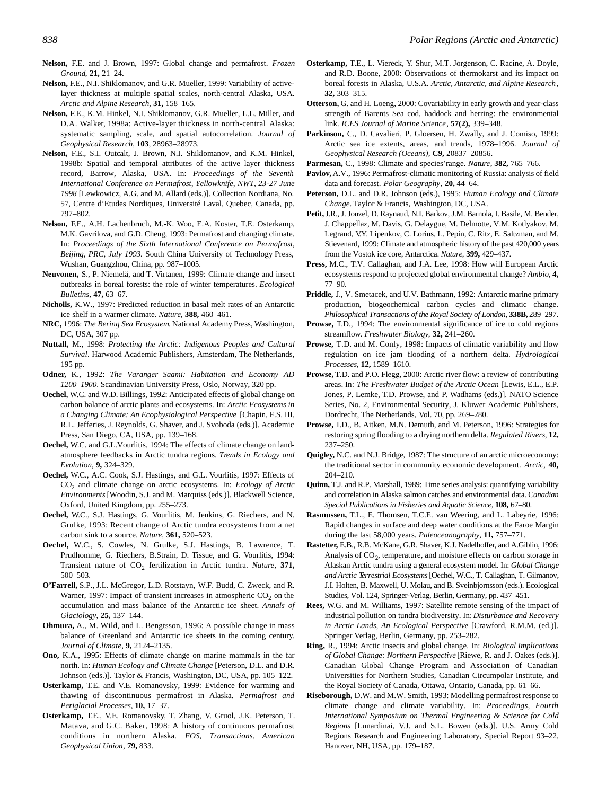- **Nelson,** F.E. and J. Brown, 1997: Global change and permafrost. *Frozen Ground*, **21,** 21–24.
- **Nelson,** F.E., N.I. Shiklomanov, and G.R. Mueller, 1999: Variability of activelayer thickness at multiple spatial scales, north-central Alaska, USA. *Arctic and Alpine Research*, **31,** 158–165.
- **Nelson,** F.E., K.M. Hinkel, N.I. Shiklomanov, G.R. Mueller, L.L. Miller, and D.A. Walker, 1998a: Active-layer thickness in north-central Alaska: systematic sampling, scale, and spatial autocorrelation. *Journal of Geophysical Research*, **103**, 28963–28973.
- **Nelson,** F.E., S.I. Outcalt, J. Brown, N.I. Shiklomanov, and K.M. Hinkel, 1998b: Spatial and temporal attributes of the active layer thickness record, Barrow, Alaska, USA. In: *P roceedings of the Seventh International Conference on Permafrost, Yellowknife, NWT, 23-27 June 1998* [Lewkowicz, A.G. and M. Allard (eds.)]. Collection Nordiana, No. 57, Centre d'Etudes Nordiques, Université Laval, Quebec, Canada, pp. 797–802.
- **Nelson,** F.E., A.H. Lachenbruch, M.-K. Woo, E.A. Koster, T.E. Osterkamp, M.K. Gavrilova, and G.D. Cheng, 1993: Permafrost and changing climate. In: *Proceedings of the Sixth International Conference on Permafrost, Beijing, PRC, July 1993.* South China University of Technology Press, Wushan, Guangzhou, China, pp. 987–1005.
- **Neuvonen,** S., P. Niemelä, and T. Virtanen, 1999: Climate change and insect outbreaks in boreal forests: the role of winter temperatures. *Ecological Bulletins*, **47,** 63–67.
- **Nicholls,** K.W., 1997: Predicted reduction in basal melt rates of an Antarctic ice shelf in a warmer climate. *Nature*, **388,** 460–461.
- **NRC,** 1996: *The Bering Sea Ecosystem*. National Academy Press, Washington, DC, USA, 307 pp.
- **Nuttall,** M., 1998: *Protecting the Arctic: Indigenous Peoples and Cultural Survival*. Harwood Academic Publishers, Amsterdam, The Netherlands, 195 pp.
- Odner, K., 1992: The Varanger Saami: Habitation and Economy AD *1200–1900*. Scandinavian University Press, Oslo, Norway, 320 pp.
- **Oechel,** W.C. and W.D. Billings, 1992: Anticipated effects of global change on carbon balance of arctic plants and ecosystems. In: *Arctic Ecosystems in a Changing Climate: An Ecophysiological Perspective* [Chapin, F.S. III, R.L. Jefferies, J. Reynolds, G. Shaver, and J. Svoboda (eds.)]. Academic Press, San Diego, CA, USA, pp. 139–168.
- **Oechel,** W.C. and G.L.Vourlitis, 1994: The effects of climate change on landatmosphere feedbacks in Arctic tundra regions. *Trends in Ecology and Evolution,* **9,** 324–329.
- **Oechel,** W.C., A.C. Cook, S.J. Hastings, and G.L. Vourlitis, 1997: Effects of CO<sup>2</sup> and climate change on arctic ecosystems. In: *Ecology of Arctic Environments*[Woodin, S.J. and M. Marquiss (eds.)]. Blackwell Science, Oxford, United Kingdom, pp. 255–273.
- **Oechel,** W.C., S.J. Hastings, G. Vourlitis, M. Jenkins, G. Riechers, and N. Grulke, 1993: Recent change of Arctic tundra ecosystems from a net carbon sink to a source. *Nature*, 361, 520-523.
- Oechel, W.C., S. Cowles, N. Grulke, S.J. Hastings, B. Lawrence, T. Prudhomme, G. Riechers, B.Strain, D. Tissue, and G. Vourlitis, 1994: Transient nature of CO<sub>2</sub> fertilization in Arctic tundra. *Nature*, 371, 500–503.
- **O'Farrell,** S.P., J.L. McGregor, L.D. Rotstayn, W.F. Budd, C. Zweck, and R. Warner, 1997: Impact of transient increases in atmospheric  $CO<sub>2</sub>$  on the accumulation and mass balance of the Antarctic ice sheet. *Annals of Glaciology*, **25,** 137–144.
- **Ohmura,** A., M. Wild, and L. Bengtsson, 1996: A possible change in mass balance of Greenland and Antarctic ice sheets in the coming century. *Journal of Climate*, **9,** 2124–2135.
- **Ono,** K.A., 1995: Effects of climate change on marine mammals in the far north. In: *Human Ecology and Climate Change* [Peterson, D.L. and D.R. Johnson (eds.)]. Taylor & Francis, Washington, DC, USA, pp. 105–122.
- **Osterkamp,** T.E. and V.E. Romanovsky, 1999: Evidence for warming and thawing of discontinuous permafrost in Alaska. Permafrost and *Periglacial Processes*, **10,** 17–37.
- **Osterkamp,** T.E., V.E. Romanovsky, T. Zhang, V. Gruol, J.K. Peterson, T. Matava, and G.C. Baker, 1998: A history of continuous permafrost conditions in northern Alaska. *EOS*, Transactions, American *Geophysical Union*, **79,** 833.
- **Osterkamp,** T.E., L. Viereck, Y. Shur, M.T. Jorgenson, C. Racine, A. Doyle, and R.D. Boone, 2000: Observations of thermokarst and its impact on boreal forests in Alaska, U.S.A. *Arctic, Antarctic, and Alpine Research*, **32,** 303–315.
- **Otterson,** G. and H. Loeng, 2000: Covariability in early growth and year-class strength of Barents Sea cod, haddock and herring: the environmental link. *ICES Journal of Marine Science*, **57(2),** 339–348.
- **Parkinson,** C., D. Cavalieri, P. Gloersen, H. Zwally, and J. Comiso, 1999: Arctic sea ice extents, areas, and trends, 1978–1996. *Journal of Geophysical Research (Oceans),* **C9,** 20837–20856.
- **Parmesan,** C., 1998: Climate and species'range. *Nature*, **382,** 765–766.
- **Pavlov,** A.V., 1996: Permafrost-climatic monitoring of Russia: analysis of field data and forecast. *Polar Geography*, **20,** 44–64.
- **Peterson,** D.L. and D.R. Johnson (eds.), 1995: *Human Ecology and Climate Change*. Taylor & Francis, Washington, DC, USA.
- Petit, J.R., J. Jouzel, D. Raynaud, N.I. Barkov, J.M. Barnola, I. Basile, M. Bender, J. Chappellaz, M. Davis, G. Delaygue, M. Delmotte, V.M. Kotlyakov, M. Legrand, V.Y. Lipenkov, C. Lorius, L. Pepin, C. Ritz, E. Saltzman, and M. Stievenard, 1999: Climate and atmospheric history of the past 420,000 years from the Vostok ice core, Antarctica. *Nature*, 399, 429-437.
- **Press,** M.C., T.V. Callaghan, and J.A. Lee, 1998: How will European Arctic ecosystems respond to projected global environmental change? *Ambio*, **4,** 77–90.
- Priddle, J., V. Smetacek, and U.V. Bathmann, 1992: Antarctic marine primary production, biogeochemical carbon cycles and climatic change. *Philosophical Transactions of the Royal Society of London*, 338B, 289-297.
- **Prowse,** T.D., 1994: The environmental significance of ice to cold regions streamflow. *Freshwater Biology*, **32,** 241–260.
- **Prowse,** T.D. and M. Conly, 1998: Impacts of climatic variability and flow regulation on ice jam flooding of a northern delta. *Hydrological Processes*, **12,** 1589–1610.
- **Prowse,** T.D. and P.O. Flegg, 2000: Arctic river flow: a review of contributing areas. In: *The Freshwater Budget of the Arctic Ocean* [Lewis, E.L., E.P. Jones, P. Lemke, T.D. Prowse, and P. Wadhams (eds.)]. NATO Science Series, No. 2, Environmental Security, J. Kluwer Academic Publishers, Dordrecht, The Netherlands, Vol. 70, pp. 269–280.
- **Prowse,** T.D., B. Aitken, M.N. Demuth, and M. Peterson, 1996: Strategies for restoring spring flooding to a drying northern delta. *Regulated Rivers*, **12,** 237–250.
- Quigley, N.C. and N.J. Bridge, 1987: The structure of an arctic microeconomy: the traditional sector in community economic development. *Arctic*, **40**,  $204 - 210$ .
- Quinn, T.J. and R.P. Marshall, 1989: Time series analysis: quantifying variability and correlation in Alaska salmon catches and environmental data. Canadian *Special Publications in Fisheries and Aquatic Science,* **108,** 67–80.
- **Rasmussen,** T.L., E. Thomsen, T.C.E. van Weering, and L. Labeyrie, 1996: Rapid changes in surface and deep water conditions at the Faroe Margin during the last 58,000 years. *Paleoceanography*, **11,** 757–771.
- Rastetter, E.B., R.B. McKane, G.R. Shaver, K.J. Nadelhoffer, and A.Giblin, 1996: Analysis of  $CO_2$ , temperature, and moisture effects on carbon storage in Alaskan Arctic tundra using a general ecosystem model. In: *Global Change and A rctic Te rrestrial Ecosystems*[Oechel, W.C., T. Callaghan, T. Gilmanov, J.I. Holten, B. Maxwell, U. Molau, and B. Sveinbjornsson (eds.). Ecological Studies, Vol. 124, Springer- Verlag, Berlin, Germany, pp. 437–451.
- **Rees,** W.G. and M. Williams, 1997: Satellite remote sensing of the impact of industrial pollution on tundra biodiversity. In: *Disturbance and Recovery in Arctic Lands, An Ecological Perspective* [Crawford, R.M.M. (ed.)]. Springer Verlag, Berlin, Germany, pp. 253–282.
- **Ring,** R., 1994: Arctic insects and global change. In: *Biological Implications of Global Change: Northern Perspective* [Riewe, R. and J. Oakes (eds.)]. Canadian Global Change Program and Association of Canadian Universities for Northern Studies, Canadian Circumpolar Institute, and the Royal Society of Canada, Ottawa, Ontario, Canada, pp. 61–66.
- **Riseborough,** D.W. and M.W. Smith, 1993: Modelling permafrost response to climate change and climate variability. In: Proceedings, Fourth *International Symposium on Thermal Engineering & Science for Cold Regions* [Lunardinai, V.J. and S.L. Bowen (eds.)]. U.S. Army Cold Regions Research and Engineering Laboratory, Special Report 93–22, Hanover, NH, USA, pp. 179–187.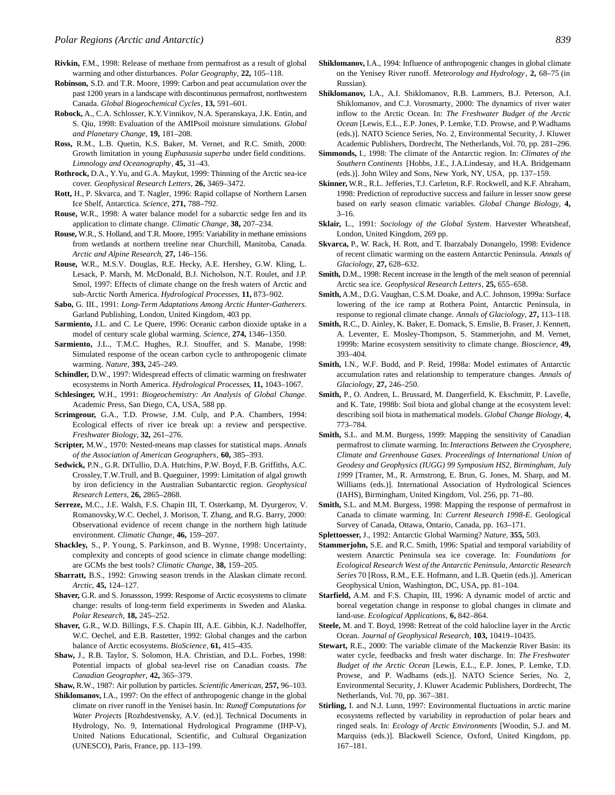- **Rivkin,** F.M., 1998: Release of methane from permafrost as a result of global warming and other disturbances. *Polar Geography*, **22,** 105–118.
- **Robinson,** S.D. and T.R. Moore, 1999: Carbon and peat accumulation over the past 1200 years in a landscape with discontinuous permafrost, northwestern Canada. *Global Biogeochemical Cycles*, **13,** 591–601.
- **Robock,** A., C.A. Schlosser, K.Y.Vinnikov, N.A. Speranskaya, J.K. Entin, and S. Qiu, 1998: Evaluation of the AMIPsoil moisture simulations. *Global and Planetary Change*, **19,** 181–208.
- **Ross,** R.M., L.B. Quetin, K.S. Baker, M. Vernet, and R.C. Smith, 2000: Growth limitation in young *Euphasusia superba* under field conditions. *Limnology and Oceanography*, **45,** 31–43.
- **Rothrock,** D.A., Y.Yu, and G.A. Maykut, 1999: Thinning of the Arctic sea-ice cover. *Geophysical Research Letters*, **26,** 3469–3472.
- **Rott,** H., P. Skvarca, and T. Nagler, 1996: Rapid collapse of Northern Larsen Ice Shelf, Antarctica. *Science*, **271,** 788–792.
- **Rouse,** W.R., 1998: A water balance model for a subarctic sedge fen and its application to climate change. *Climatic Change*, **38,** 207–234.
- **Rouse,** W.R., S. Holland, and T.R. Moore, 1995: Variability in methane emissions from wetlands at northern treeline near Churchill, Manitoba, Canada. *Arctic and Alpine Research*, **27,** 146–156.
- **Rouse,** W.R., M.S.V. Douglas, R.E. Hecky, A.E. Hershey, G.W. Kling, L. Lesack, P. Marsh, M. McDonald, B.J. Nicholson, N.T. Roulet, and J.P. Smol, 1997: Effects of climate change on the fresh waters of Arctic and sub-Arctic North America. *Hydrological Processes*, **11,** 873–902.
- **Sabo,** G. III., 1991: *Long-Term Adaptations Among Arctic Hunter-Gatherers*. Garland Publishing, London, United Kingdom, 403 pp.
- **Sarmiento,** J.L. and C. Le Quere, 1996: Oceanic carbon dioxide uptake in a model of century scale global warming. *Science*, **274,** 1346–1350.
- Sarmiento, J.L., T.M.C. Hughes, R.J. Stouffer, and S. Manabe, 1998: Simulated response of the ocean carbon cycle to anthropogenic climate warming. *Nature*, **393,** 245–249.
- **Schindler,** D.W., 1997: Widespread effects of climatic warming on freshwater ecosystems in North America. *Hydrological Processes*, **11,** 1043–1067.
- **Schlesinger,** W.H., 1991: *Biogeochemistry: An Analysis of Global Change*. Academic Press, San Diego, CA, USA, 588 pp.
- **Scrimgeour,** G.A., T.D. Prowse, J.M. Culp, and P.A. Chambers, 1994: Ecological effects of river ice break up: a review and perspective. *Freshwater Biology*, **32,** 261–276.
- **Scripter,** M.W., 1970: Nested-means map classes for statistical maps. *Annals of the Association of American Geographers*, **60,** 385–393.
- **Sedwick,** P.N., G.R. DiTullio, D.A. Hutchins, P.W. Boyd, F.B. Griffiths, A.C. Crossley, T.W.Trull, and B. Queguiner, 1999: Limitation of algal growth by iron deficiency in the Australian Subantarctic region. *Geophysical Research Letters*, **26,** 2865–2868.
- **Serreze,** M.C., J.E. Walsh, F.S. Chapin III, T. Osterkamp, M. Dyurgerov, V. Romanovsky, W.C. Oechel, J. Morison, T. Zhang, and R.G. Barry, 2000: Observational evidence of recent change in the northern high latitude environment. *Climatic Change*, **46,** 159–207.
- Shackley, S., P. Young, S. Parkinson, and B. Wynne, 1998: Uncertainty, complexity and concepts of good science in climate change modelling: are GCMs the best tools? *Climatic Change*, **38,** 159–205.
- **Sharratt,** B.S., 1992: Growing season trends in the Alaskan climate record. *Arctic*, **45,** 124–127.
- **Shaver, G.R. and S. Jonassson, 1999: Response of Arctic ecosystems to climate** change: results of long-term field experiments in Sweden and Alaska. *Polar Research*, **18,** 245–252.
- **Shaver,** G.R., W.D. Billings, F.S. Chapin III, A.E. Gibbin, K.J. Nadelhoffer, W.C. Oechel, and E.B. Rastetter, 1992: Global changes and the carbon balance of Arctic ecosystems. *BioScience*, **61,** 415–435.
- **Shaw,** J., R.B. Taylor, S. Solomon, H.A. Christian, and D.L. Forbes, 1998: Potential impacts of global sea-level rise on Canadian coasts. *The Canadian Geographer*, **42,** 365–379.

**Shaw, R.W., 1987: Air pollution by particles.** *Scientific American***, 257, 96-103.** 

**Shiklomanov,** I.A., 1997: On the effect of anthropogenic change in the global climate on river runoff in the Yenisei basin. In: *Runoff Computations for Water Projects* [Rozhdestvensky, A.V. (ed.)]. Technical Documents in Hydrology, No. 9, International Hydrological Programme (IHP-V), United Nations Educational, Scientific, and Cultural Organization (UNESCO), Paris, France, pp. 113–199.

- **Shiklomanov, I.A., 1994: Influence of anthropogenic changes in global climate** on the Yenisey River runoff. *Meteorology and Hydrology* , **2,** 68–75 (in Russian).
- **Shiklomanov,** I.A., A.I. Shiklomanov, R.B. Lammers, B.J. Peterson, A.I. Shiklomanov, and C.J. Vorosmarty, 2000: The dynamics of river water inflow to the Arctic Ocean. In: *The Freshwater Budget of the Arctic Ocean* [Lewis, E.L., E.P. Jones, P. Lemke, T.D. Prowse, and P. Wadhams (eds.)]. NATO Science Series, No. 2, Environmental Security, J. Kluwer Academic Publishers, Dordrecht, The Netherlands, Vol. 70, pp. 281–296.
- **Simmonds,** I., 1998: The climate of the Antarctic region. In: *Climates of the Southern Continents* [Hobbs, J.E., J.A.Lindesay, and H.A. Bridgemann (eds.)]. John Wiley and Sons, New York, NY, USA, pp. 137–159.
- **Skinner,** W.R., R.L. Jefferies, T.J. Carleton, R.F. Rockwell, and K.F. Abraham, 1998: Prediction of reproductive success and failure in lesser snow geese based on early season climatic variables. *Global Change Biology*, **4,** 3–16.
- **Sklair,** L., 1991: *Sociology of the Global System*. Harvester Wheatsheaf, London, United Kingdom, 269 pp.
- **Skvarca,** P., W. Rack, H. Rott, and T. Ibarzabaly Donangelo, 1998: Evidence of recent climatic warming on the eastern Antarctic Peninsula. *Annals of Glaciology*, **27,** 628–632.
- **Smith,** D.M., 1998: Recent increase in the length of the melt season of perennial Arctic sea ice. *Geophysical Research Letters*, **25,** 655–658.
- **Smith,** A.M., D.G. Vaughan, C.S.M. Doake, and A.C. Johnson, 1999a: Surface lowering of the ice ramp at Rothera Point, Antarctic Peninsula, in response to regional climate change. *Annals of Glaciology*, **27,** 113–118.
- **Smith,** R.C., D. Ainley, K. Baker, E. Domack, S. Emslie, B. Fraser, J. Kennett, A. Leventer, E. Mosley-Thompson, S. Stammerjohn, and M. Vernet, 1999b: Marine ecosystem sensitivity to climate change. *Bioscience,* **49,** 393–404.
- **Smith,** I.N., W.F. Budd, and P. Reid, 1998a: Model estimates of Antarctic accumulation rates and relationship to temperature changes. *Annals of Glaciology*, **27,** 246–250.
- **Smith,** P., O. Andren, L. Brussard, M. Dangerfield, K. Ekschmitt, P. Lavelle, and K. Tate, 1998b: Soil biota and global change at the ecosystem level: describing soil biota in mathematical models. *Global Change Biology*, **4,** 773–784.
- **Smith,** S.L. and M.M. Burgess, 1999: Mapping the sensitivity of Canadian permafrost to climate warming. In:*Interactions Between the Cryosphere, Climate and Greenhouse Gases. Proceedings of International Union of Geodesy and Geophysics (IUGG) 99 Symposium HS2, Birmingham, July 1999* [Tranter, M., R. Armstrong, E. Brun, G. Jones, M. Sharp, and M. Williams (eds.)]. International Association of Hydrological Sciences (IAHS), Birmingham, United Kingdom, Vol. 256, pp. 71–80.
- **Smith,** S.L. and M.M. Burgess, 1998: Mapping the response of permafrost in Canada to climate warming. In: *Current Research 1998-E*. Geological Survey of Canada, Ottawa, Ontario, Canada, pp. 163–171.

**Splettoesser,** J., 1992: Antarctic Global Warming? *Nature*, **355,** 503.

- **Stammerjohn,** S.E. and R.C. Smith, 1996: Spatial and temporal variability of western Anarctic Peninsula sea ice coverage. In: *Foundations for Ecological Research West of the Antarctic Peninsula, Antarctic Research Series* 70 [Ross, R.M., E.E. Hofmann, and L.B. Quetin (eds.)]. American Geophysical Union, Washington, DC, USA, pp. 81–104.
- **Starfield,** A.M. and F.S. Chapin, III, 1996: A dynamic model of arctic and boreal vegetation change in response to global changes in climate and land-use. *Ecological Applications*, **6,** 842–864.
- **Steele,** M. and T. Boyd, 1998: Retreat of the cold halocline layer in the Arctic Ocean. *Journal of Geophysical Research*, **103,** 10419–10435.
- **Stewart,** R.E., 2000: The variable climate of the Mackenzie River Basin: its water cycle, feedbacks and fresh water discharge. In: *The Freshwater Budget of the Arctic Ocean* [Lewis, E.L., E.P. Jones, P. Lemke, T.D. Prowse, and P. Wadhams (eds.)]. NATO Science Series, No. 2, Environmental Security, J. Kluwer Academic Publishers, Dordrecht, The Netherlands, Vol. 70, pp. 367–381.
- **Stirling,** I. and N.J. Lunn, 1997: Environmental fluctuations in arctic marine ecosystems reflected by variability in reproduction of polar bears and ringed seals. In: *Ecology of Arctic Environments* [Woodin, S.J. and M. Marquiss (eds.)]. Blackwell Science, Oxford, United Kingdom, pp. 167–181.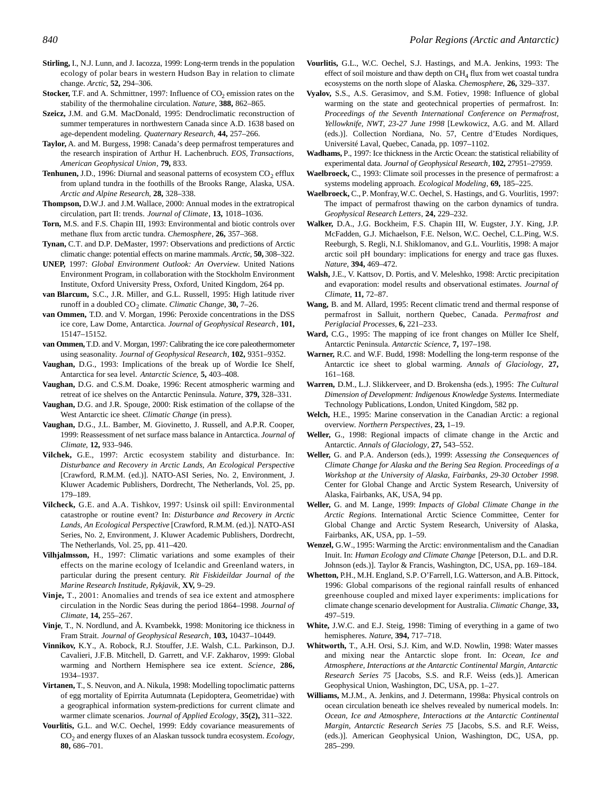- **Stirling, I., N.J. Lunn, and J. Iacozza, 1999: Long-term trends in the population** ecology of polar bears in western Hudson Bay in relation to climate change. *Arctic*, 52, 294-306.
- **Stocker,** T.F. and A. Schmittner, 1997: Influence of CO<sub>2</sub> emission rates on the stability of the thermohaline circulation. *Nature*, **388,** 862–865.
- **Szeicz,** J.M. and G.M. MacDonald, 1995: Dendroclimatic reconstruction of summer temperatures in northwestern Canada since A.D. 1638 based on age-dependent modeling. *Quaternary Research*, **44,** 257–266.
- **Taylor,** A. and M. Burgess, 1998: Canada's deep permafrost temperatures and the research inspiration of Arthur H. Lachenbruch. *EOS, Transactions, American Geophysical Union*, **79,** 833.
- **Tenhunen,** J.D., 1996: Diurnal and seasonal patterns of ecosystem  $CO_2$  efflux from upland tundra in the foothills of the Brooks Range, Alaska, USA. *Arctic and Alpine Research*, **28,** 328–338.
- **Thompson,** D.W.J. and J.M. Wallace, 2000: Annual modes in the extratropical circulation, part II: trends. *Journal of Climate*, **13,** 1018–1036.
- **Torn,** M.S. and F.S. Chapin III, 1993: Environmental and biotic controls over methane flux from arctic tundra. *Chemosphere*, **26,** 357–368.
- **Tynan,** C.T. and D.P. DeMaster, 1997: Observations and predictions of Arctic climatic change: potential effects on marine mammals. *Arctic*, **50**, 308-322.
- **UNEP,** 1997: *Global Environment Outlook: An Overview*. United Nations Environment Program, in collaboration with the Stockholm Environment Institute, Oxford University Press, Oxford, United Kingdom, 264 pp.
- **van Blarcum,** S.C., J.R. Miller, and G.L. Russell, 1995: High latitude river runoff in a doubled CO<sub>2</sub> climate. *Climatic Change*, **30,** 7–26.
- **van Ommen,** T.D. and V. Morgan, 1996: Peroxide concentrations in the DSS ice core, Law Dome, Antarctica. *Journal of Geophysical Research*, **101,** 15147–15152.
- **van Ommen,** T.D. and V. Morgan, 1997: Calibrating the ice core paleothermometer using seasonality. *Journal of Geophysical Research*, **102,** 9351–9352.
- **Vaughan,** D.G., 1993: Implications of the break up of Wordie Ice Shelf, Antarctica for sea level. *Antarctic Science*, **5,** 403–408.
- **Vaughan,** D.G. and C.S.M. Doake, 1996: Recent atmospheric warming and retreat of ice shelves on the Antarctic Peninsula. *Nature*, **379,** 328–331.
- **Vaughan,** D.G. and J.R. Spouge, 2000: Risk estimation of the collapse of the West Antarctic ice sheet. *Climatic Change* (in press).
- **Vaughan,** D.G., J.L. Bamber, M. Giovinetto, J. Russell, and A.P.R. Cooper, 1999: Reassessment of net surface mass balance in Antarctica. *Journal of Climate*, **12,** 933–946.
- Vilchek, G.E., 1997: Arctic ecosystem stability and disturbance. In: *Disturbance and Recovery in Arctic Lands, An Ecological Perspective* [Crawford, R.M.M. (ed.)]. NATO-ASI Series, No. 2, Environment, J. Kluwer Academic Publishers, Dordrecht, The Netherlands, Vol. 25, pp. 179–189.
- Vilcheck, G.E. and A.A. Tishkov, 1997: Usinsk oil spill: Environmental catastrophe or routine event? In: *Disturbance and Recovery in Arctic Lands, An Ecological Perspective* [Crawford, R.M.M. (ed.)]. NATO-ASI Series, No. 2, Environment, J. Kluwer Academic Publishers, Dordrecht, The Netherlands, Vol. 25, pp. 411–420.
- **Vilhjalmsson,** H., 1997: Climatic variations and some examples of their e ffects on the marine ecology of Icelandic and Greenland waters, in particular during the present century. Rit Fiskideildar Journal of the *Marine Research Institude, Rykjavik*, **XV,** 9–29.
- Vinje, T., 2001: Anomalies and trends of sea ice extent and atmosphere circulation in the Nordic Seas during the period 1864–1998. Journal of *Climate*, **14,** 255–267.
- **Vinje**, T., N. Nordlund, and Å. Kvambekk, 1998: Monitoring ice thickness in Fram Strait. *Journal of Geophysical Research*, **103,** 10437–10449.
- **Vinnikov,** K.Y., A. Robock, R.J. Stouffer, J.E. Walsh, C.L. Parkinson, D.J. Cavalieri, J.F.B. Mitchell, D. Garrett, and V.F. Zakharov, 1999: Global warming and Northern Hemisphere sea ice extent. *Science*, 286, 1934–1937.
- **Virtanen,** T., S. Neuvon, and A. Nikula, 1998: Modelling topoclimatic patterns of egg mortality of Epirrita Autumnata (Lepidoptera, Geometridae) with a geographical information system-predictions for current climate and warmer climate scenarios. *Journal of Applied Ecology*, **35(2),** 311–322.
- **Vourlitis,** G.L. and W.C. Oechel, 1999: Eddy covariance measurements of CO<sup>2</sup> and energy fluxes of an Alaskan tussock tundra ecosystem. *Ecology*, **80,** 686–701.
- **Vourlitis,** G.L., W.C. Oechel, S.J. Hastings, and M.A. Jenkins, 1993: The effect of soil moisture and thaw depth on  $CH_4$  flux from wet coastal tundra ecosystems on the north slope of Alaska. *Chemosphere*, **26,** 329–337.
- **Vyalov,** S.S., A.S. Gerasimov, and S.M. Fotiev, 1998: Influence of global warming on the state and geotechnical properties of permafrost. In: *Proceedings of the Seventh International Conference on Permafrost, Yellowknife, NWT, 23-27 June 1998* [Lewkowicz, A.G. and M. Allard (eds.)]. Collection Nordiana, No. 57, Centre d'Etudes Nordiques, Université Laval, Quebec, Canada, pp. 1097–1102.
- Wadhams, P., 1997: Ice thickness in the Arctic Ocean: the statistical reliability of experimental data. *Journal of Geophysical Research*, 102, 27951-27959.
- **Waelbroeck,** C., 1993: Climate soil processes in the presence of permafrost: a systems modeling approach. *Ecological Modeling*, **69,** 185–225.
- **Waelbroeck,** C., P. Monfray,W.C. Oechel, S. Hastings, and G. Vourlitis, 1997: The impact of permafrost thawing on the carbon dynamics of tundra. *Geophysical Research Letters*, **24,** 229–232.
- **Walker,** D.A., J.G. Bockheim, F.S. Chapin III, W. Eugster, J.Y. King, J.P. McFadden, G.J. Michaelson, F.E. Nelson, W.C. Oechel, C.L.Ping, W.S. Reeburgh, S. Regli, N.I. Shiklomanov, and G.L. Vourlitis, 1998: A major arctic soil pH boundary: implications for energy and trace gas fluxes. *Nature*, **394,** 469–472.
- **Walsh,** J.E., V. Kattsov, D. Portis, and V. Meleshko, 1998: Arctic precipitation and evaporation: model results and observational estimates. *Journal of Climate*, **11,** 72–87.
- **Wang,** B. and M. Allard, 1995: Recent climatic trend and thermal response of permafrost in Salluit, northern Quebec, Canada. Permafrost and *Periglacial Processes*, **6,** 221–233.
- **Ward,** C.G., 1995: The mapping of ice front changes on Müller Ice Shelf, Antarctic Peninsula. *Antarctic Science*, **7,** 197–198.
- **Warner,** R.C. and W.F. Budd, 1998: Modelling the long-term response of the Antarctic ice sheet to global warming. *Annals of Glaciology*, **27,** 161–168.
- **Wa r re n ,** D.M., L.J. Slikkerveer, and D. Brokensha (eds.), 1995: *The Cultural Dimension of Development: Indigenous Knowledge Systems*. Intermediate Technology Publications, London, United Kingdom, 582 pp.
- **Welch,** H.E., 1995: Marine conservation in the Canadian Arctic: a regional overview. *Northern Perspectives*, **23,** 1–19.
- **Weller,** G., 1998: Regional impacts of climate change in the Arctic and Antarctic. *Annals of Glaciology,* **27,** 543–552.
- **Weller,** G. and P.A. Anderson (eds.), 1999: *Assessing the Consequences of Climate Change for Alaska and the Bering Sea Region. Proceedings of a Workshop at the University of Alaska, Fairbanks, 29-30 October 1998.* Center for Global Change and Arctic System Research, University of Alaska, Fairbanks, AK, USA, 94 pp.
- **Weller,** G. and M. Lange, 1999: *Impacts of Global Climate Change in the Arctic Regions.* International Arctic Science Committee, Center for Global Change and Arctic System Research, University of Alaska, Fairbanks, AK, USA, pp. 1–59.
- **Wenzel,** G.W., 1995: Warming the Arctic: environmentalism and the Canadian Inuit. In: *Human Ecology and Climate Change* [Peterson, D.L. and D.R. Johnson (eds.)]. Taylor & Francis, Washington, DC, USA, pp. 169–184.
- **Whetton,** P.H., M.H. England, S.P. O'Farrell, I.G. Watterson, and A.B. Pittock, 1996: Global comparisons of the regional rainfall results of enhanced greenhouse coupled and mixed layer experiments: implications for climate change scenario development for Australia. *Climatic Change*, 33, 497–519.
- **White,** J.W.C. and E.J. Steig, 1998: Timing of everything in a game of two hemispheres. *Nature*, **394,** 717–718.
- **Whitworth,** T., A.H. Orsi, S.J. Kim, and W.D. Nowlin, 1998: Water masses and mixing near the Antarctic slope front. In: *Ocean, Ice and Atmosphere, Interactions at the Antarctic Continental Margin, Antarctic Research Series 75* [Jacobs, S.S. and R.F. Weiss (eds.)]. American Geophysical Union, Washington, DC, USA, pp. 1–27.
- **Williams,** M.J.M., A. Jenkins, and J. Determann, 1998a: Physical controls on ocean circulation beneath ice shelves revealed by numerical models. In: *Ocean, Ice and Atmosphere, Interactions at the Antarctic Continental Margin, Antarctic Research Series 75* [Jacobs, S.S. and R.F. Weiss, (eds.)]. American Geophysical Union, Washington, DC, USA, pp. 285–299.